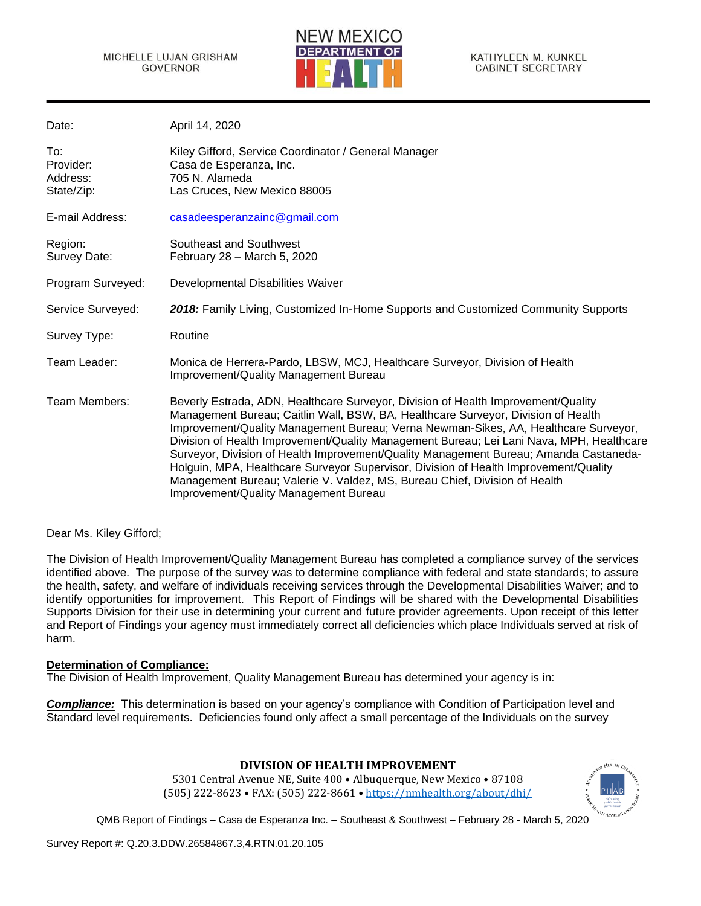

| Date:                                      | April 14, 2020                                                                                                                                                                                                                                                                                                                                                                                                                                                                                                                                                                                                                                                    |
|--------------------------------------------|-------------------------------------------------------------------------------------------------------------------------------------------------------------------------------------------------------------------------------------------------------------------------------------------------------------------------------------------------------------------------------------------------------------------------------------------------------------------------------------------------------------------------------------------------------------------------------------------------------------------------------------------------------------------|
| To:<br>Provider:<br>Address:<br>State/Zip: | Kiley Gifford, Service Coordinator / General Manager<br>Casa de Esperanza, Inc.<br>705 N. Alameda<br>Las Cruces, New Mexico 88005                                                                                                                                                                                                                                                                                                                                                                                                                                                                                                                                 |
| E-mail Address:                            | casadeesperanzainc@gmail.com                                                                                                                                                                                                                                                                                                                                                                                                                                                                                                                                                                                                                                      |
| Region:<br>Survey Date:                    | Southeast and Southwest<br>February 28 - March 5, 2020                                                                                                                                                                                                                                                                                                                                                                                                                                                                                                                                                                                                            |
| Program Surveyed:                          | Developmental Disabilities Waiver                                                                                                                                                                                                                                                                                                                                                                                                                                                                                                                                                                                                                                 |
| Service Surveyed:                          | 2018: Family Living, Customized In-Home Supports and Customized Community Supports                                                                                                                                                                                                                                                                                                                                                                                                                                                                                                                                                                                |
| Survey Type:                               | Routine                                                                                                                                                                                                                                                                                                                                                                                                                                                                                                                                                                                                                                                           |
| Team Leader:                               | Monica de Herrera-Pardo, LBSW, MCJ, Healthcare Surveyor, Division of Health<br>Improvement/Quality Management Bureau                                                                                                                                                                                                                                                                                                                                                                                                                                                                                                                                              |
| Team Members:                              | Beverly Estrada, ADN, Healthcare Surveyor, Division of Health Improvement/Quality<br>Management Bureau; Caitlin Wall, BSW, BA, Healthcare Surveyor, Division of Health<br>Improvement/Quality Management Bureau; Verna Newman-Sikes, AA, Healthcare Surveyor,<br>Division of Health Improvement/Quality Management Bureau; Lei Lani Nava, MPH, Healthcare<br>Surveyor, Division of Health Improvement/Quality Management Bureau; Amanda Castaneda-<br>Holguin, MPA, Healthcare Surveyor Supervisor, Division of Health Improvement/Quality<br>Management Bureau; Valerie V. Valdez, MS, Bureau Chief, Division of Health<br>Improvement/Quality Management Bureau |

Dear Ms. Kiley Gifford;

The Division of Health Improvement/Quality Management Bureau has completed a compliance survey of the services identified above. The purpose of the survey was to determine compliance with federal and state standards; to assure the health, safety, and welfare of individuals receiving services through the Developmental Disabilities Waiver; and to identify opportunities for improvement. This Report of Findings will be shared with the Developmental Disabilities Supports Division for their use in determining your current and future provider agreements. Upon receipt of this letter and Report of Findings your agency must immediately correct all deficiencies which place Individuals served at risk of harm.

#### **Determination of Compliance:**

The Division of Health Improvement, Quality Management Bureau has determined your agency is in:

*Compliance:* This determination is based on your agency's compliance with Condition of Participation level and Standard level requirements. Deficiencies found only affect a small percentage of the Individuals on the survey

# **DIVISION OF HEALTH IMPROVEMENT**

5301 Central Avenue NE, Suite 400 • Albuquerque, New Mexico • 87108 (505) 222-8623 • FAX: (505) 222-8661 • <https://nmhealth.org/about/dhi/>

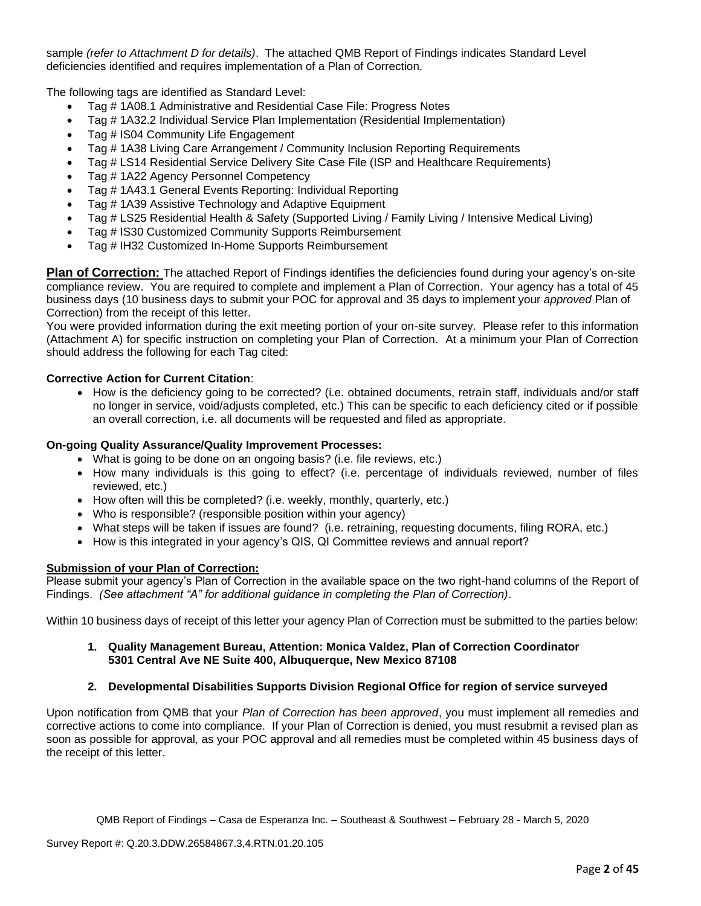sample *(refer to Attachment D for details)*. The attached QMB Report of Findings indicates Standard Level deficiencies identified and requires implementation of a Plan of Correction.

The following tags are identified as Standard Level:

- Tag # 1A08.1 Administrative and Residential Case File: Progress Notes
- Tag # 1A32.2 Individual Service Plan Implementation (Residential Implementation)
- Tag # IS04 Community Life Engagement
- Tag # 1A38 Living Care Arrangement / Community Inclusion Reporting Requirements
- Tag # LS14 Residential Service Delivery Site Case File (ISP and Healthcare Requirements)
- Tag # 1A22 Agency Personnel Competency
- Tag # 1A43.1 General Events Reporting: Individual Reporting
- Tag # 1A39 Assistive Technology and Adaptive Equipment
- Tag # LS25 Residential Health & Safety (Supported Living / Family Living / Intensive Medical Living)
- Tag # IS30 Customized Community Supports Reimbursement
- Tag # IH32 Customized In-Home Supports Reimbursement

**Plan of Correction:** The attached Report of Findings identifies the deficiencies found during your agency's on-site compliance review. You are required to complete and implement a Plan of Correction. Your agency has a total of 45 business days (10 business days to submit your POC for approval and 35 days to implement your *approved* Plan of Correction) from the receipt of this letter.

You were provided information during the exit meeting portion of your on-site survey. Please refer to this information (Attachment A) for specific instruction on completing your Plan of Correction. At a minimum your Plan of Correction should address the following for each Tag cited:

## **Corrective Action for Current Citation**:

• How is the deficiency going to be corrected? (i.e. obtained documents, retrain staff, individuals and/or staff no longer in service, void/adjusts completed, etc.) This can be specific to each deficiency cited or if possible an overall correction, i.e. all documents will be requested and filed as appropriate.

#### **On-going Quality Assurance/Quality Improvement Processes:**

- What is going to be done on an ongoing basis? (i.e. file reviews, etc.)
- How many individuals is this going to effect? (i.e. percentage of individuals reviewed, number of files reviewed, etc.)
- How often will this be completed? (i.e. weekly, monthly, quarterly, etc.)
- Who is responsible? (responsible position within your agency)
- What steps will be taken if issues are found? (i.e. retraining, requesting documents, filing RORA, etc.)
- How is this integrated in your agency's QIS, QI Committee reviews and annual report?

## **Submission of your Plan of Correction:**

Please submit your agency's Plan of Correction in the available space on the two right-hand columns of the Report of Findings. *(See attachment "A" for additional guidance in completing the Plan of Correction)*.

Within 10 business days of receipt of this letter your agency Plan of Correction must be submitted to the parties below:

#### **1. Quality Management Bureau, Attention: Monica Valdez, Plan of Correction Coordinator 5301 Central Ave NE Suite 400, Albuquerque, New Mexico 87108**

# **2. Developmental Disabilities Supports Division Regional Office for region of service surveyed**

Upon notification from QMB that your *Plan of Correction has been approved*, you must implement all remedies and corrective actions to come into compliance. If your Plan of Correction is denied, you must resubmit a revised plan as soon as possible for approval, as your POC approval and all remedies must be completed within 45 business days of the receipt of this letter.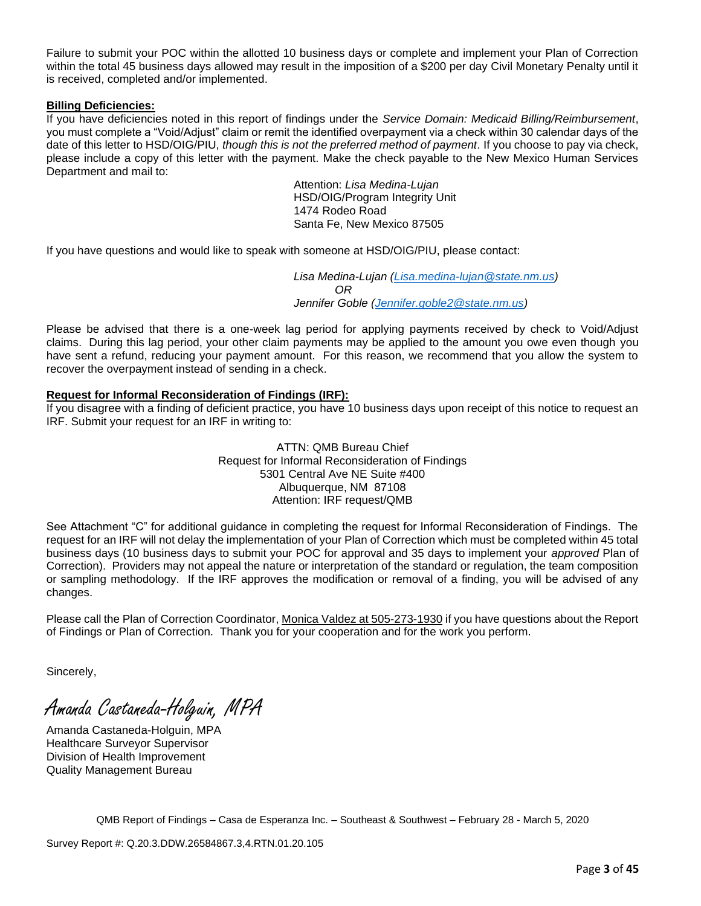Failure to submit your POC within the allotted 10 business days or complete and implement your Plan of Correction within the total 45 business days allowed may result in the imposition of a \$200 per day Civil Monetary Penalty until it is received, completed and/or implemented.

#### **Billing Deficiencies:**

If you have deficiencies noted in this report of findings under the *Service Domain: Medicaid Billing/Reimbursement*, you must complete a "Void/Adjust" claim or remit the identified overpayment via a check within 30 calendar days of the date of this letter to HSD/OIG/PIU, *though this is not the preferred method of payment*. If you choose to pay via check, please include a copy of this letter with the payment. Make the check payable to the New Mexico Human Services Department and mail to:

> Attention: *Lisa Medina-Lujan* HSD/OIG/Program Integrity Unit 1474 Rodeo Road Santa Fe, New Mexico 87505

If you have questions and would like to speak with someone at HSD/OIG/PIU, please contact:

*Lisa Medina-Lujan [\(Lisa.medina-lujan@state.nm.us\)](mailto:Lisa.medina-lujan@state.nm.us) OR Jennifer Goble [\(Jennifer.goble2@state.nm.us\)](mailto:Jennifer.goble2@state.nm.us)*

Please be advised that there is a one-week lag period for applying payments received by check to Void/Adjust claims. During this lag period, your other claim payments may be applied to the amount you owe even though you have sent a refund, reducing your payment amount. For this reason, we recommend that you allow the system to recover the overpayment instead of sending in a check.

## **Request for Informal Reconsideration of Findings (IRF):**

If you disagree with a finding of deficient practice, you have 10 business days upon receipt of this notice to request an IRF. Submit your request for an IRF in writing to:

> ATTN: QMB Bureau Chief Request for Informal Reconsideration of Findings 5301 Central Ave NE Suite #400 Albuquerque, NM 87108 Attention: IRF request/QMB

See Attachment "C" for additional guidance in completing the request for Informal Reconsideration of Findings. The request for an IRF will not delay the implementation of your Plan of Correction which must be completed within 45 total business days (10 business days to submit your POC for approval and 35 days to implement your *approved* Plan of Correction). Providers may not appeal the nature or interpretation of the standard or regulation, the team composition or sampling methodology. If the IRF approves the modification or removal of a finding, you will be advised of any changes.

Please call the Plan of Correction Coordinator, Monica Valdez at 505-273-1930 if you have questions about the Report of Findings or Plan of Correction. Thank you for your cooperation and for the work you perform.

Sincerely,

Amanda Castaneda-Holguin, MPA

Amanda Castaneda-Holguin, MPA Healthcare Surveyor Supervisor Division of Health Improvement Quality Management Bureau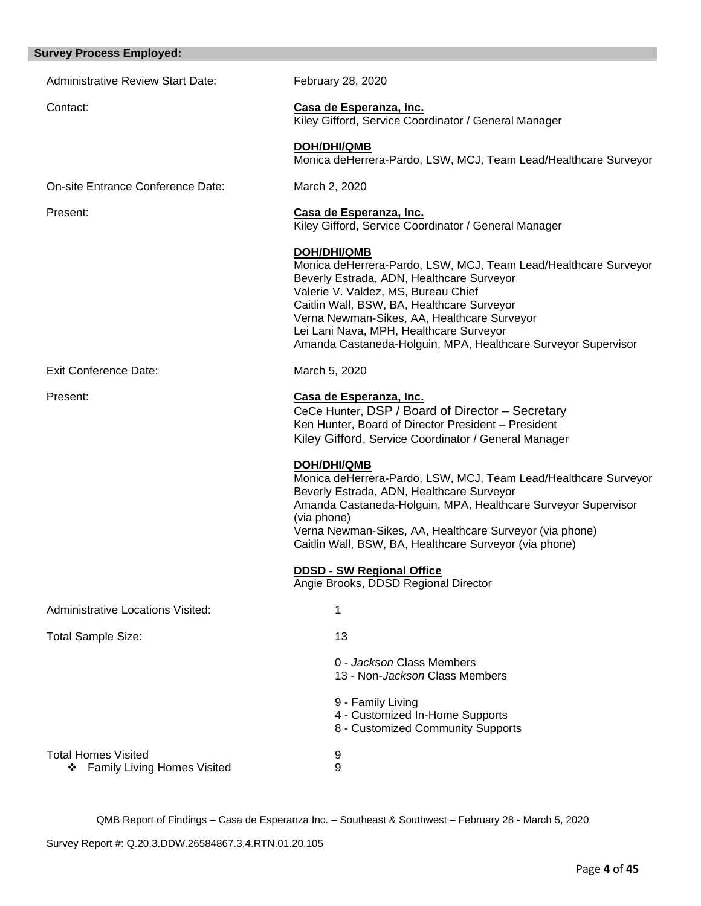#### **Survey Process Employed:**

| <b>Survey Process Employed:</b>                                       |                                                                                                                                                                                                                                                                                                                                                                                    |
|-----------------------------------------------------------------------|------------------------------------------------------------------------------------------------------------------------------------------------------------------------------------------------------------------------------------------------------------------------------------------------------------------------------------------------------------------------------------|
| <b>Administrative Review Start Date:</b>                              | February 28, 2020                                                                                                                                                                                                                                                                                                                                                                  |
| Contact:                                                              | Casa de Esperanza, Inc.<br>Kiley Gifford, Service Coordinator / General Manager                                                                                                                                                                                                                                                                                                    |
|                                                                       | DOH/DHI/QMB<br>Monica deHerrera-Pardo, LSW, MCJ, Team Lead/Healthcare Surveyor                                                                                                                                                                                                                                                                                                     |
| On-site Entrance Conference Date:                                     | March 2, 2020                                                                                                                                                                                                                                                                                                                                                                      |
| Present:                                                              | Casa de Esperanza, Inc.<br>Kiley Gifford, Service Coordinator / General Manager                                                                                                                                                                                                                                                                                                    |
|                                                                       | <b>DOH/DHI/QMB</b><br>Monica deHerrera-Pardo, LSW, MCJ, Team Lead/Healthcare Surveyor<br>Beverly Estrada, ADN, Healthcare Surveyor<br>Valerie V. Valdez, MS, Bureau Chief<br>Caitlin Wall, BSW, BA, Healthcare Surveyor<br>Verna Newman-Sikes, AA, Healthcare Surveyor<br>Lei Lani Nava, MPH, Healthcare Surveyor<br>Amanda Castaneda-Holguin, MPA, Healthcare Surveyor Supervisor |
| Exit Conference Date:                                                 | March 5, 2020                                                                                                                                                                                                                                                                                                                                                                      |
| Present:                                                              | Casa de Esperanza, Inc.<br>CeCe Hunter, DSP / Board of Director - Secretary<br>Ken Hunter, Board of Director President - President<br>Kiley Gifford, Service Coordinator / General Manager                                                                                                                                                                                         |
|                                                                       | <b>DOH/DHI/QMB</b><br>Monica deHerrera-Pardo, LSW, MCJ, Team Lead/Healthcare Surveyor<br>Beverly Estrada, ADN, Healthcare Surveyor<br>Amanda Castaneda-Holguin, MPA, Healthcare Surveyor Supervisor<br>(via phone)<br>Verna Newman-Sikes, AA, Healthcare Surveyor (via phone)<br>Caitlin Wall, BSW, BA, Healthcare Surveyor (via phone)                                            |
|                                                                       | <b>DDSD - SW Regional Office</b><br>Angie Brooks, DDSD Regional Director                                                                                                                                                                                                                                                                                                           |
| Administrative Locations Visited:                                     | 1                                                                                                                                                                                                                                                                                                                                                                                  |
| <b>Total Sample Size:</b>                                             | 13                                                                                                                                                                                                                                                                                                                                                                                 |
|                                                                       | 0 - Jackson Class Members<br>13 - Non-Jackson Class Members                                                                                                                                                                                                                                                                                                                        |
|                                                                       | 9 - Family Living<br>4 - Customized In-Home Supports<br>8 - Customized Community Supports                                                                                                                                                                                                                                                                                          |
| <b>Total Homes Visited</b><br><b>Family Living Homes Visited</b><br>❖ | 9<br>9                                                                                                                                                                                                                                                                                                                                                                             |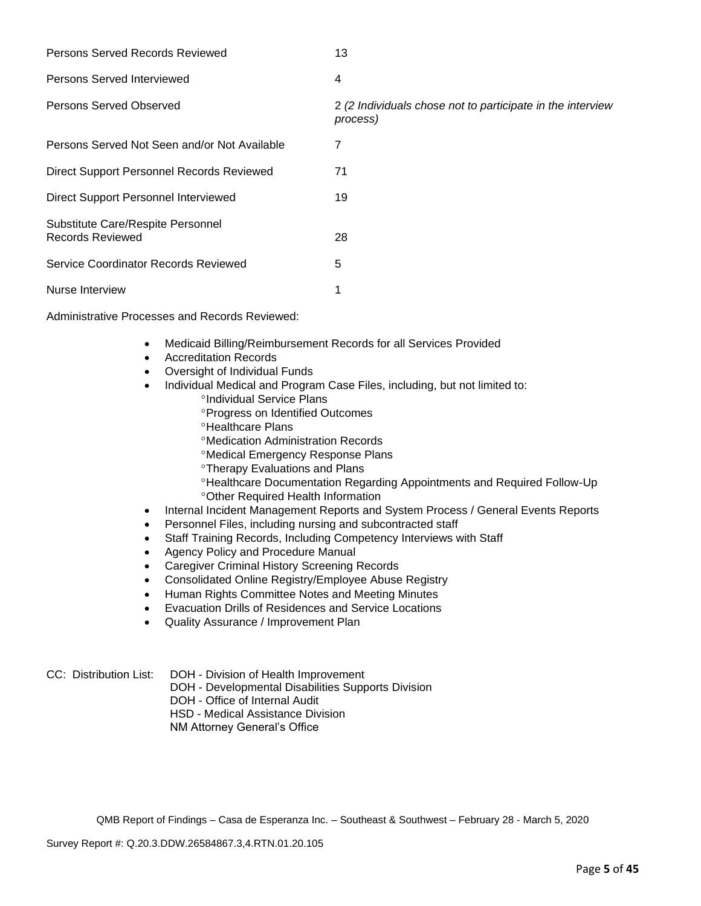| Persons Served Records Reviewed                       | 13                                                                     |
|-------------------------------------------------------|------------------------------------------------------------------------|
| Persons Served Interviewed                            | 4                                                                      |
| Persons Served Observed                               | 2 (2 Individuals chose not to participate in the interview<br>process) |
| Persons Served Not Seen and/or Not Available          | 7                                                                      |
| Direct Support Personnel Records Reviewed             | 71                                                                     |
| Direct Support Personnel Interviewed                  | 19                                                                     |
| Substitute Care/Respite Personnel<br>Records Reviewed | 28                                                                     |
| Service Coordinator Records Reviewed                  | 5                                                                      |
| Nurse Interview                                       | 1                                                                      |

Administrative Processes and Records Reviewed:

- Medicaid Billing/Reimbursement Records for all Services Provided
- Accreditation Records
- Oversight of Individual Funds
- Individual Medical and Program Case Files, including, but not limited to: <sup>o</sup>Individual Service Plans
	- Progress on Identified Outcomes
	- *<sup>o</sup>Healthcare Plans*
	- Medication Administration Records
	- Medical Emergency Response Plans
	- *C***Therapy Evaluations and Plans**
	- Healthcare Documentation Regarding Appointments and Required Follow-Up Other Required Health Information
- Internal Incident Management Reports and System Process / General Events Reports
- Personnel Files, including nursing and subcontracted staff
- Staff Training Records, Including Competency Interviews with Staff
- Agency Policy and Procedure Manual
- Caregiver Criminal History Screening Records
- Consolidated Online Registry/Employee Abuse Registry
- Human Rights Committee Notes and Meeting Minutes
- Evacuation Drills of Residences and Service Locations
- Quality Assurance / Improvement Plan

CC: Distribution List: DOH - Division of Health Improvement

- DOH Developmental Disabilities Supports Division
- DOH Office of Internal Audit

HSD - Medical Assistance Division

NM Attorney General's Office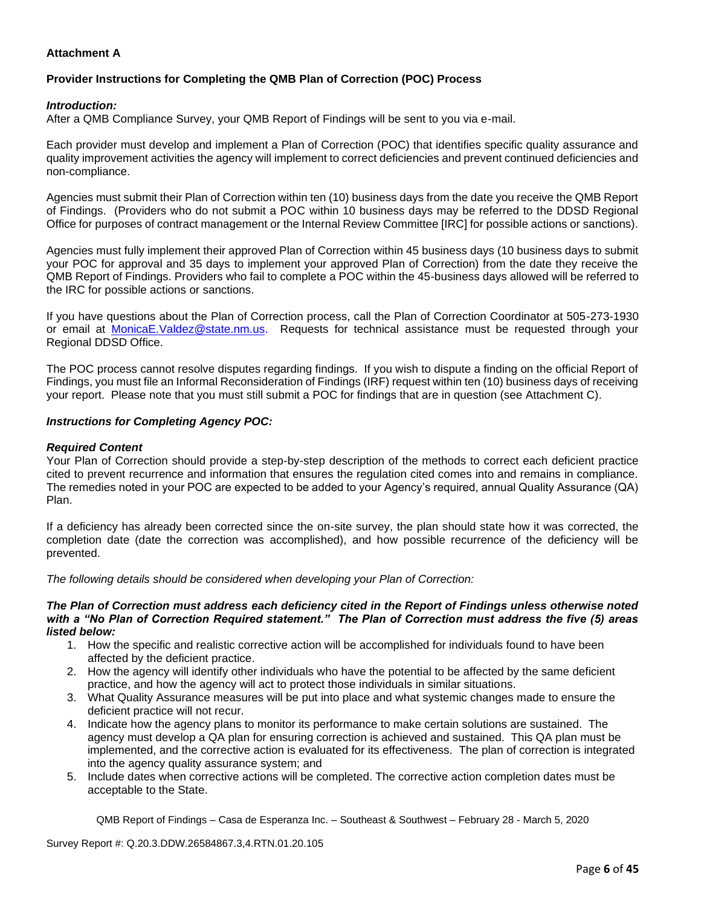## **Attachment A**

# **Provider Instructions for Completing the QMB Plan of Correction (POC) Process**

#### *Introduction:*

After a QMB Compliance Survey, your QMB Report of Findings will be sent to you via e-mail.

Each provider must develop and implement a Plan of Correction (POC) that identifies specific quality assurance and quality improvement activities the agency will implement to correct deficiencies and prevent continued deficiencies and non-compliance.

Agencies must submit their Plan of Correction within ten (10) business days from the date you receive the QMB Report of Findings. (Providers who do not submit a POC within 10 business days may be referred to the DDSD Regional Office for purposes of contract management or the Internal Review Committee [IRC] for possible actions or sanctions).

Agencies must fully implement their approved Plan of Correction within 45 business days (10 business days to submit your POC for approval and 35 days to implement your approved Plan of Correction) from the date they receive the QMB Report of Findings. Providers who fail to complete a POC within the 45-business days allowed will be referred to the IRC for possible actions or sanctions.

If you have questions about the Plan of Correction process, call the Plan of Correction Coordinator at 505-273-1930 or email at [MonicaE.Valdez@state.nm.us.](mailto:MonicaE.Valdez@state.nm.us) Requests for technical assistance must be requested through your Regional DDSD Office.

The POC process cannot resolve disputes regarding findings. If you wish to dispute a finding on the official Report of Findings, you must file an Informal Reconsideration of Findings (IRF) request within ten (10) business days of receiving your report. Please note that you must still submit a POC for findings that are in question (see Attachment C).

#### *Instructions for Completing Agency POC:*

#### *Required Content*

Your Plan of Correction should provide a step-by-step description of the methods to correct each deficient practice cited to prevent recurrence and information that ensures the regulation cited comes into and remains in compliance. The remedies noted in your POC are expected to be added to your Agency's required, annual Quality Assurance (QA) Plan.

If a deficiency has already been corrected since the on-site survey, the plan should state how it was corrected, the completion date (date the correction was accomplished), and how possible recurrence of the deficiency will be prevented.

*The following details should be considered when developing your Plan of Correction:*

#### *The Plan of Correction must address each deficiency cited in the Report of Findings unless otherwise noted with a "No Plan of Correction Required statement." The Plan of Correction must address the five (5) areas listed below:*

- 1. How the specific and realistic corrective action will be accomplished for individuals found to have been affected by the deficient practice.
- 2. How the agency will identify other individuals who have the potential to be affected by the same deficient practice, and how the agency will act to protect those individuals in similar situations.
- 3. What Quality Assurance measures will be put into place and what systemic changes made to ensure the deficient practice will not recur.
- 4. Indicate how the agency plans to monitor its performance to make certain solutions are sustained. The agency must develop a QA plan for ensuring correction is achieved and sustained. This QA plan must be implemented, and the corrective action is evaluated for its effectiveness. The plan of correction is integrated into the agency quality assurance system; and
- 5. Include dates when corrective actions will be completed. The corrective action completion dates must be acceptable to the State.

QMB Report of Findings – Casa de Esperanza Inc. – Southeast & Southwest – February 28 - March 5, 2020

Survey Report #: Q.20.3.DDW.26584867.3,4.RTN.01.20.105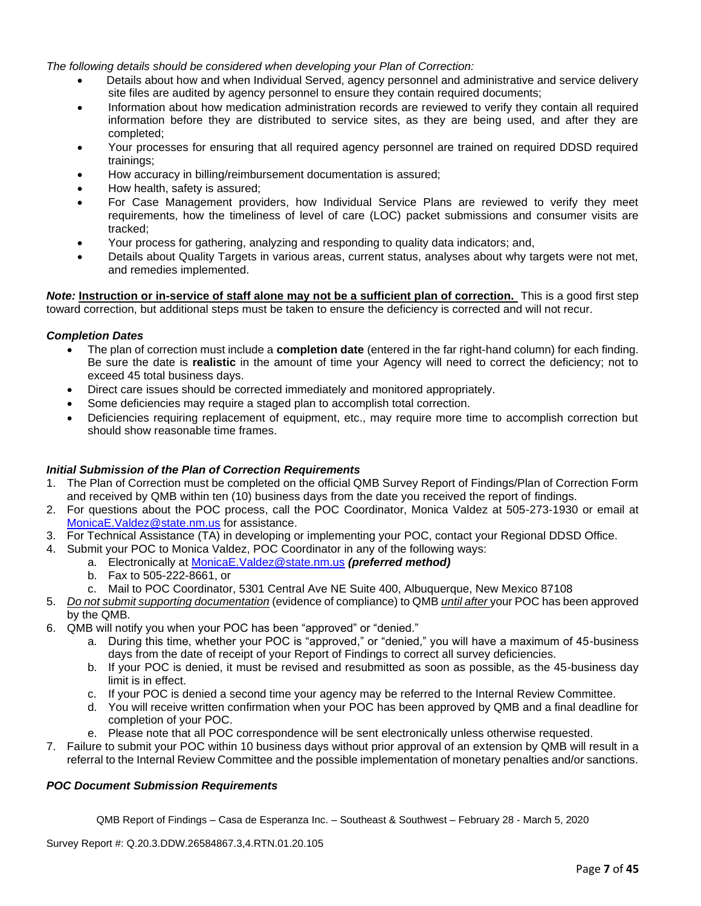*The following details should be considered when developing your Plan of Correction:*

- Details about how and when Individual Served, agency personnel and administrative and service delivery site files are audited by agency personnel to ensure they contain required documents;
- Information about how medication administration records are reviewed to verify they contain all required information before they are distributed to service sites, as they are being used, and after they are completed;
- Your processes for ensuring that all required agency personnel are trained on required DDSD required trainings;
- How accuracy in billing/reimbursement documentation is assured;
- How health, safety is assured;
- For Case Management providers, how Individual Service Plans are reviewed to verify they meet requirements, how the timeliness of level of care (LOC) packet submissions and consumer visits are tracked;
- Your process for gathering, analyzing and responding to quality data indicators; and,
- Details about Quality Targets in various areas, current status, analyses about why targets were not met, and remedies implemented.

*Note:* **Instruction or in-service of staff alone may not be a sufficient plan of correction.** This is a good first step toward correction, but additional steps must be taken to ensure the deficiency is corrected and will not recur.

#### *Completion Dates*

- The plan of correction must include a **completion date** (entered in the far right-hand column) for each finding. Be sure the date is **realistic** in the amount of time your Agency will need to correct the deficiency; not to exceed 45 total business days.
- Direct care issues should be corrected immediately and monitored appropriately.
- Some deficiencies may require a staged plan to accomplish total correction.
- Deficiencies requiring replacement of equipment, etc., may require more time to accomplish correction but should show reasonable time frames.

#### *Initial Submission of the Plan of Correction Requirements*

- 1. The Plan of Correction must be completed on the official QMB Survey Report of Findings/Plan of Correction Form and received by QMB within ten (10) business days from the date you received the report of findings.
- 2. For questions about the POC process, call the POC Coordinator, Monica Valdez at 505-273-1930 or email at [MonicaE.Valdez@state.nm.us](mailto:MonicaE.Valdez@state.nm.us) for assistance.
- 3. For Technical Assistance (TA) in developing or implementing your POC, contact your Regional DDSD Office.
- 4. Submit your POC to Monica Valdez, POC Coordinator in any of the following ways:
	- a. Electronically at [MonicaE.Valdez@state.nm.us](mailto:MonicaE.Valdez@state.nm.us) *(preferred method)*
	- b. Fax to 505-222-8661, or
	- c. Mail to POC Coordinator, 5301 Central Ave NE Suite 400, Albuquerque, New Mexico 87108
- 5. *Do not submit supporting documentation* (evidence of compliance) to QMB *until after* your POC has been approved by the QMB.
- 6. QMB will notify you when your POC has been "approved" or "denied."
	- a. During this time, whether your POC is "approved," or "denied," you will have a maximum of 45-business days from the date of receipt of your Report of Findings to correct all survey deficiencies.
	- b. If your POC is denied, it must be revised and resubmitted as soon as possible, as the 45-business day limit is in effect.
	- c. If your POC is denied a second time your agency may be referred to the Internal Review Committee.
	- d. You will receive written confirmation when your POC has been approved by QMB and a final deadline for completion of your POC.
	- e. Please note that all POC correspondence will be sent electronically unless otherwise requested.
- 7. Failure to submit your POC within 10 business days without prior approval of an extension by QMB will result in a referral to the Internal Review Committee and the possible implementation of monetary penalties and/or sanctions.

# *POC Document Submission Requirements*

QMB Report of Findings – Casa de Esperanza Inc. – Southeast & Southwest – February 28 - March 5, 2020

Survey Report #: Q.20.3.DDW.26584867.3,4.RTN.01.20.105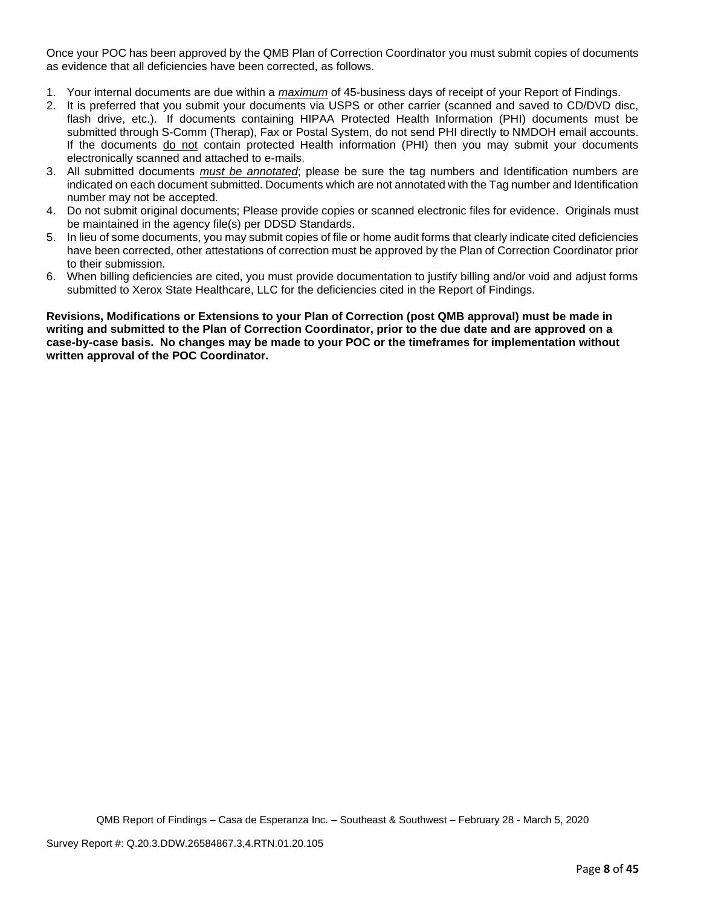Once your POC has been approved by the QMB Plan of Correction Coordinator you must submit copies of documents as evidence that all deficiencies have been corrected, as follows.

- 1. Your internal documents are due within a *maximum* of 45-business days of receipt of your Report of Findings.
- 2. It is preferred that you submit your documents via USPS or other carrier (scanned and saved to CD/DVD disc, flash drive, etc.). If documents containing HIPAA Protected Health Information (PHI) documents must be submitted through S-Comm (Therap), Fax or Postal System, do not send PHI directly to NMDOH email accounts. If the documents do not contain protected Health information (PHI) then you may submit your documents electronically scanned and attached to e-mails.
- 3. All submitted documents *must be annotated*; please be sure the tag numbers and Identification numbers are indicated on each document submitted. Documents which are not annotated with the Tag number and Identification number may not be accepted.
- 4. Do not submit original documents; Please provide copies or scanned electronic files for evidence. Originals must be maintained in the agency file(s) per DDSD Standards.
- 5. In lieu of some documents, you may submit copies of file or home audit forms that clearly indicate cited deficiencies have been corrected, other attestations of correction must be approved by the Plan of Correction Coordinator prior to their submission.
- 6. When billing deficiencies are cited, you must provide documentation to justify billing and/or void and adjust forms submitted to Xerox State Healthcare, LLC for the deficiencies cited in the Report of Findings.

**Revisions, Modifications or Extensions to your Plan of Correction (post QMB approval) must be made in writing and submitted to the Plan of Correction Coordinator, prior to the due date and are approved on a case-by-case basis. No changes may be made to your POC or the timeframes for implementation without written approval of the POC Coordinator.**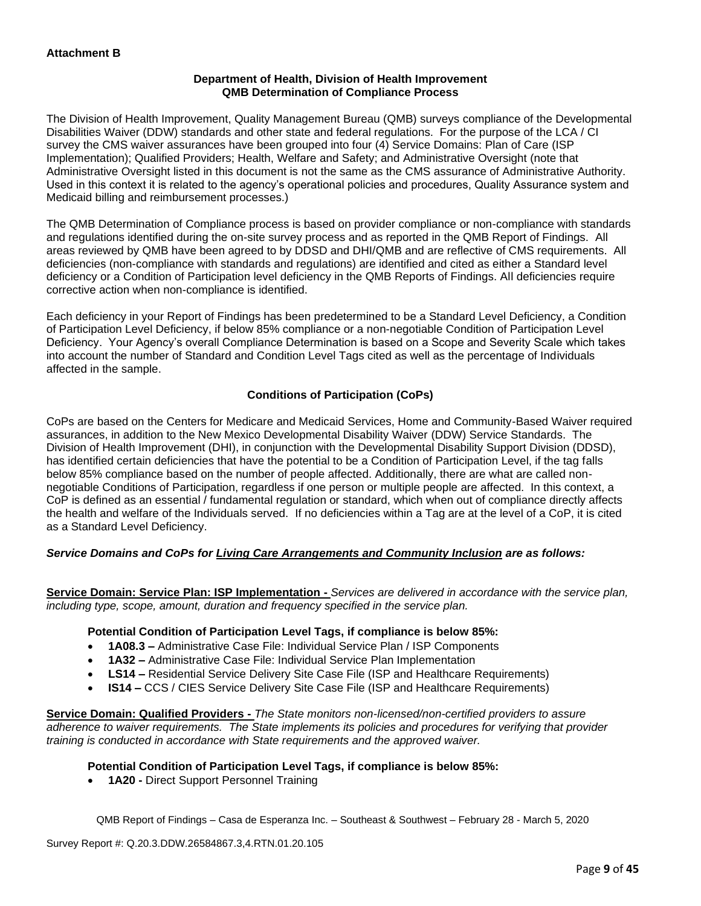## **Department of Health, Division of Health Improvement QMB Determination of Compliance Process**

The Division of Health Improvement, Quality Management Bureau (QMB) surveys compliance of the Developmental Disabilities Waiver (DDW) standards and other state and federal regulations. For the purpose of the LCA / CI survey the CMS waiver assurances have been grouped into four (4) Service Domains: Plan of Care (ISP Implementation); Qualified Providers; Health, Welfare and Safety; and Administrative Oversight (note that Administrative Oversight listed in this document is not the same as the CMS assurance of Administrative Authority. Used in this context it is related to the agency's operational policies and procedures, Quality Assurance system and Medicaid billing and reimbursement processes.)

The QMB Determination of Compliance process is based on provider compliance or non-compliance with standards and regulations identified during the on-site survey process and as reported in the QMB Report of Findings. All areas reviewed by QMB have been agreed to by DDSD and DHI/QMB and are reflective of CMS requirements. All deficiencies (non-compliance with standards and regulations) are identified and cited as either a Standard level deficiency or a Condition of Participation level deficiency in the QMB Reports of Findings. All deficiencies require corrective action when non-compliance is identified.

Each deficiency in your Report of Findings has been predetermined to be a Standard Level Deficiency, a Condition of Participation Level Deficiency, if below 85% compliance or a non-negotiable Condition of Participation Level Deficiency. Your Agency's overall Compliance Determination is based on a Scope and Severity Scale which takes into account the number of Standard and Condition Level Tags cited as well as the percentage of Individuals affected in the sample.

# **Conditions of Participation (CoPs)**

CoPs are based on the Centers for Medicare and Medicaid Services, Home and Community-Based Waiver required assurances, in addition to the New Mexico Developmental Disability Waiver (DDW) Service Standards. The Division of Health Improvement (DHI), in conjunction with the Developmental Disability Support Division (DDSD), has identified certain deficiencies that have the potential to be a Condition of Participation Level, if the tag falls below 85% compliance based on the number of people affected. Additionally, there are what are called nonnegotiable Conditions of Participation, regardless if one person or multiple people are affected. In this context, a CoP is defined as an essential / fundamental regulation or standard, which when out of compliance directly affects the health and welfare of the Individuals served. If no deficiencies within a Tag are at the level of a CoP, it is cited as a Standard Level Deficiency.

# *Service Domains and CoPs for Living Care Arrangements and Community Inclusion are as follows:*

**Service Domain: Service Plan: ISP Implementation -** *Services are delivered in accordance with the service plan, including type, scope, amount, duration and frequency specified in the service plan.*

#### **Potential Condition of Participation Level Tags, if compliance is below 85%:**

- **1A08.3 –** Administrative Case File: Individual Service Plan / ISP Components
- **1A32 –** Administrative Case File: Individual Service Plan Implementation
- **LS14 –** Residential Service Delivery Site Case File (ISP and Healthcare Requirements)
- **IS14 –** CCS / CIES Service Delivery Site Case File (ISP and Healthcare Requirements)

**Service Domain: Qualified Providers -** *The State monitors non-licensed/non-certified providers to assure adherence to waiver requirements. The State implements its policies and procedures for verifying that provider training is conducted in accordance with State requirements and the approved waiver.*

# **Potential Condition of Participation Level Tags, if compliance is below 85%:**

• **1A20 -** Direct Support Personnel Training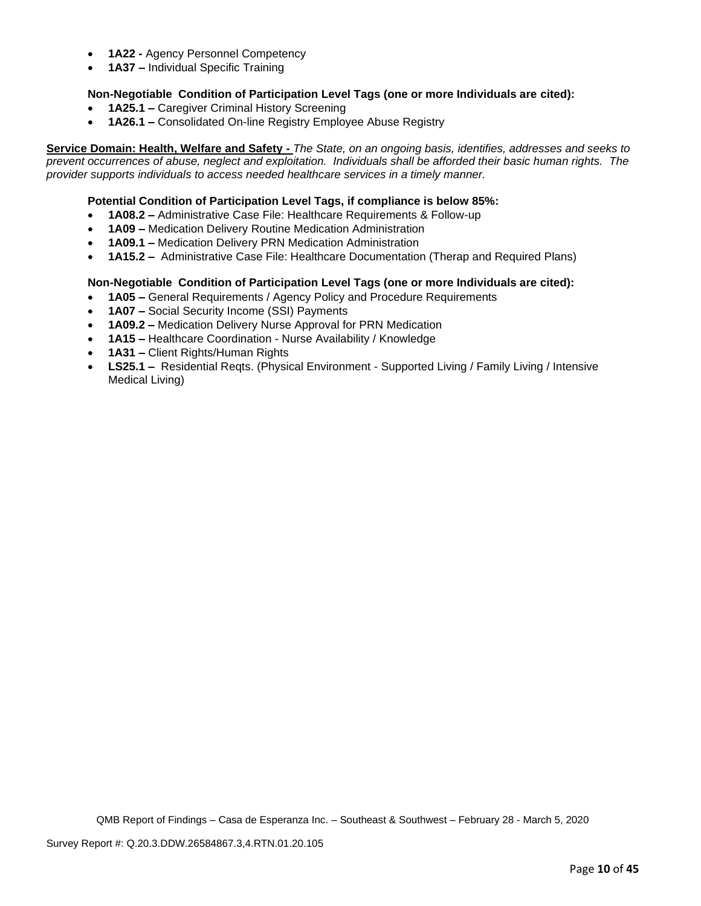- **1A22 -** Agency Personnel Competency
- **1A37 –** Individual Specific Training

## **Non-Negotiable Condition of Participation Level Tags (one or more Individuals are cited):**

- **1A25.1 –** Caregiver Criminal History Screening
- **1A26.1 –** Consolidated On-line Registry Employee Abuse Registry

**Service Domain: Health, Welfare and Safety -** *The State, on an ongoing basis, identifies, addresses and seeks to prevent occurrences of abuse, neglect and exploitation. Individuals shall be afforded their basic human rights. The provider supports individuals to access needed healthcare services in a timely manner.*

#### **Potential Condition of Participation Level Tags, if compliance is below 85%:**

- **1A08.2 –** Administrative Case File: Healthcare Requirements & Follow-up
- **1A09 –** Medication Delivery Routine Medication Administration
- **1A09.1 –** Medication Delivery PRN Medication Administration
- **1A15.2 –** Administrative Case File: Healthcare Documentation (Therap and Required Plans)

#### **Non-Negotiable Condition of Participation Level Tags (one or more Individuals are cited):**

- **1A05 –** General Requirements / Agency Policy and Procedure Requirements
- **1A07 –** Social Security Income (SSI) Payments
- **1A09.2 –** Medication Delivery Nurse Approval for PRN Medication
- **1A15 –** Healthcare Coordination Nurse Availability / Knowledge
- **1A31 –** Client Rights/Human Rights
- **LS25.1 –** Residential Reqts. (Physical Environment Supported Living / Family Living / Intensive Medical Living)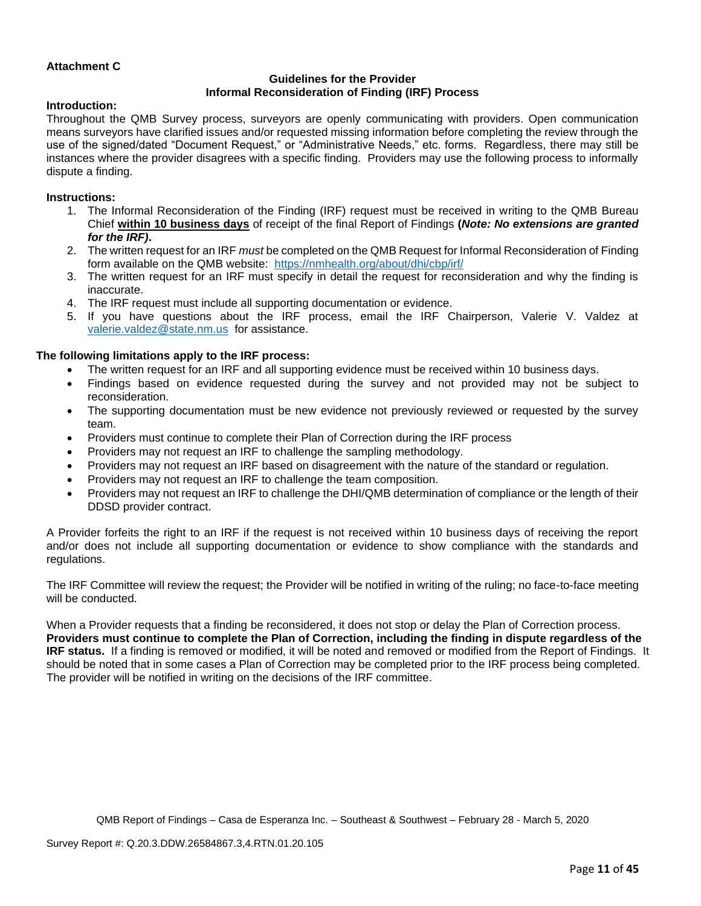## **Attachment C**

## **Guidelines for the Provider Informal Reconsideration of Finding (IRF) Process**

#### **Introduction:**

Throughout the QMB Survey process, surveyors are openly communicating with providers. Open communication means surveyors have clarified issues and/or requested missing information before completing the review through the use of the signed/dated "Document Request," or "Administrative Needs," etc. forms. Regardless, there may still be instances where the provider disagrees with a specific finding. Providers may use the following process to informally dispute a finding.

#### **Instructions:**

- 1. The Informal Reconsideration of the Finding (IRF) request must be received in writing to the QMB Bureau Chief **within 10 business days** of receipt of the final Report of Findings **(***Note: No extensions are granted for the IRF)***.**
- 2. The written request for an IRF *must* be completed on the QMB Request for Informal Reconsideration of Finding form available on the QMB website: <https://nmhealth.org/about/dhi/cbp/irf/>
- 3. The written request for an IRF must specify in detail the request for reconsideration and why the finding is inaccurate.
- 4. The IRF request must include all supporting documentation or evidence.
- 5. If you have questions about the IRF process, email the IRF Chairperson, Valerie V. Valdez at [valerie.valdez@state.nm.us](mailto:valerie.valdez@state.nm.us) for assistance.

#### **The following limitations apply to the IRF process:**

- The written request for an IRF and all supporting evidence must be received within 10 business days.
- Findings based on evidence requested during the survey and not provided may not be subject to reconsideration.
- The supporting documentation must be new evidence not previously reviewed or requested by the survey team.
- Providers must continue to complete their Plan of Correction during the IRF process
- Providers may not request an IRF to challenge the sampling methodology.
- Providers may not request an IRF based on disagreement with the nature of the standard or regulation.
- Providers may not request an IRF to challenge the team composition.
- Providers may not request an IRF to challenge the DHI/QMB determination of compliance or the length of their DDSD provider contract.

A Provider forfeits the right to an IRF if the request is not received within 10 business days of receiving the report and/or does not include all supporting documentation or evidence to show compliance with the standards and regulations.

The IRF Committee will review the request; the Provider will be notified in writing of the ruling; no face-to-face meeting will be conducted.

When a Provider requests that a finding be reconsidered, it does not stop or delay the Plan of Correction process. **Providers must continue to complete the Plan of Correction, including the finding in dispute regardless of the IRF status.** If a finding is removed or modified, it will be noted and removed or modified from the Report of Findings. It should be noted that in some cases a Plan of Correction may be completed prior to the IRF process being completed. The provider will be notified in writing on the decisions of the IRF committee.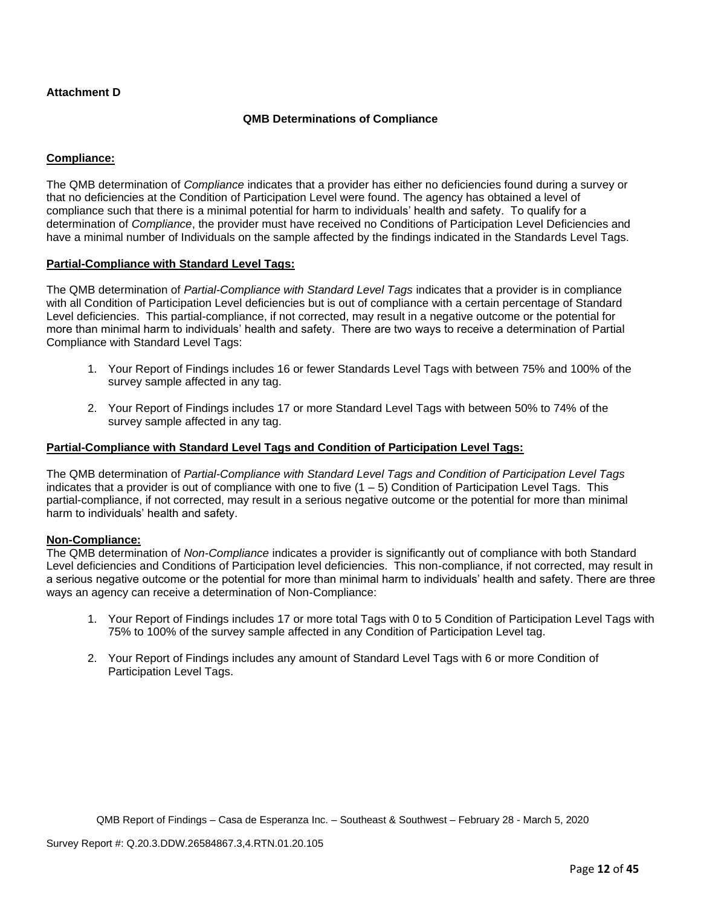## **Attachment D**

## **QMB Determinations of Compliance**

## **Compliance:**

The QMB determination of *Compliance* indicates that a provider has either no deficiencies found during a survey or that no deficiencies at the Condition of Participation Level were found. The agency has obtained a level of compliance such that there is a minimal potential for harm to individuals' health and safety. To qualify for a determination of *Compliance*, the provider must have received no Conditions of Participation Level Deficiencies and have a minimal number of Individuals on the sample affected by the findings indicated in the Standards Level Tags.

#### **Partial-Compliance with Standard Level Tags:**

The QMB determination of *Partial-Compliance with Standard Level Tags* indicates that a provider is in compliance with all Condition of Participation Level deficiencies but is out of compliance with a certain percentage of Standard Level deficiencies. This partial-compliance, if not corrected, may result in a negative outcome or the potential for more than minimal harm to individuals' health and safety. There are two ways to receive a determination of Partial Compliance with Standard Level Tags:

- 1. Your Report of Findings includes 16 or fewer Standards Level Tags with between 75% and 100% of the survey sample affected in any tag.
- 2. Your Report of Findings includes 17 or more Standard Level Tags with between 50% to 74% of the survey sample affected in any tag.

#### **Partial-Compliance with Standard Level Tags and Condition of Participation Level Tags:**

The QMB determination of *Partial-Compliance with Standard Level Tags and Condition of Participation Level Tags*  indicates that a provider is out of compliance with one to five  $(1 - 5)$  Condition of Participation Level Tags. This partial-compliance, if not corrected, may result in a serious negative outcome or the potential for more than minimal harm to individuals' health and safety.

#### **Non-Compliance:**

The QMB determination of *Non-Compliance* indicates a provider is significantly out of compliance with both Standard Level deficiencies and Conditions of Participation level deficiencies. This non-compliance, if not corrected, may result in a serious negative outcome or the potential for more than minimal harm to individuals' health and safety. There are three ways an agency can receive a determination of Non-Compliance:

- 1. Your Report of Findings includes 17 or more total Tags with 0 to 5 Condition of Participation Level Tags with 75% to 100% of the survey sample affected in any Condition of Participation Level tag.
- 2. Your Report of Findings includes any amount of Standard Level Tags with 6 or more Condition of Participation Level Tags.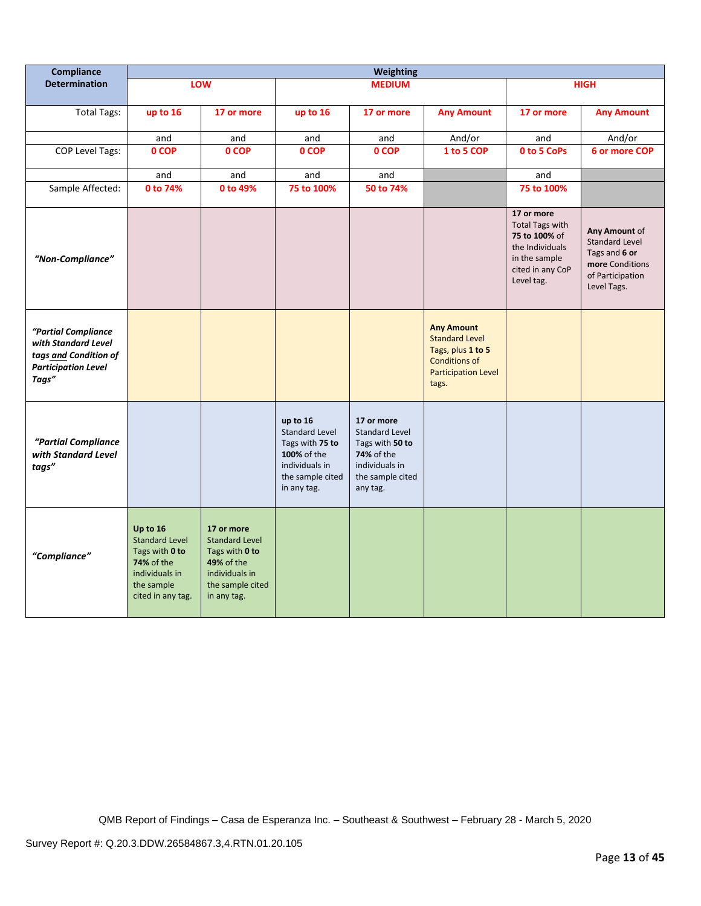| Compliance                                                                                                 | <b>Weighting</b>                                                                                                              |                                                                                                                                 |                                                                                                                          |                                                                                                                        |                                                                                                                                |                                                                                                                             |                                                                                                               |
|------------------------------------------------------------------------------------------------------------|-------------------------------------------------------------------------------------------------------------------------------|---------------------------------------------------------------------------------------------------------------------------------|--------------------------------------------------------------------------------------------------------------------------|------------------------------------------------------------------------------------------------------------------------|--------------------------------------------------------------------------------------------------------------------------------|-----------------------------------------------------------------------------------------------------------------------------|---------------------------------------------------------------------------------------------------------------|
| <b>Determination</b>                                                                                       |                                                                                                                               | LOW                                                                                                                             |                                                                                                                          | <b>MEDIUM</b>                                                                                                          |                                                                                                                                |                                                                                                                             | <b>HIGH</b>                                                                                                   |
| <b>Total Tags:</b>                                                                                         | up to 16                                                                                                                      | 17 or more                                                                                                                      | up to 16                                                                                                                 | 17 or more                                                                                                             | <b>Any Amount</b>                                                                                                              | 17 or more                                                                                                                  | <b>Any Amount</b>                                                                                             |
|                                                                                                            | and                                                                                                                           | and                                                                                                                             | and                                                                                                                      | and                                                                                                                    | And/or                                                                                                                         | and                                                                                                                         | And/or                                                                                                        |
| <b>COP Level Tags:</b>                                                                                     | 0 COP                                                                                                                         | 0 COP                                                                                                                           | 0 COP                                                                                                                    | 0 COP                                                                                                                  | 1 to 5 COP                                                                                                                     | 0 to 5 CoPs                                                                                                                 | 6 or more COP                                                                                                 |
|                                                                                                            | and                                                                                                                           | and                                                                                                                             | and                                                                                                                      | and                                                                                                                    |                                                                                                                                | and                                                                                                                         |                                                                                                               |
| Sample Affected:                                                                                           | 0 to 74%                                                                                                                      | 0 to 49%                                                                                                                        | 75 to 100%                                                                                                               | 50 to 74%                                                                                                              |                                                                                                                                | 75 to 100%                                                                                                                  |                                                                                                               |
| "Non-Compliance"                                                                                           |                                                                                                                               |                                                                                                                                 |                                                                                                                          |                                                                                                                        |                                                                                                                                | 17 or more<br><b>Total Tags with</b><br>75 to 100% of<br>the Individuals<br>in the sample<br>cited in any CoP<br>Level tag. | Any Amount of<br><b>Standard Level</b><br>Tags and 6 or<br>more Conditions<br>of Participation<br>Level Tags. |
| "Partial Compliance<br>with Standard Level<br>tags and Condition of<br><b>Participation Level</b><br>Tags" |                                                                                                                               |                                                                                                                                 |                                                                                                                          |                                                                                                                        | <b>Any Amount</b><br><b>Standard Level</b><br>Tags, plus 1 to 5<br><b>Conditions of</b><br><b>Participation Level</b><br>tags. |                                                                                                                             |                                                                                                               |
| "Partial Compliance<br>with Standard Level<br>tags"                                                        |                                                                                                                               |                                                                                                                                 | up to 16<br><b>Standard Level</b><br>Tags with 75 to<br>100% of the<br>individuals in<br>the sample cited<br>in any tag. | 17 or more<br><b>Standard Level</b><br>Tags with 50 to<br>74% of the<br>individuals in<br>the sample cited<br>any tag. |                                                                                                                                |                                                                                                                             |                                                                                                               |
| "Compliance"                                                                                               | Up to 16<br><b>Standard Level</b><br>Tags with 0 to<br><b>74% of the</b><br>individuals in<br>the sample<br>cited in any tag. | 17 or more<br><b>Standard Level</b><br>Tags with 0 to<br><b>49% of the</b><br>individuals in<br>the sample cited<br>in any tag. |                                                                                                                          |                                                                                                                        |                                                                                                                                |                                                                                                                             |                                                                                                               |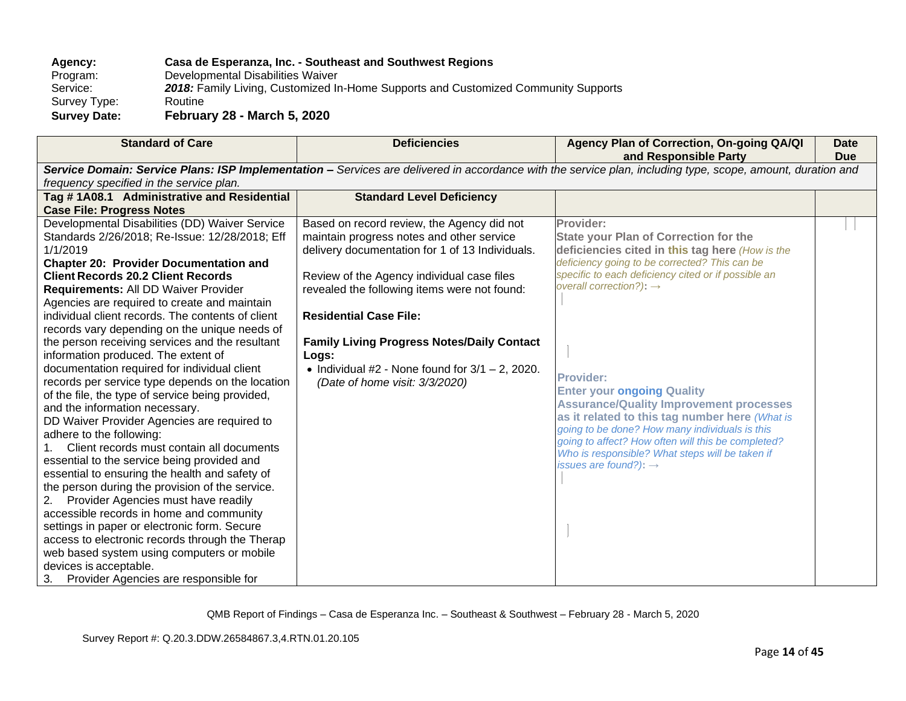# **Agency: Casa de Esperanza, Inc. - Southeast and Southwest Regions**

Program: Developmental Disabilities Waiver<br>Service: 2018: Family Living, Customized In 2018: Family Living, Customized In-Home Supports and Customized Community Supports Routine Survey Type: **Survey Date: February 28 - March 5, 2020**

| <b>Standard of Care</b>                                                                                                                                                                                                                                                                                                                                                                                                                                                                                                                                                                                                                                                                                                                                                                                                                                                                                                                                                                                                                                                                                                                                                                                                                                                                                | <b>Deficiencies</b>                                                                                                                                                                                                                                                                                                                                                                                                             | Agency Plan of Correction, On-going QA/QI<br>and Responsible Party                                                                                                                                                                                                                                                                                                                                                                                                                                                                                                                                                       | <b>Date</b><br><b>Due</b> |
|--------------------------------------------------------------------------------------------------------------------------------------------------------------------------------------------------------------------------------------------------------------------------------------------------------------------------------------------------------------------------------------------------------------------------------------------------------------------------------------------------------------------------------------------------------------------------------------------------------------------------------------------------------------------------------------------------------------------------------------------------------------------------------------------------------------------------------------------------------------------------------------------------------------------------------------------------------------------------------------------------------------------------------------------------------------------------------------------------------------------------------------------------------------------------------------------------------------------------------------------------------------------------------------------------------|---------------------------------------------------------------------------------------------------------------------------------------------------------------------------------------------------------------------------------------------------------------------------------------------------------------------------------------------------------------------------------------------------------------------------------|--------------------------------------------------------------------------------------------------------------------------------------------------------------------------------------------------------------------------------------------------------------------------------------------------------------------------------------------------------------------------------------------------------------------------------------------------------------------------------------------------------------------------------------------------------------------------------------------------------------------------|---------------------------|
|                                                                                                                                                                                                                                                                                                                                                                                                                                                                                                                                                                                                                                                                                                                                                                                                                                                                                                                                                                                                                                                                                                                                                                                                                                                                                                        |                                                                                                                                                                                                                                                                                                                                                                                                                                 | Service Domain: Service Plans: ISP Implementation - Services are delivered in accordance with the service plan, including type, scope, amount, duration and                                                                                                                                                                                                                                                                                                                                                                                                                                                              |                           |
| frequency specified in the service plan.                                                                                                                                                                                                                                                                                                                                                                                                                                                                                                                                                                                                                                                                                                                                                                                                                                                                                                                                                                                                                                                                                                                                                                                                                                                               |                                                                                                                                                                                                                                                                                                                                                                                                                                 |                                                                                                                                                                                                                                                                                                                                                                                                                                                                                                                                                                                                                          |                           |
| Tag #1A08.1 Administrative and Residential                                                                                                                                                                                                                                                                                                                                                                                                                                                                                                                                                                                                                                                                                                                                                                                                                                                                                                                                                                                                                                                                                                                                                                                                                                                             | <b>Standard Level Deficiency</b>                                                                                                                                                                                                                                                                                                                                                                                                |                                                                                                                                                                                                                                                                                                                                                                                                                                                                                                                                                                                                                          |                           |
| <b>Case File: Progress Notes</b>                                                                                                                                                                                                                                                                                                                                                                                                                                                                                                                                                                                                                                                                                                                                                                                                                                                                                                                                                                                                                                                                                                                                                                                                                                                                       |                                                                                                                                                                                                                                                                                                                                                                                                                                 |                                                                                                                                                                                                                                                                                                                                                                                                                                                                                                                                                                                                                          |                           |
| Developmental Disabilities (DD) Waiver Service<br>Standards 2/26/2018; Re-Issue: 12/28/2018; Eff<br>1/1/2019<br><b>Chapter 20: Provider Documentation and</b><br><b>Client Records 20.2 Client Records</b><br>Requirements: All DD Waiver Provider<br>Agencies are required to create and maintain<br>individual client records. The contents of client<br>records vary depending on the unique needs of<br>the person receiving services and the resultant<br>information produced. The extent of<br>documentation required for individual client<br>records per service type depends on the location<br>of the file, the type of service being provided,<br>and the information necessary.<br>DD Waiver Provider Agencies are required to<br>adhere to the following:<br>Client records must contain all documents<br>$1_{-}$<br>essential to the service being provided and<br>essential to ensuring the health and safety of<br>the person during the provision of the service.<br>Provider Agencies must have readily<br>2.<br>accessible records in home and community<br>settings in paper or electronic form. Secure<br>access to electronic records through the Therap<br>web based system using computers or mobile<br>devices is acceptable.<br>Provider Agencies are responsible for<br>3. | Based on record review, the Agency did not<br>maintain progress notes and other service<br>delivery documentation for 1 of 13 Individuals.<br>Review of the Agency individual case files<br>revealed the following items were not found:<br><b>Residential Case File:</b><br><b>Family Living Progress Notes/Daily Contact</b><br>Logs:<br>• Individual #2 - None found for $3/1 - 2$ , 2020.<br>(Date of home visit: 3/3/2020) | Provider:<br><b>State your Plan of Correction for the</b><br>deficiencies cited in this tag here (How is the<br>deficiency going to be corrected? This can be<br>specific to each deficiency cited or if possible an<br>overall correction?): $\rightarrow$<br><b>Provider:</b><br><b>Enter your ongoing Quality</b><br><b>Assurance/Quality Improvement processes</b><br>as it related to this tag number here (What is<br>going to be done? How many individuals is this<br>going to affect? How often will this be completed?<br>Who is responsible? What steps will be taken if<br>issues are found?): $\rightarrow$ |                           |
|                                                                                                                                                                                                                                                                                                                                                                                                                                                                                                                                                                                                                                                                                                                                                                                                                                                                                                                                                                                                                                                                                                                                                                                                                                                                                                        |                                                                                                                                                                                                                                                                                                                                                                                                                                 |                                                                                                                                                                                                                                                                                                                                                                                                                                                                                                                                                                                                                          |                           |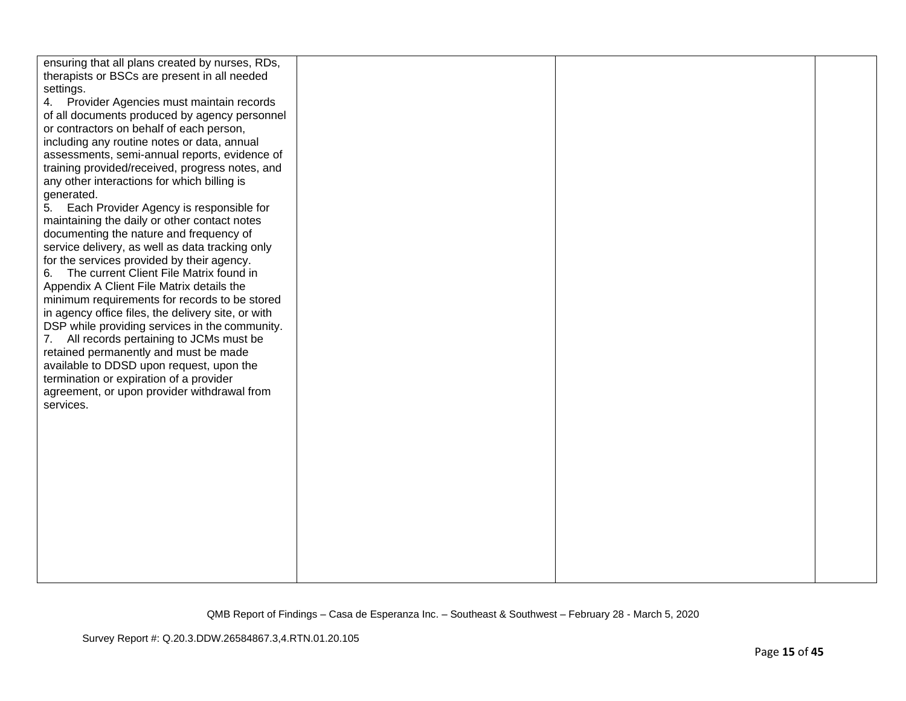| ensuring that all plans created by nurses, RDs,    |  |  |
|----------------------------------------------------|--|--|
| therapists or BSCs are present in all needed       |  |  |
| settings.                                          |  |  |
| 4. Provider Agencies must maintain records         |  |  |
| of all documents produced by agency personnel      |  |  |
| or contractors on behalf of each person,           |  |  |
| including any routine notes or data, annual        |  |  |
| assessments, semi-annual reports, evidence of      |  |  |
| training provided/received, progress notes, and    |  |  |
| any other interactions for which billing is        |  |  |
| generated.                                         |  |  |
| 5. Each Provider Agency is responsible for         |  |  |
| maintaining the daily or other contact notes       |  |  |
| documenting the nature and frequency of            |  |  |
| service delivery, as well as data tracking only    |  |  |
| for the services provided by their agency.         |  |  |
| 6. The current Client File Matrix found in         |  |  |
| Appendix A Client File Matrix details the          |  |  |
| minimum requirements for records to be stored      |  |  |
| in agency office files, the delivery site, or with |  |  |
| DSP while providing services in the community.     |  |  |
| 7. All records pertaining to JCMs must be          |  |  |
| retained permanently and must be made              |  |  |
| available to DDSD upon request, upon the           |  |  |
| termination or expiration of a provider            |  |  |
| agreement, or upon provider withdrawal from        |  |  |
| services.                                          |  |  |
|                                                    |  |  |
|                                                    |  |  |
|                                                    |  |  |
|                                                    |  |  |
|                                                    |  |  |
|                                                    |  |  |
|                                                    |  |  |
|                                                    |  |  |
|                                                    |  |  |
|                                                    |  |  |
|                                                    |  |  |
|                                                    |  |  |
|                                                    |  |  |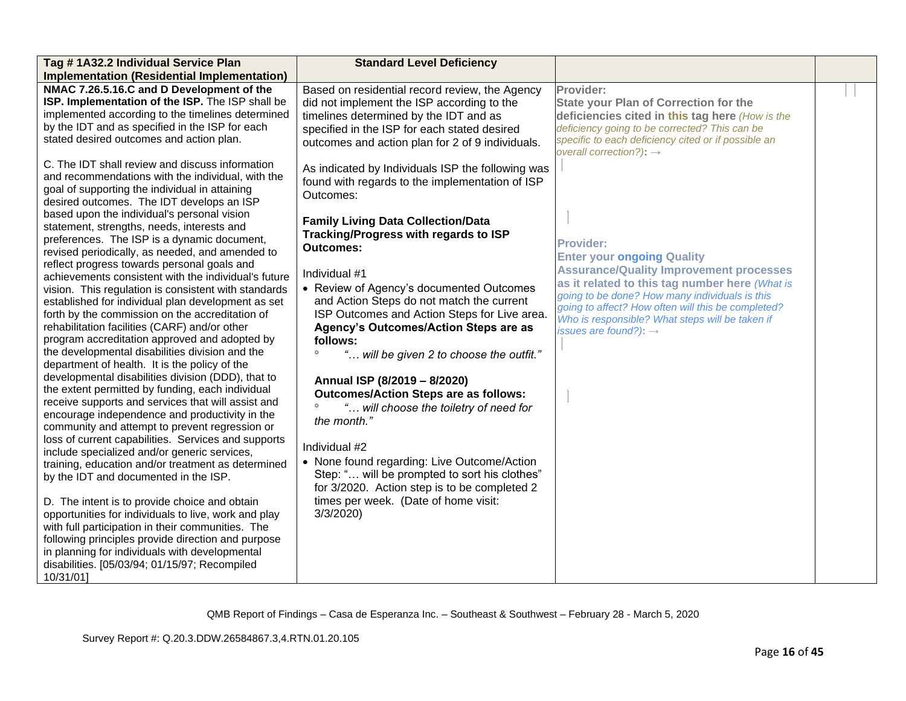| Tag #1A32.2 Individual Service Plan                                                                                                                                                                                                                                                                                                                                                                                                                                                                                                    | <b>Standard Level Deficiency</b>                                                                                                                                                                                                                  |                                                                                                                                                                                                                                                                                                                      |  |
|----------------------------------------------------------------------------------------------------------------------------------------------------------------------------------------------------------------------------------------------------------------------------------------------------------------------------------------------------------------------------------------------------------------------------------------------------------------------------------------------------------------------------------------|---------------------------------------------------------------------------------------------------------------------------------------------------------------------------------------------------------------------------------------------------|----------------------------------------------------------------------------------------------------------------------------------------------------------------------------------------------------------------------------------------------------------------------------------------------------------------------|--|
| <b>Implementation (Residential Implementation)</b>                                                                                                                                                                                                                                                                                                                                                                                                                                                                                     |                                                                                                                                                                                                                                                   |                                                                                                                                                                                                                                                                                                                      |  |
| NMAC 7.26.5.16.C and D Development of the<br>ISP. Implementation of the ISP. The ISP shall be<br>implemented according to the timelines determined<br>by the IDT and as specified in the ISP for each<br>stated desired outcomes and action plan.                                                                                                                                                                                                                                                                                      | Based on residential record review, the Agency<br>did not implement the ISP according to the<br>timelines determined by the IDT and as<br>specified in the ISP for each stated desired<br>outcomes and action plan for 2 of 9 individuals.        | Provider:<br><b>State your Plan of Correction for the</b><br>deficiencies cited in this tag here (How is the<br>deficiency going to be corrected? This can be<br>specific to each deficiency cited or if possible an<br>overall correction?): $\rightarrow$                                                          |  |
| C. The IDT shall review and discuss information<br>and recommendations with the individual, with the<br>goal of supporting the individual in attaining<br>desired outcomes. The IDT develops an ISP<br>based upon the individual's personal vision<br>statement, strengths, needs, interests and                                                                                                                                                                                                                                       | As indicated by Individuals ISP the following was<br>found with regards to the implementation of ISP<br>Outcomes:<br><b>Family Living Data Collection/Data</b>                                                                                    |                                                                                                                                                                                                                                                                                                                      |  |
| preferences. The ISP is a dynamic document,<br>revised periodically, as needed, and amended to<br>reflect progress towards personal goals and<br>achievements consistent with the individual's future<br>vision. This regulation is consistent with standards<br>established for individual plan development as set<br>forth by the commission on the accreditation of                                                                                                                                                                 | Tracking/Progress with regards to ISP<br><b>Outcomes:</b><br>Individual #1<br>• Review of Agency's documented Outcomes<br>and Action Steps do not match the current<br>ISP Outcomes and Action Steps for Live area.                               | <b>Provider:</b><br><b>Enter your ongoing Quality</b><br><b>Assurance/Quality Improvement processes</b><br>as it related to this tag number here (What is<br>going to be done? How many individuals is this<br>going to affect? How often will this be completed?<br>Who is responsible? What steps will be taken if |  |
| rehabilitation facilities (CARF) and/or other<br>program accreditation approved and adopted by<br>the developmental disabilities division and the<br>department of health. It is the policy of the<br>developmental disabilities division (DDD), that to<br>the extent permitted by funding, each individual<br>receive supports and services that will assist and<br>encourage independence and productivity in the<br>community and attempt to prevent regression or                                                                 | Agency's Outcomes/Action Steps are as<br>follows:<br>" will be given 2 to choose the outfit."<br>$\circ$<br>Annual ISP (8/2019 - 8/2020)<br><b>Outcomes/Action Steps are as follows:</b><br>" will choose the toiletry of need for<br>the month." | issues are found?): $\rightarrow$                                                                                                                                                                                                                                                                                    |  |
| loss of current capabilities. Services and supports<br>include specialized and/or generic services,<br>training, education and/or treatment as determined<br>by the IDT and documented in the ISP.<br>D. The intent is to provide choice and obtain<br>opportunities for individuals to live, work and play<br>with full participation in their communities. The<br>following principles provide direction and purpose<br>in planning for individuals with developmental<br>disabilities. [05/03/94; 01/15/97; Recompiled<br>10/31/01] | Individual #2<br>• None found regarding: Live Outcome/Action<br>Step: " will be prompted to sort his clothes"<br>for 3/2020. Action step is to be completed 2<br>times per week. (Date of home visit:<br>3/3/2020                                 |                                                                                                                                                                                                                                                                                                                      |  |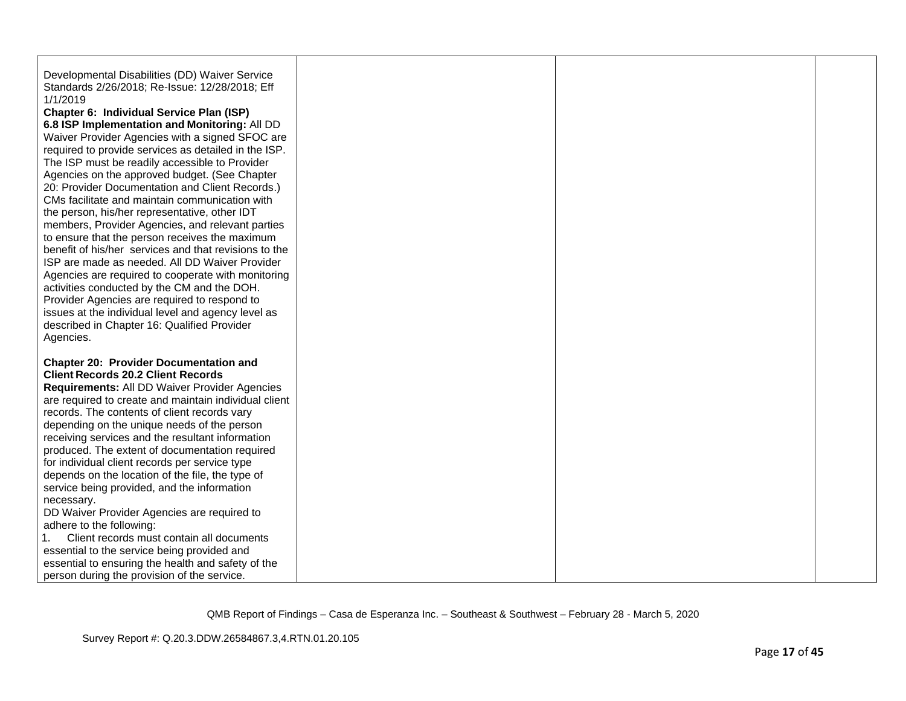| Developmental Disabilities (DD) Waiver Service<br>Standards 2/26/2018; Re-Issue: 12/28/2018; Eff        |  |  |
|---------------------------------------------------------------------------------------------------------|--|--|
| 1/1/2019                                                                                                |  |  |
| Chapter 6: Individual Service Plan (ISP)                                                                |  |  |
| 6.8 ISP Implementation and Monitoring: All DD                                                           |  |  |
| Waiver Provider Agencies with a signed SFOC are<br>required to provide services as detailed in the ISP. |  |  |
| The ISP must be readily accessible to Provider                                                          |  |  |
| Agencies on the approved budget. (See Chapter                                                           |  |  |
| 20: Provider Documentation and Client Records.)                                                         |  |  |
| CMs facilitate and maintain communication with                                                          |  |  |
| the person, his/her representative, other IDT                                                           |  |  |
| members, Provider Agencies, and relevant parties                                                        |  |  |
| to ensure that the person receives the maximum                                                          |  |  |
| benefit of his/her services and that revisions to the                                                   |  |  |
| ISP are made as needed. All DD Waiver Provider                                                          |  |  |
| Agencies are required to cooperate with monitoring                                                      |  |  |
| activities conducted by the CM and the DOH.                                                             |  |  |
| Provider Agencies are required to respond to                                                            |  |  |
| issues at the individual level and agency level as                                                      |  |  |
| described in Chapter 16: Qualified Provider                                                             |  |  |
| Agencies.                                                                                               |  |  |
| <b>Chapter 20: Provider Documentation and</b>                                                           |  |  |
| <b>Client Records 20.2 Client Records</b>                                                               |  |  |
| <b>Requirements: All DD Waiver Provider Agencies</b>                                                    |  |  |
| are required to create and maintain individual client                                                   |  |  |
| records. The contents of client records vary                                                            |  |  |
| depending on the unique needs of the person                                                             |  |  |
| receiving services and the resultant information                                                        |  |  |
| produced. The extent of documentation required                                                          |  |  |
| for individual client records per service type                                                          |  |  |
| depends on the location of the file, the type of                                                        |  |  |
| service being provided, and the information                                                             |  |  |
| necessary.                                                                                              |  |  |
| DD Waiver Provider Agencies are required to                                                             |  |  |
| adhere to the following:                                                                                |  |  |
| 1.<br>Client records must contain all documents                                                         |  |  |
| essential to the service being provided and                                                             |  |  |
| essential to ensuring the health and safety of the                                                      |  |  |
| person during the provision of the service.                                                             |  |  |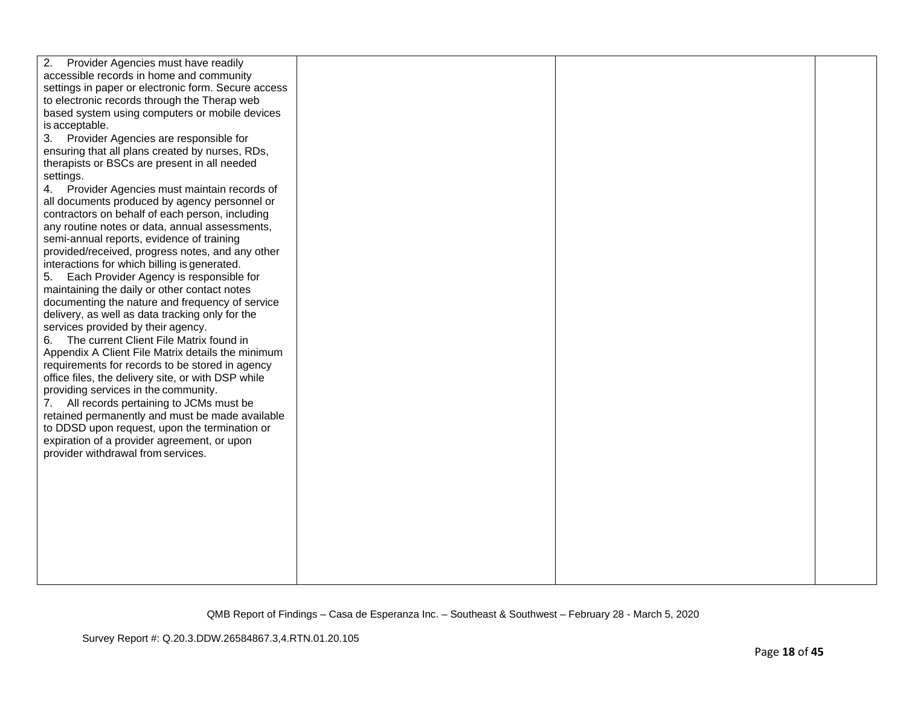| 2.<br>Provider Agencies must have readily           |  |  |
|-----------------------------------------------------|--|--|
| accessible records in home and community            |  |  |
| settings in paper or electronic form. Secure access |  |  |
| to electronic records through the Therap web        |  |  |
| based system using computers or mobile devices      |  |  |
| is acceptable.                                      |  |  |
| 3. Provider Agencies are responsible for            |  |  |
| ensuring that all plans created by nurses, RDs,     |  |  |
| therapists or BSCs are present in all needed        |  |  |
| settings.                                           |  |  |
| 4. Provider Agencies must maintain records of       |  |  |
| all documents produced by agency personnel or       |  |  |
| contractors on behalf of each person, including     |  |  |
| any routine notes or data, annual assessments,      |  |  |
| semi-annual reports, evidence of training           |  |  |
| provided/received, progress notes, and any other    |  |  |
| interactions for which billing is generated.        |  |  |
| Each Provider Agency is responsible for<br>5.       |  |  |
| maintaining the daily or other contact notes        |  |  |
| documenting the nature and frequency of service     |  |  |
| delivery, as well as data tracking only for the     |  |  |
| services provided by their agency.                  |  |  |
| 6. The current Client File Matrix found in          |  |  |
| Appendix A Client File Matrix details the minimum   |  |  |
| requirements for records to be stored in agency     |  |  |
| office files, the delivery site, or with DSP while  |  |  |
| providing services in the community.                |  |  |
| 7. All records pertaining to JCMs must be           |  |  |
| retained permanently and must be made available     |  |  |
| to DDSD upon request, upon the termination or       |  |  |
| expiration of a provider agreement, or upon         |  |  |
| provider withdrawal from services.                  |  |  |
|                                                     |  |  |
|                                                     |  |  |
|                                                     |  |  |
|                                                     |  |  |
|                                                     |  |  |
|                                                     |  |  |
|                                                     |  |  |
|                                                     |  |  |
|                                                     |  |  |
|                                                     |  |  |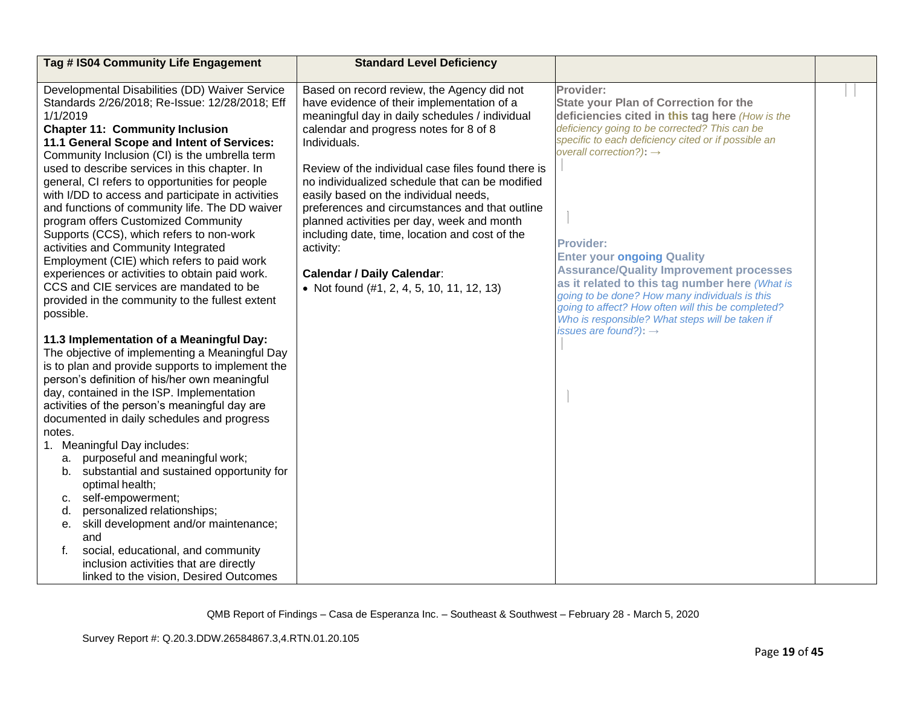| Tag # IS04 Community Life Engagement                                                             | <b>Standard Level Deficiency</b>                                                             |                                                                                                       |  |
|--------------------------------------------------------------------------------------------------|----------------------------------------------------------------------------------------------|-------------------------------------------------------------------------------------------------------|--|
|                                                                                                  |                                                                                              |                                                                                                       |  |
| Developmental Disabilities (DD) Waiver Service<br>Standards 2/26/2018; Re-Issue: 12/28/2018; Eff | Based on record review, the Agency did not                                                   | Provider:                                                                                             |  |
| 1/1/2019                                                                                         | have evidence of their implementation of a<br>meaningful day in daily schedules / individual | <b>State your Plan of Correction for the</b><br>deficiencies cited in this tag here (How is the       |  |
| <b>Chapter 11: Community Inclusion</b>                                                           | calendar and progress notes for 8 of 8                                                       | deficiency going to be corrected? This can be                                                         |  |
| 11.1 General Scope and Intent of Services:                                                       | Individuals.                                                                                 | specific to each deficiency cited or if possible an                                                   |  |
| Community Inclusion (CI) is the umbrella term                                                    |                                                                                              | overall correction?): $\rightarrow$                                                                   |  |
| used to describe services in this chapter. In                                                    | Review of the individual case files found there is                                           |                                                                                                       |  |
| general, CI refers to opportunities for people                                                   | no individualized schedule that can be modified                                              |                                                                                                       |  |
| with I/DD to access and participate in activities                                                | easily based on the individual needs,                                                        |                                                                                                       |  |
| and functions of community life. The DD waiver                                                   | preferences and circumstances and that outline                                               |                                                                                                       |  |
| program offers Customized Community                                                              | planned activities per day, week and month                                                   |                                                                                                       |  |
| Supports (CCS), which refers to non-work                                                         | including date, time, location and cost of the                                               | <b>Provider:</b>                                                                                      |  |
| activities and Community Integrated<br>Employment (CIE) which refers to paid work                | activity:                                                                                    | <b>Enter your ongoing Quality</b>                                                                     |  |
| experiences or activities to obtain paid work.                                                   | <b>Calendar / Daily Calendar:</b>                                                            | <b>Assurance/Quality Improvement processes</b>                                                        |  |
| CCS and CIE services are mandated to be                                                          | • Not found $(\#1, 2, 4, 5, 10, 11, 12, 13)$                                                 | as it related to this tag number here (What is                                                        |  |
| provided in the community to the fullest extent                                                  |                                                                                              | going to be done? How many individuals is this                                                        |  |
| possible.                                                                                        |                                                                                              | going to affect? How often will this be completed?<br>Who is responsible? What steps will be taken if |  |
|                                                                                                  |                                                                                              | issues are found?): $\rightarrow$                                                                     |  |
| 11.3 Implementation of a Meaningful Day:                                                         |                                                                                              |                                                                                                       |  |
| The objective of implementing a Meaningful Day                                                   |                                                                                              |                                                                                                       |  |
| is to plan and provide supports to implement the                                                 |                                                                                              |                                                                                                       |  |
| person's definition of his/her own meaningful                                                    |                                                                                              |                                                                                                       |  |
| day, contained in the ISP. Implementation<br>activities of the person's meaningful day are       |                                                                                              |                                                                                                       |  |
| documented in daily schedules and progress                                                       |                                                                                              |                                                                                                       |  |
| notes.                                                                                           |                                                                                              |                                                                                                       |  |
| 1. Meaningful Day includes:                                                                      |                                                                                              |                                                                                                       |  |
| a. purposeful and meaningful work;                                                               |                                                                                              |                                                                                                       |  |
| b. substantial and sustained opportunity for                                                     |                                                                                              |                                                                                                       |  |
| optimal health;                                                                                  |                                                                                              |                                                                                                       |  |
| self-empowerment;<br>с.                                                                          |                                                                                              |                                                                                                       |  |
| personalized relationships;<br>d.                                                                |                                                                                              |                                                                                                       |  |
| e. skill development and/or maintenance;                                                         |                                                                                              |                                                                                                       |  |
| and                                                                                              |                                                                                              |                                                                                                       |  |
| social, educational, and community<br>f.                                                         |                                                                                              |                                                                                                       |  |
| inclusion activities that are directly<br>linked to the vision, Desired Outcomes                 |                                                                                              |                                                                                                       |  |
|                                                                                                  |                                                                                              |                                                                                                       |  |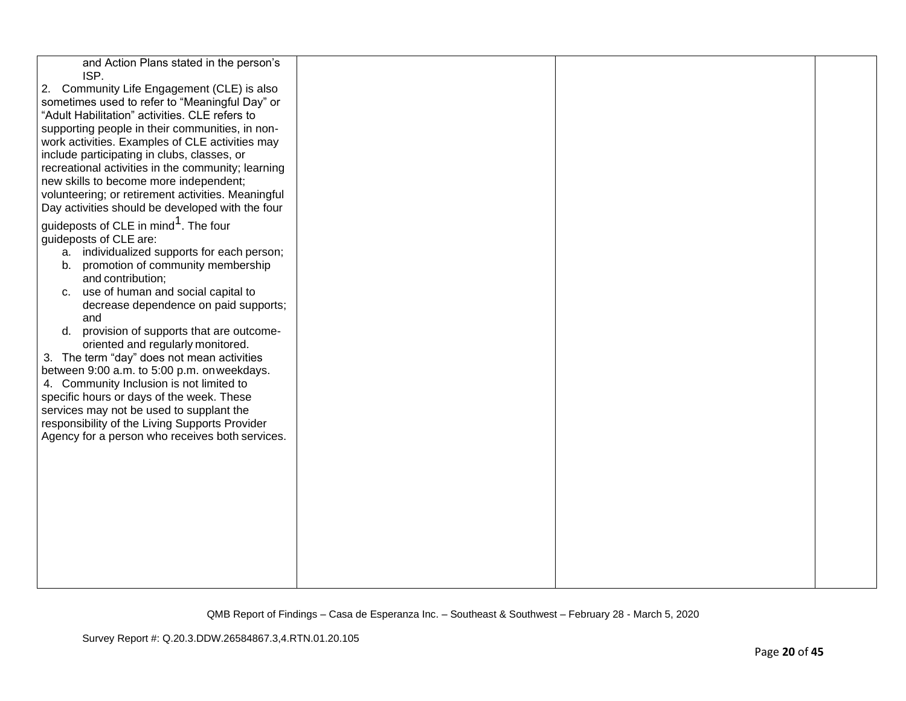| and Action Plans stated in the person's<br>ISP.                                           |  |  |
|-------------------------------------------------------------------------------------------|--|--|
| 2. Community Life Engagement (CLE) is also                                                |  |  |
| sometimes used to refer to "Meaningful Day" or                                            |  |  |
| "Adult Habilitation" activities. CLE refers to                                            |  |  |
| supporting people in their communities, in non-                                           |  |  |
| work activities. Examples of CLE activities may                                           |  |  |
| include participating in clubs, classes, or                                               |  |  |
| recreational activities in the community; learning                                        |  |  |
| new skills to become more independent;                                                    |  |  |
| volunteering; or retirement activities. Meaningful                                        |  |  |
| Day activities should be developed with the four                                          |  |  |
| guideposts of CLE in mind <sup>1</sup> . The four                                         |  |  |
| guideposts of CLE are:                                                                    |  |  |
| a. individualized supports for each person;                                               |  |  |
| promotion of community membership<br>b.                                                   |  |  |
| and contribution;                                                                         |  |  |
| use of human and social capital to<br>C.                                                  |  |  |
| decrease dependence on paid supports;                                                     |  |  |
| and                                                                                       |  |  |
| provision of supports that are outcome-<br>d.                                             |  |  |
| oriented and regularly monitored.                                                         |  |  |
| 3. The term "day" does not mean activities<br>between 9:00 a.m. to 5:00 p.m. on weekdays. |  |  |
| 4. Community Inclusion is not limited to                                                  |  |  |
| specific hours or days of the week. These                                                 |  |  |
| services may not be used to supplant the                                                  |  |  |
| responsibility of the Living Supports Provider                                            |  |  |
| Agency for a person who receives both services.                                           |  |  |
|                                                                                           |  |  |
|                                                                                           |  |  |
|                                                                                           |  |  |
|                                                                                           |  |  |
|                                                                                           |  |  |
|                                                                                           |  |  |
|                                                                                           |  |  |
|                                                                                           |  |  |
|                                                                                           |  |  |
|                                                                                           |  |  |
|                                                                                           |  |  |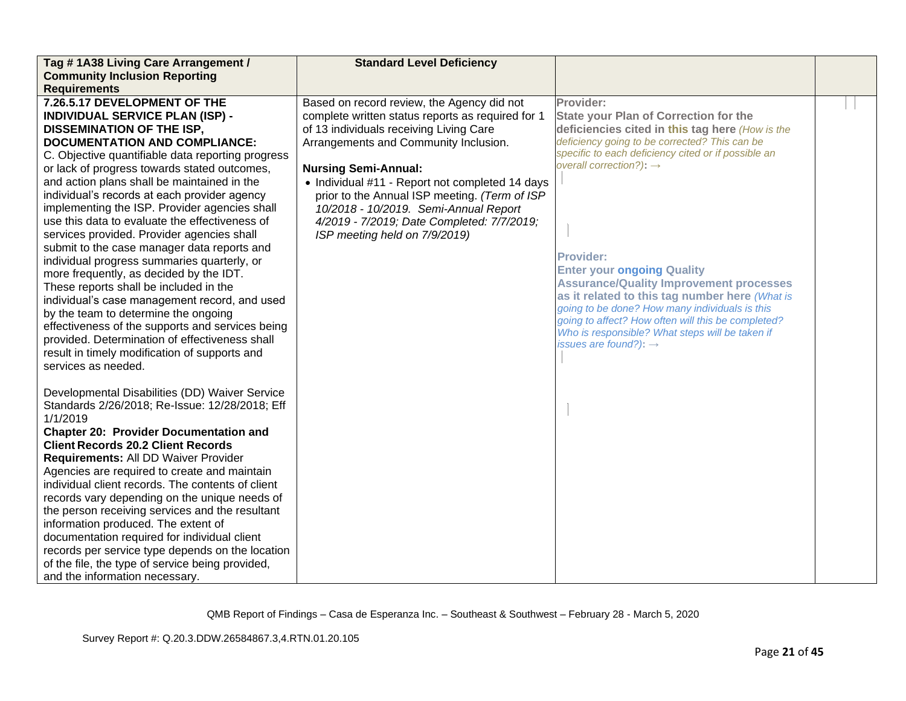| Tag #1A38 Living Care Arrangement /                                                 | <b>Standard Level Deficiency</b>                  |                                                     |  |
|-------------------------------------------------------------------------------------|---------------------------------------------------|-----------------------------------------------------|--|
| <b>Community Inclusion Reporting</b>                                                |                                                   |                                                     |  |
| <b>Requirements</b>                                                                 |                                                   |                                                     |  |
| 7.26.5.17 DEVELOPMENT OF THE                                                        | Based on record review, the Agency did not        | Provider:                                           |  |
| <b>INDIVIDUAL SERVICE PLAN (ISP) -</b>                                              | complete written status reports as required for 1 | <b>State your Plan of Correction for the</b>        |  |
| <b>DISSEMINATION OF THE ISP,</b>                                                    | of 13 individuals receiving Living Care           | deficiencies cited in this tag here (How is the     |  |
| <b>DOCUMENTATION AND COMPLIANCE:</b>                                                | Arrangements and Community Inclusion.             | deficiency going to be corrected? This can be       |  |
| C. Objective quantifiable data reporting progress                                   |                                                   | specific to each deficiency cited or if possible an |  |
| or lack of progress towards stated outcomes,                                        | <b>Nursing Semi-Annual:</b>                       | overall correction?): $\rightarrow$                 |  |
| and action plans shall be maintained in the                                         | • Individual #11 - Report not completed 14 days   |                                                     |  |
| individual's records at each provider agency                                        | prior to the Annual ISP meeting. (Term of ISP     |                                                     |  |
| implementing the ISP. Provider agencies shall                                       | 10/2018 - 10/2019. Semi-Annual Report             |                                                     |  |
| use this data to evaluate the effectiveness of                                      | 4/2019 - 7/2019; Date Completed: 7/7/2019;        |                                                     |  |
| services provided. Provider agencies shall                                          | ISP meeting held on 7/9/2019)                     |                                                     |  |
| submit to the case manager data reports and                                         |                                                   | <b>Provider:</b>                                    |  |
| individual progress summaries quarterly, or                                         |                                                   | <b>Enter your ongoing Quality</b>                   |  |
| more frequently, as decided by the IDT.                                             |                                                   | <b>Assurance/Quality Improvement processes</b>      |  |
| These reports shall be included in the                                              |                                                   | as it related to this tag number here (What is      |  |
| individual's case management record, and used                                       |                                                   | going to be done? How many individuals is this      |  |
| by the team to determine the ongoing                                                |                                                   | going to affect? How often will this be completed?  |  |
| effectiveness of the supports and services being                                    |                                                   | Who is responsible? What steps will be taken if     |  |
| provided. Determination of effectiveness shall                                      |                                                   | issues are found?): $\rightarrow$                   |  |
| result in timely modification of supports and                                       |                                                   |                                                     |  |
| services as needed.                                                                 |                                                   |                                                     |  |
|                                                                                     |                                                   |                                                     |  |
| Developmental Disabilities (DD) Waiver Service                                      |                                                   |                                                     |  |
| Standards 2/26/2018; Re-Issue: 12/28/2018; Eff                                      |                                                   |                                                     |  |
| 1/1/2019                                                                            |                                                   |                                                     |  |
| <b>Chapter 20: Provider Documentation and</b>                                       |                                                   |                                                     |  |
| <b>Client Records 20.2 Client Records</b>                                           |                                                   |                                                     |  |
| Requirements: All DD Waiver Provider                                                |                                                   |                                                     |  |
| Agencies are required to create and maintain                                        |                                                   |                                                     |  |
| individual client records. The contents of client                                   |                                                   |                                                     |  |
| records vary depending on the unique needs of                                       |                                                   |                                                     |  |
| the person receiving services and the resultant                                     |                                                   |                                                     |  |
| information produced. The extent of<br>documentation required for individual client |                                                   |                                                     |  |
| records per service type depends on the location                                    |                                                   |                                                     |  |
| of the file, the type of service being provided,                                    |                                                   |                                                     |  |
|                                                                                     |                                                   |                                                     |  |
| and the information necessary.                                                      |                                                   |                                                     |  |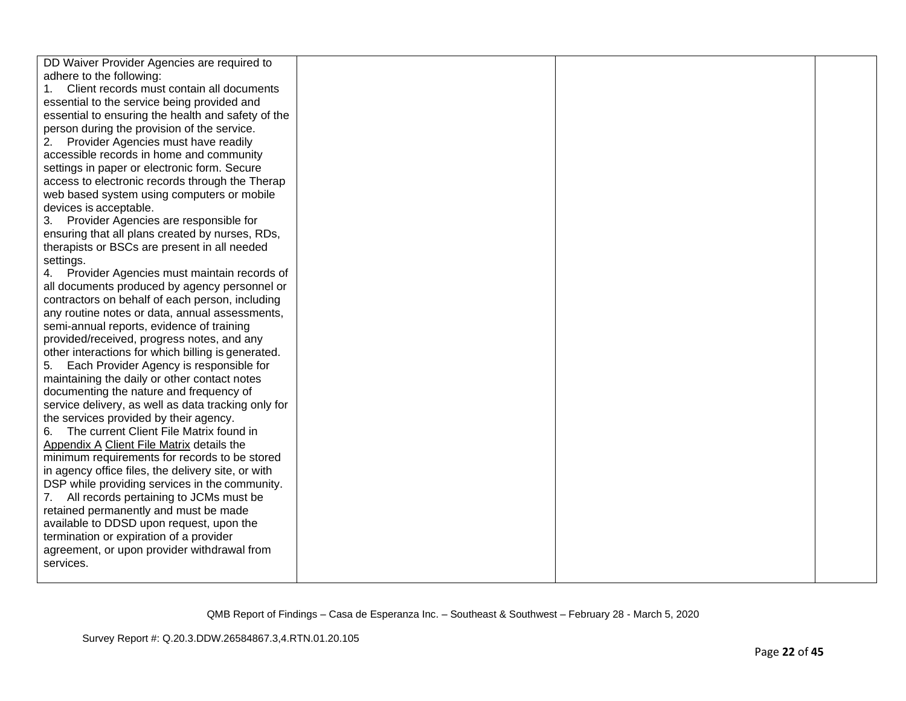| DD Waiver Provider Agencies are required to         |  |  |
|-----------------------------------------------------|--|--|
| adhere to the following:                            |  |  |
| Client records must contain all documents           |  |  |
| essential to the service being provided and         |  |  |
| essential to ensuring the health and safety of the  |  |  |
| person during the provision of the service.         |  |  |
| Provider Agencies must have readily<br>2.           |  |  |
| accessible records in home and community            |  |  |
| settings in paper or electronic form. Secure        |  |  |
| access to electronic records through the Therap     |  |  |
| web based system using computers or mobile          |  |  |
| devices is acceptable.                              |  |  |
| 3. Provider Agencies are responsible for            |  |  |
| ensuring that all plans created by nurses, RDs,     |  |  |
| therapists or BSCs are present in all needed        |  |  |
| settings.                                           |  |  |
| 4. Provider Agencies must maintain records of       |  |  |
| all documents produced by agency personnel or       |  |  |
| contractors on behalf of each person, including     |  |  |
| any routine notes or data, annual assessments,      |  |  |
| semi-annual reports, evidence of training           |  |  |
| provided/received, progress notes, and any          |  |  |
| other interactions for which billing is generated.  |  |  |
| 5. Each Provider Agency is responsible for          |  |  |
| maintaining the daily or other contact notes        |  |  |
| documenting the nature and frequency of             |  |  |
| service delivery, as well as data tracking only for |  |  |
| the services provided by their agency.              |  |  |
| 6. The current Client File Matrix found in          |  |  |
| Appendix A Client File Matrix details the           |  |  |
| minimum requirements for records to be stored       |  |  |
| in agency office files, the delivery site, or with  |  |  |
| DSP while providing services in the community.      |  |  |
| 7. All records pertaining to JCMs must be           |  |  |
| retained permanently and must be made               |  |  |
| available to DDSD upon request, upon the            |  |  |
| termination or expiration of a provider             |  |  |
| agreement, or upon provider withdrawal from         |  |  |
| services.                                           |  |  |
|                                                     |  |  |
|                                                     |  |  |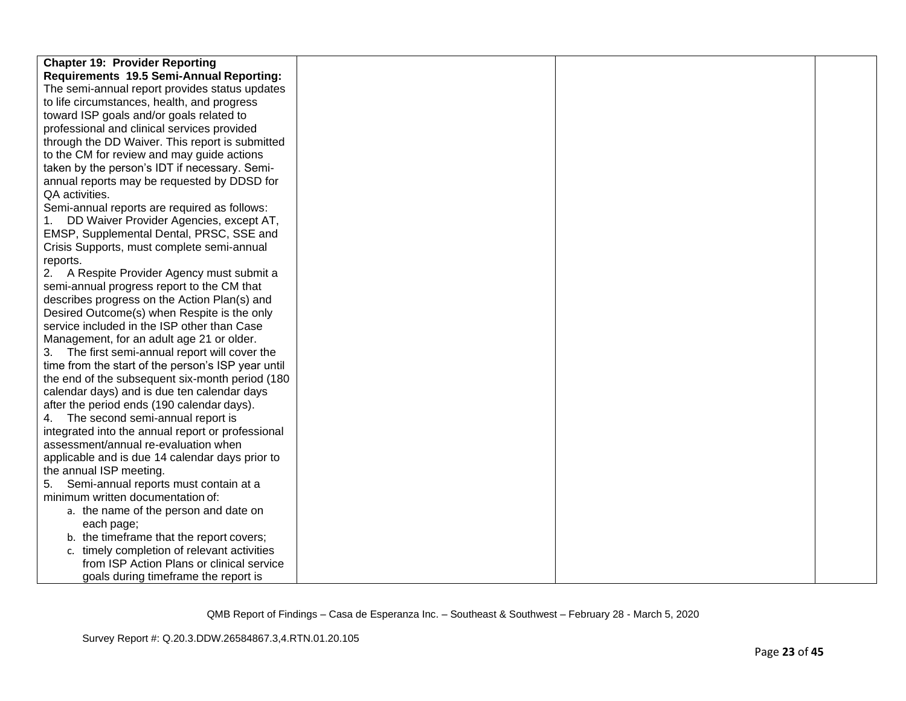| <b>Chapter 19: Provider Reporting</b>              |  |  |
|----------------------------------------------------|--|--|
| Requirements 19.5 Semi-Annual Reporting:           |  |  |
| The semi-annual report provides status updates     |  |  |
| to life circumstances, health, and progress        |  |  |
| toward ISP goals and/or goals related to           |  |  |
| professional and clinical services provided        |  |  |
| through the DD Waiver. This report is submitted    |  |  |
| to the CM for review and may guide actions         |  |  |
| taken by the person's IDT if necessary. Semi-      |  |  |
| annual reports may be requested by DDSD for        |  |  |
| QA activities.                                     |  |  |
| Semi-annual reports are required as follows:       |  |  |
| DD Waiver Provider Agencies, except AT,            |  |  |
| EMSP, Supplemental Dental, PRSC, SSE and           |  |  |
| Crisis Supports, must complete semi-annual         |  |  |
| reports.                                           |  |  |
| 2. A Respite Provider Agency must submit a         |  |  |
| semi-annual progress report to the CM that         |  |  |
| describes progress on the Action Plan(s) and       |  |  |
| Desired Outcome(s) when Respite is the only        |  |  |
| service included in the ISP other than Case        |  |  |
| Management, for an adult age 21 or older.          |  |  |
| 3. The first semi-annual report will cover the     |  |  |
| time from the start of the person's ISP year until |  |  |
| the end of the subsequent six-month period (180    |  |  |
| calendar days) and is due ten calendar days        |  |  |
| after the period ends (190 calendar days).         |  |  |
| 4. The second semi-annual report is                |  |  |
| integrated into the annual report or professional  |  |  |
| assessment/annual re-evaluation when               |  |  |
| applicable and is due 14 calendar days prior to    |  |  |
| the annual ISP meeting.                            |  |  |
| Semi-annual reports must contain at a<br>5.        |  |  |
| minimum written documentation of:                  |  |  |
| a. the name of the person and date on              |  |  |
| each page;                                         |  |  |
| b. the timeframe that the report covers;           |  |  |
| c. timely completion of relevant activities        |  |  |
| from ISP Action Plans or clinical service          |  |  |
| goals during timeframe the report is               |  |  |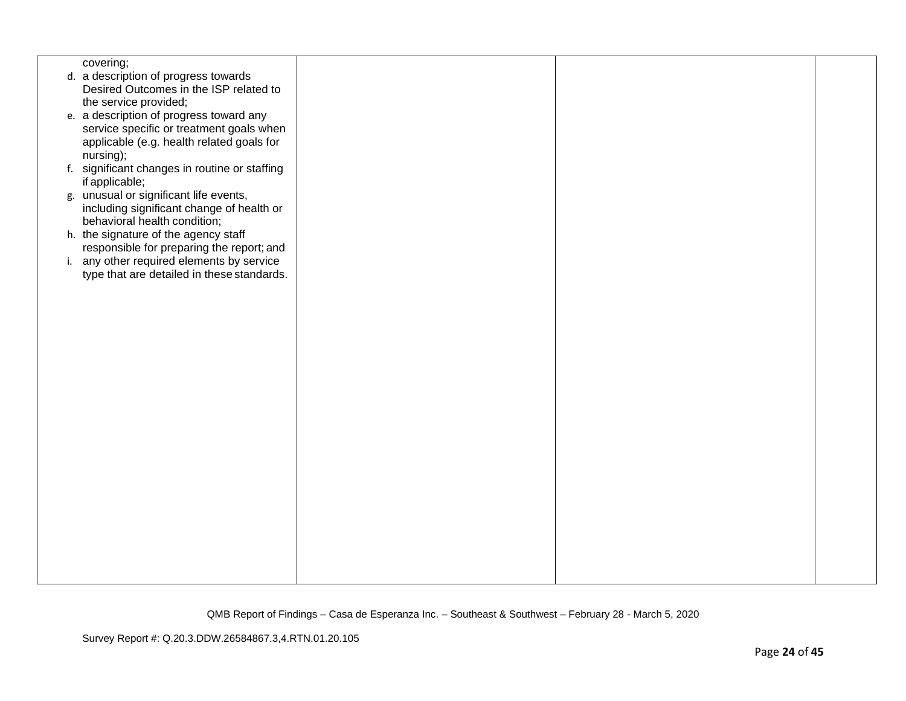| covering;<br>d. a description of progress towards<br>Desired Outcomes in the ISP related to<br>the service provided;<br>e. a description of progress toward any<br>service specific or treatment goals when<br>applicable (e.g. health related goals for<br>nursing);<br>f. significant changes in routine or staffing<br>if applicable;<br>g. unusual or significant life events,<br>including significant change of health or<br>behavioral health condition;<br>h. the signature of the agency staff<br>responsible for preparing the report; and<br>i. any other required elements by service<br>type that are detailed in these standards. |  |  |  |
|-------------------------------------------------------------------------------------------------------------------------------------------------------------------------------------------------------------------------------------------------------------------------------------------------------------------------------------------------------------------------------------------------------------------------------------------------------------------------------------------------------------------------------------------------------------------------------------------------------------------------------------------------|--|--|--|
|                                                                                                                                                                                                                                                                                                                                                                                                                                                                                                                                                                                                                                                 |  |  |  |
|                                                                                                                                                                                                                                                                                                                                                                                                                                                                                                                                                                                                                                                 |  |  |  |
|                                                                                                                                                                                                                                                                                                                                                                                                                                                                                                                                                                                                                                                 |  |  |  |
|                                                                                                                                                                                                                                                                                                                                                                                                                                                                                                                                                                                                                                                 |  |  |  |
|                                                                                                                                                                                                                                                                                                                                                                                                                                                                                                                                                                                                                                                 |  |  |  |
|                                                                                                                                                                                                                                                                                                                                                                                                                                                                                                                                                                                                                                                 |  |  |  |
|                                                                                                                                                                                                                                                                                                                                                                                                                                                                                                                                                                                                                                                 |  |  |  |
|                                                                                                                                                                                                                                                                                                                                                                                                                                                                                                                                                                                                                                                 |  |  |  |
|                                                                                                                                                                                                                                                                                                                                                                                                                                                                                                                                                                                                                                                 |  |  |  |
|                                                                                                                                                                                                                                                                                                                                                                                                                                                                                                                                                                                                                                                 |  |  |  |
|                                                                                                                                                                                                                                                                                                                                                                                                                                                                                                                                                                                                                                                 |  |  |  |
|                                                                                                                                                                                                                                                                                                                                                                                                                                                                                                                                                                                                                                                 |  |  |  |
|                                                                                                                                                                                                                                                                                                                                                                                                                                                                                                                                                                                                                                                 |  |  |  |
|                                                                                                                                                                                                                                                                                                                                                                                                                                                                                                                                                                                                                                                 |  |  |  |
|                                                                                                                                                                                                                                                                                                                                                                                                                                                                                                                                                                                                                                                 |  |  |  |
|                                                                                                                                                                                                                                                                                                                                                                                                                                                                                                                                                                                                                                                 |  |  |  |
|                                                                                                                                                                                                                                                                                                                                                                                                                                                                                                                                                                                                                                                 |  |  |  |
|                                                                                                                                                                                                                                                                                                                                                                                                                                                                                                                                                                                                                                                 |  |  |  |
|                                                                                                                                                                                                                                                                                                                                                                                                                                                                                                                                                                                                                                                 |  |  |  |
|                                                                                                                                                                                                                                                                                                                                                                                                                                                                                                                                                                                                                                                 |  |  |  |
|                                                                                                                                                                                                                                                                                                                                                                                                                                                                                                                                                                                                                                                 |  |  |  |
|                                                                                                                                                                                                                                                                                                                                                                                                                                                                                                                                                                                                                                                 |  |  |  |
|                                                                                                                                                                                                                                                                                                                                                                                                                                                                                                                                                                                                                                                 |  |  |  |
|                                                                                                                                                                                                                                                                                                                                                                                                                                                                                                                                                                                                                                                 |  |  |  |
|                                                                                                                                                                                                                                                                                                                                                                                                                                                                                                                                                                                                                                                 |  |  |  |
|                                                                                                                                                                                                                                                                                                                                                                                                                                                                                                                                                                                                                                                 |  |  |  |
|                                                                                                                                                                                                                                                                                                                                                                                                                                                                                                                                                                                                                                                 |  |  |  |
|                                                                                                                                                                                                                                                                                                                                                                                                                                                                                                                                                                                                                                                 |  |  |  |
|                                                                                                                                                                                                                                                                                                                                                                                                                                                                                                                                                                                                                                                 |  |  |  |
|                                                                                                                                                                                                                                                                                                                                                                                                                                                                                                                                                                                                                                                 |  |  |  |
|                                                                                                                                                                                                                                                                                                                                                                                                                                                                                                                                                                                                                                                 |  |  |  |
|                                                                                                                                                                                                                                                                                                                                                                                                                                                                                                                                                                                                                                                 |  |  |  |
|                                                                                                                                                                                                                                                                                                                                                                                                                                                                                                                                                                                                                                                 |  |  |  |
|                                                                                                                                                                                                                                                                                                                                                                                                                                                                                                                                                                                                                                                 |  |  |  |
|                                                                                                                                                                                                                                                                                                                                                                                                                                                                                                                                                                                                                                                 |  |  |  |
|                                                                                                                                                                                                                                                                                                                                                                                                                                                                                                                                                                                                                                                 |  |  |  |
|                                                                                                                                                                                                                                                                                                                                                                                                                                                                                                                                                                                                                                                 |  |  |  |
|                                                                                                                                                                                                                                                                                                                                                                                                                                                                                                                                                                                                                                                 |  |  |  |
|                                                                                                                                                                                                                                                                                                                                                                                                                                                                                                                                                                                                                                                 |  |  |  |
|                                                                                                                                                                                                                                                                                                                                                                                                                                                                                                                                                                                                                                                 |  |  |  |
|                                                                                                                                                                                                                                                                                                                                                                                                                                                                                                                                                                                                                                                 |  |  |  |
|                                                                                                                                                                                                                                                                                                                                                                                                                                                                                                                                                                                                                                                 |  |  |  |
|                                                                                                                                                                                                                                                                                                                                                                                                                                                                                                                                                                                                                                                 |  |  |  |
|                                                                                                                                                                                                                                                                                                                                                                                                                                                                                                                                                                                                                                                 |  |  |  |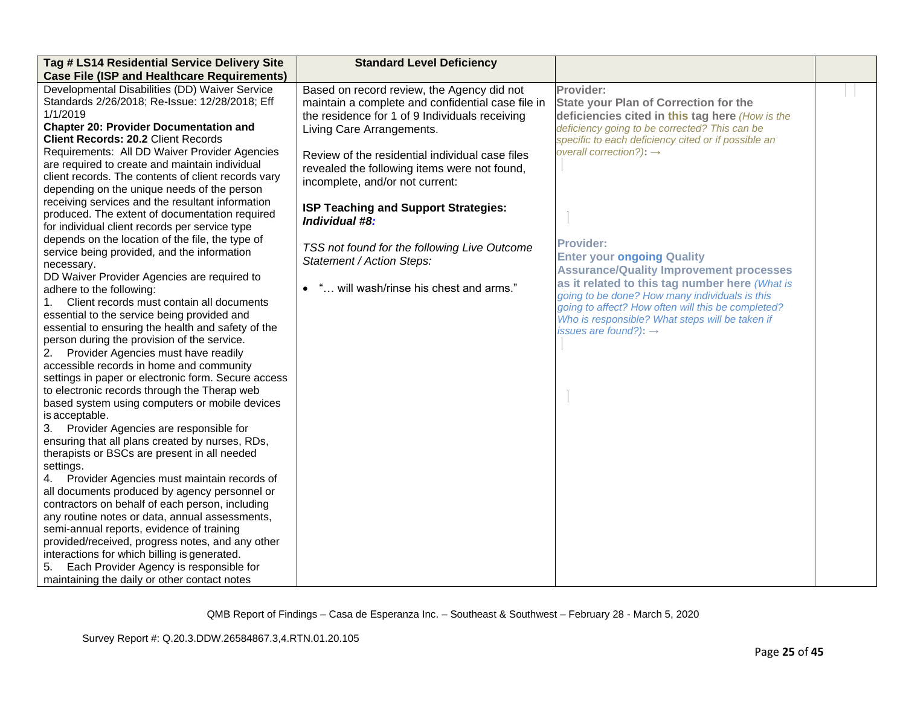| Tag # LS14 Residential Service Delivery Site        | <b>Standard Level Deficiency</b>                  |                                                     |  |
|-----------------------------------------------------|---------------------------------------------------|-----------------------------------------------------|--|
| <b>Case File (ISP and Healthcare Requirements)</b>  |                                                   |                                                     |  |
| Developmental Disabilities (DD) Waiver Service      | Based on record review, the Agency did not        | Provider:                                           |  |
| Standards 2/26/2018; Re-Issue: 12/28/2018; Eff      | maintain a complete and confidential case file in | <b>State your Plan of Correction for the</b>        |  |
| 1/1/2019                                            | the residence for 1 of 9 Individuals receiving    | deficiencies cited in this tag here (How is the     |  |
| <b>Chapter 20: Provider Documentation and</b>       | Living Care Arrangements.                         | deficiency going to be corrected? This can be       |  |
| <b>Client Records: 20.2 Client Records</b>          |                                                   | specific to each deficiency cited or if possible an |  |
| Requirements: All DD Waiver Provider Agencies       | Review of the residential individual case files   | overall correction?): $\rightarrow$                 |  |
| are required to create and maintain individual      | revealed the following items were not found,      |                                                     |  |
| client records. The contents of client records vary | incomplete, and/or not current:                   |                                                     |  |
| depending on the unique needs of the person         |                                                   |                                                     |  |
| receiving services and the resultant information    | ISP Teaching and Support Strategies:              |                                                     |  |
| produced. The extent of documentation required      | Individual #8:                                    |                                                     |  |
| for individual client records per service type      |                                                   |                                                     |  |
| depends on the location of the file, the type of    | TSS not found for the following Live Outcome      | <b>Provider:</b>                                    |  |
| service being provided, and the information         | Statement / Action Steps:                         | <b>Enter your ongoing Quality</b>                   |  |
| necessary.                                          |                                                   | <b>Assurance/Quality Improvement processes</b>      |  |
| DD Waiver Provider Agencies are required to         |                                                   | as it related to this tag number here (What is      |  |
| adhere to the following:                            | • " will wash/rinse his chest and arms."          | going to be done? How many individuals is this      |  |
| Client records must contain all documents<br>1.     |                                                   | going to affect? How often will this be completed?  |  |
| essential to the service being provided and         |                                                   | Who is responsible? What steps will be taken if     |  |
| essential to ensuring the health and safety of the  |                                                   | issues are found?): $\rightarrow$                   |  |
| person during the provision of the service.         |                                                   |                                                     |  |
| Provider Agencies must have readily<br>2.           |                                                   |                                                     |  |
| accessible records in home and community            |                                                   |                                                     |  |
| settings in paper or electronic form. Secure access |                                                   |                                                     |  |
| to electronic records through the Therap web        |                                                   |                                                     |  |
| based system using computers or mobile devices      |                                                   |                                                     |  |
| is acceptable.                                      |                                                   |                                                     |  |
| 3. Provider Agencies are responsible for            |                                                   |                                                     |  |
| ensuring that all plans created by nurses, RDs,     |                                                   |                                                     |  |
| therapists or BSCs are present in all needed        |                                                   |                                                     |  |
| settings.                                           |                                                   |                                                     |  |
| 4.<br>Provider Agencies must maintain records of    |                                                   |                                                     |  |
| all documents produced by agency personnel or       |                                                   |                                                     |  |
| contractors on behalf of each person, including     |                                                   |                                                     |  |
| any routine notes or data, annual assessments,      |                                                   |                                                     |  |
| semi-annual reports, evidence of training           |                                                   |                                                     |  |
| provided/received, progress notes, and any other    |                                                   |                                                     |  |
| interactions for which billing is generated.        |                                                   |                                                     |  |
| Each Provider Agency is responsible for<br>5.       |                                                   |                                                     |  |
| maintaining the daily or other contact notes        |                                                   |                                                     |  |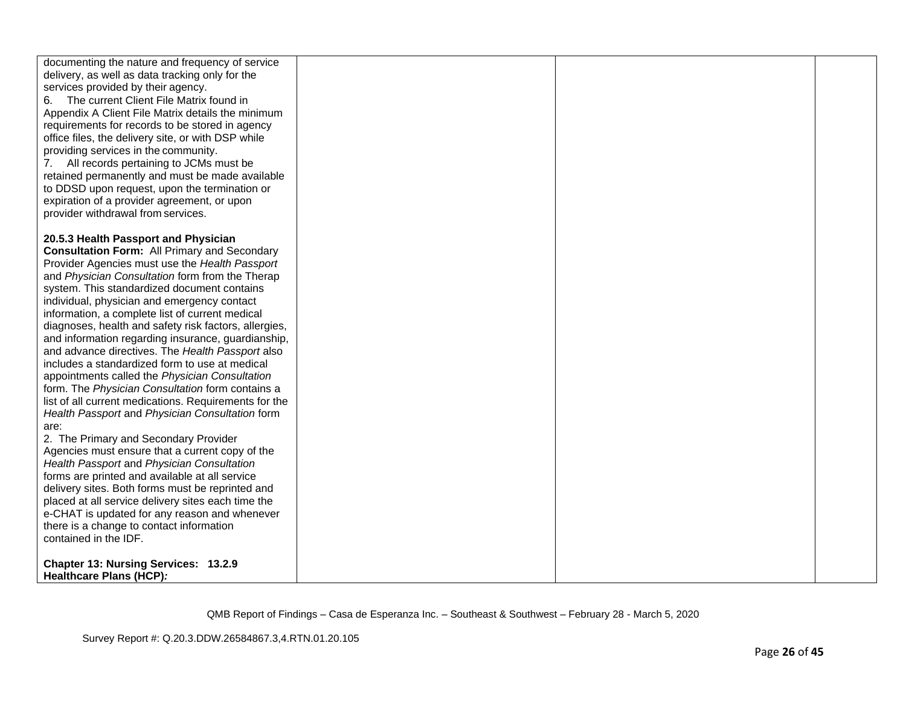| documenting the nature and frequency of service<br>delivery, as well as data tracking only for the<br>services provided by their agency.<br>6. The current Client File Matrix found in<br>Appendix A Client File Matrix details the minimum<br>requirements for records to be stored in agency<br>office files, the delivery site, or with DSP while<br>providing services in the community.<br>7. All records pertaining to JCMs must be<br>retained permanently and must be made available<br>to DDSD upon request, upon the termination or<br>expiration of a provider agreement, or upon<br>provider withdrawal from services. |  |  |
|------------------------------------------------------------------------------------------------------------------------------------------------------------------------------------------------------------------------------------------------------------------------------------------------------------------------------------------------------------------------------------------------------------------------------------------------------------------------------------------------------------------------------------------------------------------------------------------------------------------------------------|--|--|
| 20.5.3 Health Passport and Physician                                                                                                                                                                                                                                                                                                                                                                                                                                                                                                                                                                                               |  |  |
| <b>Consultation Form: All Primary and Secondary</b>                                                                                                                                                                                                                                                                                                                                                                                                                                                                                                                                                                                |  |  |
| Provider Agencies must use the Health Passport                                                                                                                                                                                                                                                                                                                                                                                                                                                                                                                                                                                     |  |  |
| and Physician Consultation form from the Therap                                                                                                                                                                                                                                                                                                                                                                                                                                                                                                                                                                                    |  |  |
| system. This standardized document contains                                                                                                                                                                                                                                                                                                                                                                                                                                                                                                                                                                                        |  |  |
| individual, physician and emergency contact                                                                                                                                                                                                                                                                                                                                                                                                                                                                                                                                                                                        |  |  |
| information, a complete list of current medical                                                                                                                                                                                                                                                                                                                                                                                                                                                                                                                                                                                    |  |  |
| diagnoses, health and safety risk factors, allergies,                                                                                                                                                                                                                                                                                                                                                                                                                                                                                                                                                                              |  |  |
| and information regarding insurance, guardianship,                                                                                                                                                                                                                                                                                                                                                                                                                                                                                                                                                                                 |  |  |
| and advance directives. The Health Passport also                                                                                                                                                                                                                                                                                                                                                                                                                                                                                                                                                                                   |  |  |
| includes a standardized form to use at medical                                                                                                                                                                                                                                                                                                                                                                                                                                                                                                                                                                                     |  |  |
| appointments called the Physician Consultation                                                                                                                                                                                                                                                                                                                                                                                                                                                                                                                                                                                     |  |  |
| form. The Physician Consultation form contains a                                                                                                                                                                                                                                                                                                                                                                                                                                                                                                                                                                                   |  |  |
| list of all current medications. Requirements for the                                                                                                                                                                                                                                                                                                                                                                                                                                                                                                                                                                              |  |  |
| Health Passport and Physician Consultation form<br>are:                                                                                                                                                                                                                                                                                                                                                                                                                                                                                                                                                                            |  |  |
| 2. The Primary and Secondary Provider                                                                                                                                                                                                                                                                                                                                                                                                                                                                                                                                                                                              |  |  |
| Agencies must ensure that a current copy of the                                                                                                                                                                                                                                                                                                                                                                                                                                                                                                                                                                                    |  |  |
| Health Passport and Physician Consultation                                                                                                                                                                                                                                                                                                                                                                                                                                                                                                                                                                                         |  |  |
| forms are printed and available at all service                                                                                                                                                                                                                                                                                                                                                                                                                                                                                                                                                                                     |  |  |
| delivery sites. Both forms must be reprinted and                                                                                                                                                                                                                                                                                                                                                                                                                                                                                                                                                                                   |  |  |
| placed at all service delivery sites each time the                                                                                                                                                                                                                                                                                                                                                                                                                                                                                                                                                                                 |  |  |
| e-CHAT is updated for any reason and whenever                                                                                                                                                                                                                                                                                                                                                                                                                                                                                                                                                                                      |  |  |
| there is a change to contact information                                                                                                                                                                                                                                                                                                                                                                                                                                                                                                                                                                                           |  |  |
| contained in the IDF.                                                                                                                                                                                                                                                                                                                                                                                                                                                                                                                                                                                                              |  |  |
|                                                                                                                                                                                                                                                                                                                                                                                                                                                                                                                                                                                                                                    |  |  |
| Chapter 13: Nursing Services: 13.2.9                                                                                                                                                                                                                                                                                                                                                                                                                                                                                                                                                                                               |  |  |
| Healthcare Plans (HCP):                                                                                                                                                                                                                                                                                                                                                                                                                                                                                                                                                                                                            |  |  |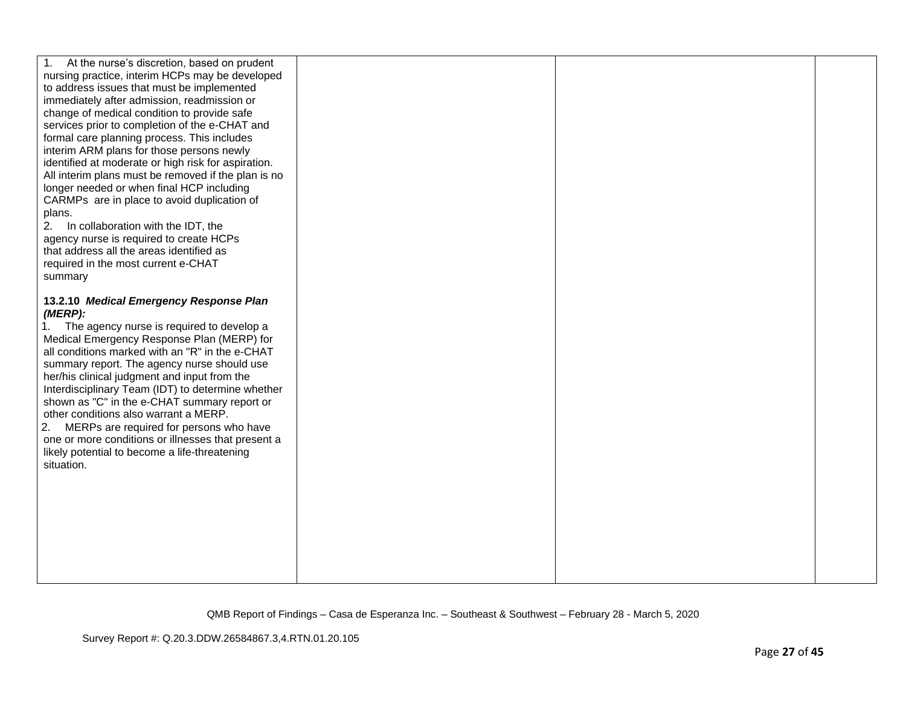| At the nurse's discretion, based on prudent<br>nursing practice, interim HCPs may be developed<br>to address issues that must be implemented<br>immediately after admission, readmission or<br>change of medical condition to provide safe<br>services prior to completion of the e-CHAT and<br>formal care planning process. This includes<br>interim ARM plans for those persons newly<br>identified at moderate or high risk for aspiration.<br>All interim plans must be removed if the plan is no<br>longer needed or when final HCP including<br>CARMPs are in place to avoid duplication of<br>plans.<br>2.<br>In collaboration with the IDT, the<br>agency nurse is required to create HCPs<br>that address all the areas identified as<br>required in the most current e-CHAT |  |  |
|----------------------------------------------------------------------------------------------------------------------------------------------------------------------------------------------------------------------------------------------------------------------------------------------------------------------------------------------------------------------------------------------------------------------------------------------------------------------------------------------------------------------------------------------------------------------------------------------------------------------------------------------------------------------------------------------------------------------------------------------------------------------------------------|--|--|
| summary<br>13.2.10 Medical Emergency Response Plan<br>(MERP):<br>1. The agency nurse is required to develop a<br>Medical Emergency Response Plan (MERP) for<br>all conditions marked with an "R" in the e-CHAT<br>summary report. The agency nurse should use<br>her/his clinical judgment and input from the<br>Interdisciplinary Team (IDT) to determine whether<br>shown as "C" in the e-CHAT summary report or<br>other conditions also warrant a MERP.<br>2. MERPs are required for persons who have<br>one or more conditions or illnesses that present a<br>likely potential to become a life-threatening<br>situation.                                                                                                                                                         |  |  |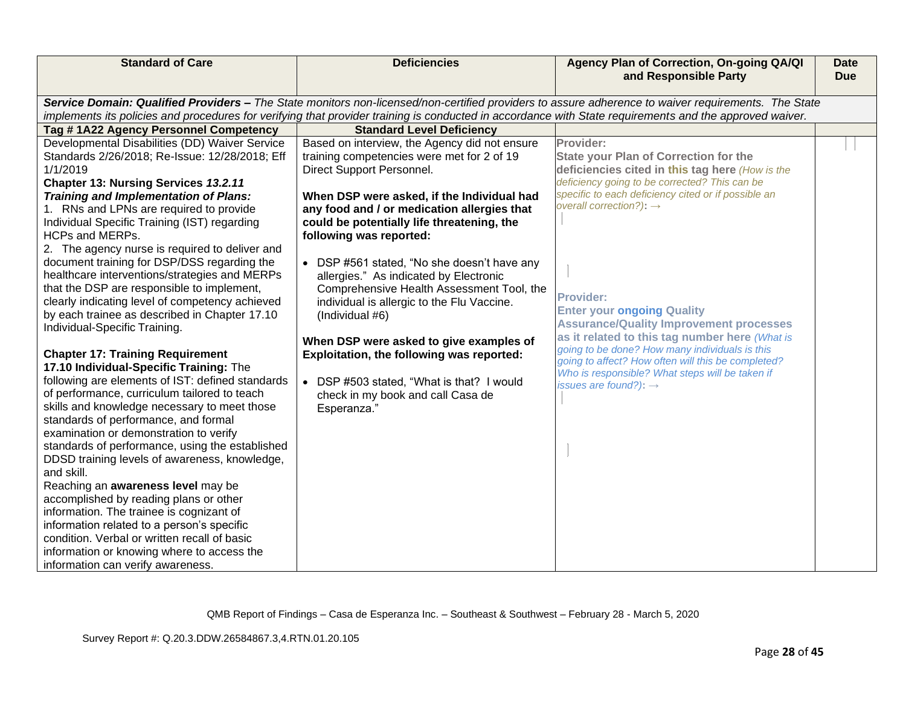| Service Domain: Qualified Providers - The State monitors non-licensed/non-certified providers to assure adherence to waiver requirements. The State<br>implements its policies and procedures for verifying that provider training is conducted in accordance with State requirements and the approved waiver.<br>Tag #1A22 Agency Personnel Competency<br><b>Standard Level Deficiency</b><br>Developmental Disabilities (DD) Waiver Service<br>Provider:<br>Based on interview, the Agency did not ensure<br>Standards 2/26/2018; Re-Issue: 12/28/2018; Eff<br>training competencies were met for 2 of 19<br><b>State your Plan of Correction for the</b><br>1/1/2019<br>Direct Support Personnel.<br>deficiencies cited in this tag here (How is the<br>deficiency going to be corrected? This can be<br>Chapter 13: Nursing Services 13.2.11 | <b>Standard of Care</b> | <b>Deficiencies</b> | Agency Plan of Correction, On-going QA/QI<br>and Responsible Party | <b>Date</b><br><b>Due</b> |
|--------------------------------------------------------------------------------------------------------------------------------------------------------------------------------------------------------------------------------------------------------------------------------------------------------------------------------------------------------------------------------------------------------------------------------------------------------------------------------------------------------------------------------------------------------------------------------------------------------------------------------------------------------------------------------------------------------------------------------------------------------------------------------------------------------------------------------------------------|-------------------------|---------------------|--------------------------------------------------------------------|---------------------------|
|                                                                                                                                                                                                                                                                                                                                                                                                                                                                                                                                                                                                                                                                                                                                                                                                                                                  |                         |                     |                                                                    |                           |
|                                                                                                                                                                                                                                                                                                                                                                                                                                                                                                                                                                                                                                                                                                                                                                                                                                                  |                         |                     |                                                                    |                           |
|                                                                                                                                                                                                                                                                                                                                                                                                                                                                                                                                                                                                                                                                                                                                                                                                                                                  |                         |                     |                                                                    |                           |
|                                                                                                                                                                                                                                                                                                                                                                                                                                                                                                                                                                                                                                                                                                                                                                                                                                                  |                         |                     |                                                                    |                           |
|                                                                                                                                                                                                                                                                                                                                                                                                                                                                                                                                                                                                                                                                                                                                                                                                                                                  |                         |                     |                                                                    |                           |
|                                                                                                                                                                                                                                                                                                                                                                                                                                                                                                                                                                                                                                                                                                                                                                                                                                                  |                         |                     |                                                                    |                           |
| specific to each deficiency cited or if possible an<br>When DSP were asked, if the Individual had                                                                                                                                                                                                                                                                                                                                                                                                                                                                                                                                                                                                                                                                                                                                                |                         |                     |                                                                    |                           |
| <b>Training and Implementation of Plans:</b><br>overall correction?): $\rightarrow$<br>1. RNs and LPNs are required to provide<br>any food and / or medication allergies that                                                                                                                                                                                                                                                                                                                                                                                                                                                                                                                                                                                                                                                                    |                         |                     |                                                                    |                           |
| Individual Specific Training (IST) regarding<br>could be potentially life threatening, the                                                                                                                                                                                                                                                                                                                                                                                                                                                                                                                                                                                                                                                                                                                                                       |                         |                     |                                                                    |                           |
| HCPs and MERPs.<br>following was reported:                                                                                                                                                                                                                                                                                                                                                                                                                                                                                                                                                                                                                                                                                                                                                                                                       |                         |                     |                                                                    |                           |
| 2. The agency nurse is required to deliver and                                                                                                                                                                                                                                                                                                                                                                                                                                                                                                                                                                                                                                                                                                                                                                                                   |                         |                     |                                                                    |                           |
| document training for DSP/DSS regarding the<br>• DSP #561 stated, "No she doesn't have any                                                                                                                                                                                                                                                                                                                                                                                                                                                                                                                                                                                                                                                                                                                                                       |                         |                     |                                                                    |                           |
| healthcare interventions/strategies and MERPs<br>allergies." As indicated by Electronic                                                                                                                                                                                                                                                                                                                                                                                                                                                                                                                                                                                                                                                                                                                                                          |                         |                     |                                                                    |                           |
| that the DSP are responsible to implement,<br>Comprehensive Health Assessment Tool, the                                                                                                                                                                                                                                                                                                                                                                                                                                                                                                                                                                                                                                                                                                                                                          |                         |                     |                                                                    |                           |
| <b>Provider:</b><br>clearly indicating level of competency achieved<br>individual is allergic to the Flu Vaccine.                                                                                                                                                                                                                                                                                                                                                                                                                                                                                                                                                                                                                                                                                                                                |                         |                     |                                                                    |                           |
| <b>Enter your ongoing Quality</b><br>by each trainee as described in Chapter 17.10<br>(Individual #6)                                                                                                                                                                                                                                                                                                                                                                                                                                                                                                                                                                                                                                                                                                                                            |                         |                     |                                                                    |                           |
| <b>Assurance/Quality Improvement processes</b><br>Individual-Specific Training.                                                                                                                                                                                                                                                                                                                                                                                                                                                                                                                                                                                                                                                                                                                                                                  |                         |                     |                                                                    |                           |
| as it related to this tag number here (What is<br>When DSP were asked to give examples of                                                                                                                                                                                                                                                                                                                                                                                                                                                                                                                                                                                                                                                                                                                                                        |                         |                     |                                                                    |                           |
| going to be done? How many individuals is this<br><b>Chapter 17: Training Requirement</b><br>Exploitation, the following was reported:<br>going to affect? How often will this be completed?                                                                                                                                                                                                                                                                                                                                                                                                                                                                                                                                                                                                                                                     |                         |                     |                                                                    |                           |
| 17.10 Individual-Specific Training: The<br>Who is responsible? What steps will be taken if                                                                                                                                                                                                                                                                                                                                                                                                                                                                                                                                                                                                                                                                                                                                                       |                         |                     |                                                                    |                           |
| following are elements of IST: defined standards<br>DSP #503 stated, "What is that? I would<br>issues are found?): $\rightarrow$                                                                                                                                                                                                                                                                                                                                                                                                                                                                                                                                                                                                                                                                                                                 |                         |                     |                                                                    |                           |
| of performance, curriculum tailored to teach<br>check in my book and call Casa de                                                                                                                                                                                                                                                                                                                                                                                                                                                                                                                                                                                                                                                                                                                                                                |                         |                     |                                                                    |                           |
| skills and knowledge necessary to meet those<br>Esperanza."                                                                                                                                                                                                                                                                                                                                                                                                                                                                                                                                                                                                                                                                                                                                                                                      |                         |                     |                                                                    |                           |
| standards of performance, and formal                                                                                                                                                                                                                                                                                                                                                                                                                                                                                                                                                                                                                                                                                                                                                                                                             |                         |                     |                                                                    |                           |
| examination or demonstration to verify                                                                                                                                                                                                                                                                                                                                                                                                                                                                                                                                                                                                                                                                                                                                                                                                           |                         |                     |                                                                    |                           |
| standards of performance, using the established                                                                                                                                                                                                                                                                                                                                                                                                                                                                                                                                                                                                                                                                                                                                                                                                  |                         |                     |                                                                    |                           |
| DDSD training levels of awareness, knowledge,                                                                                                                                                                                                                                                                                                                                                                                                                                                                                                                                                                                                                                                                                                                                                                                                    |                         |                     |                                                                    |                           |
| and skill.                                                                                                                                                                                                                                                                                                                                                                                                                                                                                                                                                                                                                                                                                                                                                                                                                                       |                         |                     |                                                                    |                           |
| Reaching an awareness level may be                                                                                                                                                                                                                                                                                                                                                                                                                                                                                                                                                                                                                                                                                                                                                                                                               |                         |                     |                                                                    |                           |
| accomplished by reading plans or other<br>information. The trainee is cognizant of                                                                                                                                                                                                                                                                                                                                                                                                                                                                                                                                                                                                                                                                                                                                                               |                         |                     |                                                                    |                           |
| information related to a person's specific                                                                                                                                                                                                                                                                                                                                                                                                                                                                                                                                                                                                                                                                                                                                                                                                       |                         |                     |                                                                    |                           |
| condition. Verbal or written recall of basic                                                                                                                                                                                                                                                                                                                                                                                                                                                                                                                                                                                                                                                                                                                                                                                                     |                         |                     |                                                                    |                           |
| information or knowing where to access the                                                                                                                                                                                                                                                                                                                                                                                                                                                                                                                                                                                                                                                                                                                                                                                                       |                         |                     |                                                                    |                           |
| information can verify awareness.                                                                                                                                                                                                                                                                                                                                                                                                                                                                                                                                                                                                                                                                                                                                                                                                                |                         |                     |                                                                    |                           |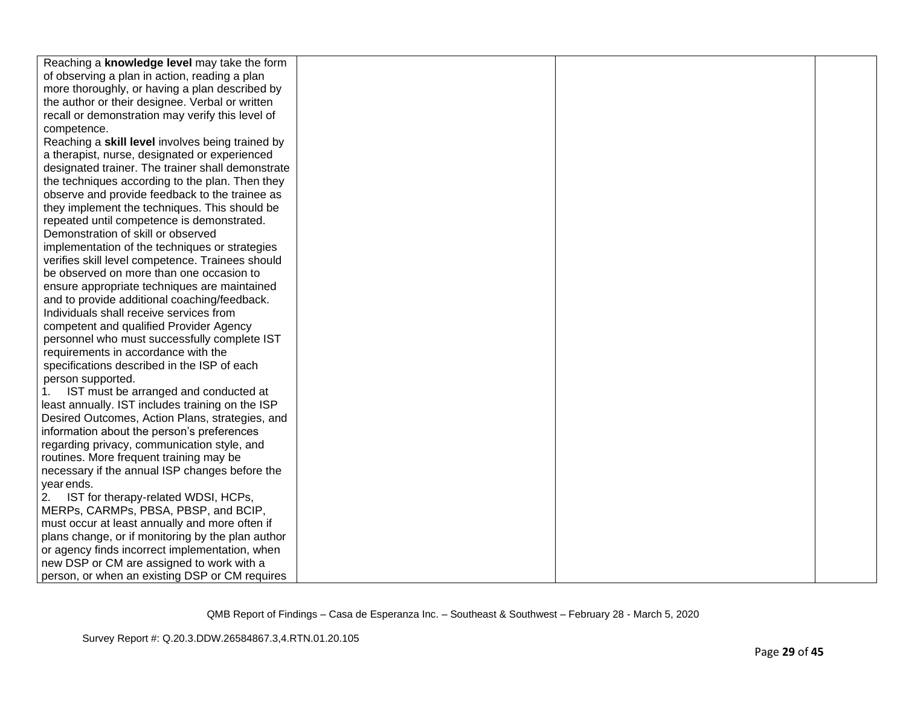| Reaching a knowledge level may take the form      |  |  |
|---------------------------------------------------|--|--|
| of observing a plan in action, reading a plan     |  |  |
| more thoroughly, or having a plan described by    |  |  |
| the author or their designee. Verbal or written   |  |  |
| recall or demonstration may verify this level of  |  |  |
| competence.                                       |  |  |
| Reaching a skill level involves being trained by  |  |  |
| a therapist, nurse, designated or experienced     |  |  |
| designated trainer. The trainer shall demonstrate |  |  |
| the techniques according to the plan. Then they   |  |  |
| observe and provide feedback to the trainee as    |  |  |
| they implement the techniques. This should be     |  |  |
| repeated until competence is demonstrated.        |  |  |
| Demonstration of skill or observed                |  |  |
| implementation of the techniques or strategies    |  |  |
| verifies skill level competence. Trainees should  |  |  |
| be observed on more than one occasion to          |  |  |
| ensure appropriate techniques are maintained      |  |  |
| and to provide additional coaching/feedback.      |  |  |
| Individuals shall receive services from           |  |  |
| competent and qualified Provider Agency           |  |  |
| personnel who must successfully complete IST      |  |  |
| requirements in accordance with the               |  |  |
| specifications described in the ISP of each       |  |  |
| person supported.                                 |  |  |
| IST must be arranged and conducted at<br>1.       |  |  |
| least annually. IST includes training on the ISP  |  |  |
| Desired Outcomes, Action Plans, strategies, and   |  |  |
| information about the person's preferences        |  |  |
| regarding privacy, communication style, and       |  |  |
| routines. More frequent training may be           |  |  |
| necessary if the annual ISP changes before the    |  |  |
| year ends.                                        |  |  |
| IST for therapy-related WDSI, HCPs,<br>2.         |  |  |
| MERPs, CARMPs, PBSA, PBSP, and BCIP,              |  |  |
| must occur at least annually and more often if    |  |  |
| plans change, or if monitoring by the plan author |  |  |
| or agency finds incorrect implementation, when    |  |  |
| new DSP or CM are assigned to work with a         |  |  |
| person, or when an existing DSP or CM requires    |  |  |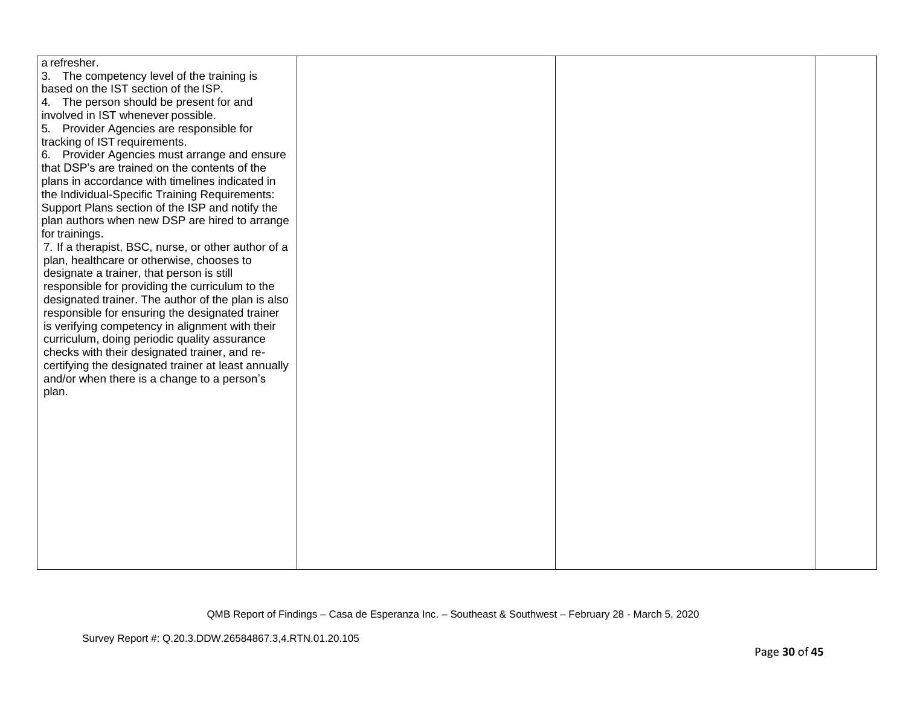| a refresher.                                        |  |  |
|-----------------------------------------------------|--|--|
| 3. The competency level of the training is          |  |  |
| based on the IST section of the ISP.                |  |  |
| 4. The person should be present for and             |  |  |
| involved in IST whenever possible.                  |  |  |
| 5. Provider Agencies are responsible for            |  |  |
| tracking of IST requirements.                       |  |  |
| 6. Provider Agencies must arrange and ensure        |  |  |
| that DSP's are trained on the contents of the       |  |  |
| plans in accordance with timelines indicated in     |  |  |
| the Individual-Specific Training Requirements:      |  |  |
| Support Plans section of the ISP and notify the     |  |  |
| plan authors when new DSP are hired to arrange      |  |  |
| for trainings.                                      |  |  |
| 7. If a therapist, BSC, nurse, or other author of a |  |  |
| plan, healthcare or otherwise, chooses to           |  |  |
| designate a trainer, that person is still           |  |  |
| responsible for providing the curriculum to the     |  |  |
| designated trainer. The author of the plan is also  |  |  |
| responsible for ensuring the designated trainer     |  |  |
| is verifying competency in alignment with their     |  |  |
| curriculum, doing periodic quality assurance        |  |  |
| checks with their designated trainer, and re-       |  |  |
| certifying the designated trainer at least annually |  |  |
| and/or when there is a change to a person's         |  |  |
| plan.                                               |  |  |
|                                                     |  |  |
|                                                     |  |  |
|                                                     |  |  |
|                                                     |  |  |
|                                                     |  |  |
|                                                     |  |  |
|                                                     |  |  |
|                                                     |  |  |
|                                                     |  |  |
|                                                     |  |  |
|                                                     |  |  |
|                                                     |  |  |
|                                                     |  |  |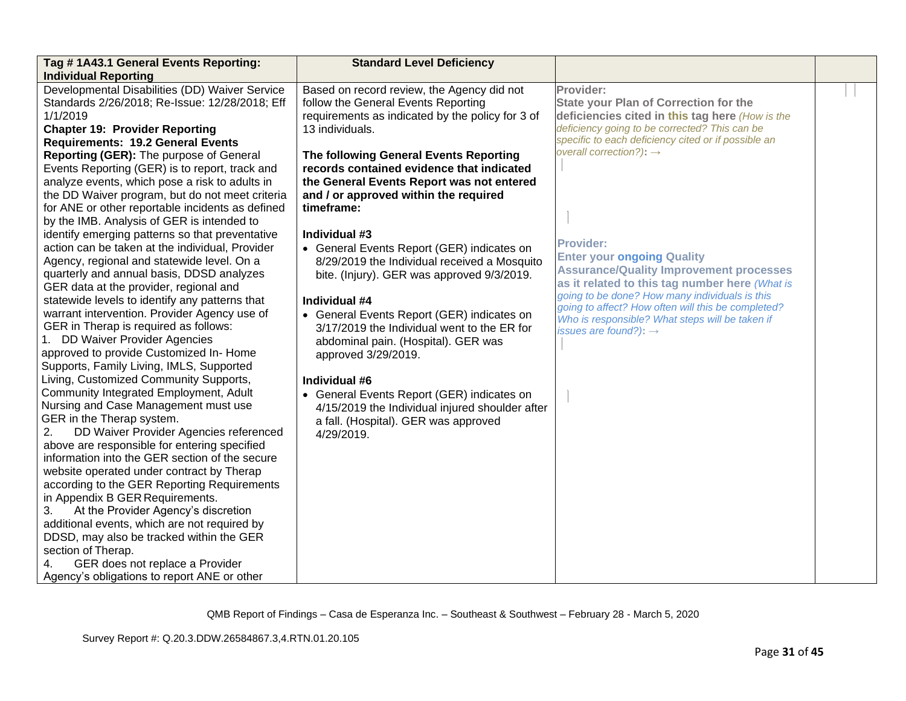| Tag #1A43.1 General Events Reporting:                                                             | <b>Standard Level Deficiency</b>                                                   |                                                                                                       |  |
|---------------------------------------------------------------------------------------------------|------------------------------------------------------------------------------------|-------------------------------------------------------------------------------------------------------|--|
| <b>Individual Reporting</b>                                                                       |                                                                                    |                                                                                                       |  |
| Developmental Disabilities (DD) Waiver Service                                                    | Based on record review, the Agency did not                                         | Provider:                                                                                             |  |
| Standards 2/26/2018; Re-Issue: 12/28/2018; Eff                                                    | follow the General Events Reporting                                                | <b>State your Plan of Correction for the</b>                                                          |  |
| 1/1/2019                                                                                          | requirements as indicated by the policy for 3 of                                   | deficiencies cited in this tag here (How is the                                                       |  |
| <b>Chapter 19: Provider Reporting</b>                                                             | 13 individuals.                                                                    | deficiency going to be corrected? This can be<br>specific to each deficiency cited or if possible an  |  |
| <b>Requirements: 19.2 General Events</b>                                                          |                                                                                    | overall correction?): $\rightarrow$                                                                   |  |
| Reporting (GER): The purpose of General                                                           | The following General Events Reporting                                             |                                                                                                       |  |
| Events Reporting (GER) is to report, track and                                                    | records contained evidence that indicated                                          |                                                                                                       |  |
| analyze events, which pose a risk to adults in<br>the DD Waiver program, but do not meet criteria | the General Events Report was not entered<br>and / or approved within the required |                                                                                                       |  |
| for ANE or other reportable incidents as defined                                                  | timeframe:                                                                         |                                                                                                       |  |
| by the IMB. Analysis of GER is intended to                                                        |                                                                                    |                                                                                                       |  |
| identify emerging patterns so that preventative                                                   | Individual #3                                                                      |                                                                                                       |  |
| action can be taken at the individual, Provider                                                   | • General Events Report (GER) indicates on                                         | <b>Provider:</b>                                                                                      |  |
| Agency, regional and statewide level. On a                                                        | 8/29/2019 the Individual received a Mosquito                                       | <b>Enter your ongoing Quality</b>                                                                     |  |
| quarterly and annual basis, DDSD analyzes                                                         | bite. (Injury). GER was approved 9/3/2019.                                         | <b>Assurance/Quality Improvement processes</b>                                                        |  |
| GER data at the provider, regional and                                                            |                                                                                    | as it related to this tag number here (What is                                                        |  |
| statewide levels to identify any patterns that                                                    | Individual #4                                                                      | going to be done? How many individuals is this                                                        |  |
| warrant intervention. Provider Agency use of                                                      | • General Events Report (GER) indicates on                                         | going to affect? How often will this be completed?<br>Who is responsible? What steps will be taken if |  |
| GER in Therap is required as follows:                                                             | 3/17/2019 the Individual went to the ER for                                        | issues are found?): $\rightarrow$                                                                     |  |
| 1. DD Waiver Provider Agencies                                                                    | abdominal pain. (Hospital). GER was                                                |                                                                                                       |  |
| approved to provide Customized In- Home                                                           | approved 3/29/2019.                                                                |                                                                                                       |  |
| Supports, Family Living, IMLS, Supported                                                          |                                                                                    |                                                                                                       |  |
| Living, Customized Community Supports,                                                            | Individual #6                                                                      |                                                                                                       |  |
| Community Integrated Employment, Adult                                                            | • General Events Report (GER) indicates on                                         |                                                                                                       |  |
| Nursing and Case Management must use                                                              | 4/15/2019 the Individual injured shoulder after                                    |                                                                                                       |  |
| GER in the Therap system.                                                                         | a fall. (Hospital). GER was approved                                               |                                                                                                       |  |
| 2.<br>DD Waiver Provider Agencies referenced                                                      | 4/29/2019.                                                                         |                                                                                                       |  |
| above are responsible for entering specified<br>information into the GER section of the secure    |                                                                                    |                                                                                                       |  |
| website operated under contract by Therap                                                         |                                                                                    |                                                                                                       |  |
| according to the GER Reporting Requirements                                                       |                                                                                    |                                                                                                       |  |
| in Appendix B GER Requirements.                                                                   |                                                                                    |                                                                                                       |  |
| At the Provider Agency's discretion<br>3.                                                         |                                                                                    |                                                                                                       |  |
| additional events, which are not required by                                                      |                                                                                    |                                                                                                       |  |
| DDSD, may also be tracked within the GER                                                          |                                                                                    |                                                                                                       |  |
| section of Therap.                                                                                |                                                                                    |                                                                                                       |  |
| GER does not replace a Provider                                                                   |                                                                                    |                                                                                                       |  |
| Agency's obligations to report ANE or other                                                       |                                                                                    |                                                                                                       |  |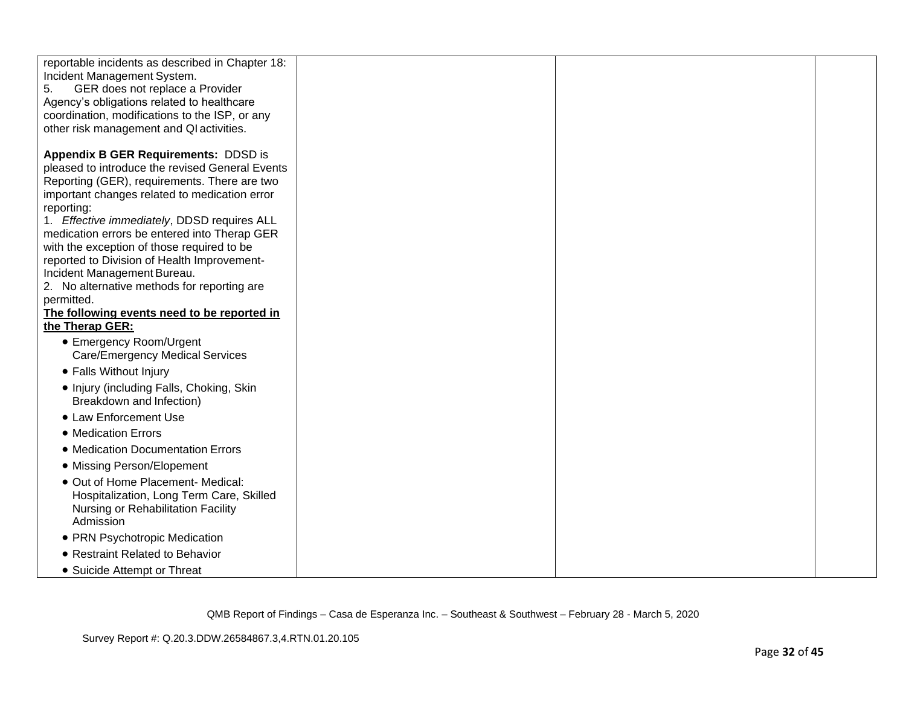| reportable incidents as described in Chapter 18: |  |  |
|--------------------------------------------------|--|--|
| Incident Management System.                      |  |  |
| GER does not replace a Provider<br>5.            |  |  |
|                                                  |  |  |
| Agency's obligations related to healthcare       |  |  |
| coordination, modifications to the ISP, or any   |  |  |
| other risk management and QI activities.         |  |  |
| <b>Appendix B GER Requirements: DDSD is</b>      |  |  |
| pleased to introduce the revised General Events  |  |  |
| Reporting (GER), requirements. There are two     |  |  |
| important changes related to medication error    |  |  |
| reporting:                                       |  |  |
| 1. Effective immediately, DDSD requires ALL      |  |  |
| medication errors be entered into Therap GER     |  |  |
| with the exception of those required to be       |  |  |
| reported to Division of Health Improvement-      |  |  |
| Incident Management Bureau.                      |  |  |
| 2. No alternative methods for reporting are      |  |  |
| permitted.                                       |  |  |
| The following events need to be reported in      |  |  |
| the Therap GER:                                  |  |  |
| • Emergency Room/Urgent                          |  |  |
| <b>Care/Emergency Medical Services</b>           |  |  |
| • Falls Without Injury                           |  |  |
|                                                  |  |  |
| • Injury (including Falls, Choking, Skin         |  |  |
| Breakdown and Infection)                         |  |  |
| • Law Enforcement Use                            |  |  |
| • Medication Errors                              |  |  |
| • Medication Documentation Errors                |  |  |
| • Missing Person/Elopement                       |  |  |
| • Out of Home Placement- Medical:                |  |  |
| Hospitalization, Long Term Care, Skilled         |  |  |
| Nursing or Rehabilitation Facility               |  |  |
| Admission                                        |  |  |
| • PRN Psychotropic Medication                    |  |  |
| • Restraint Related to Behavior                  |  |  |
| • Suicide Attempt or Threat                      |  |  |
|                                                  |  |  |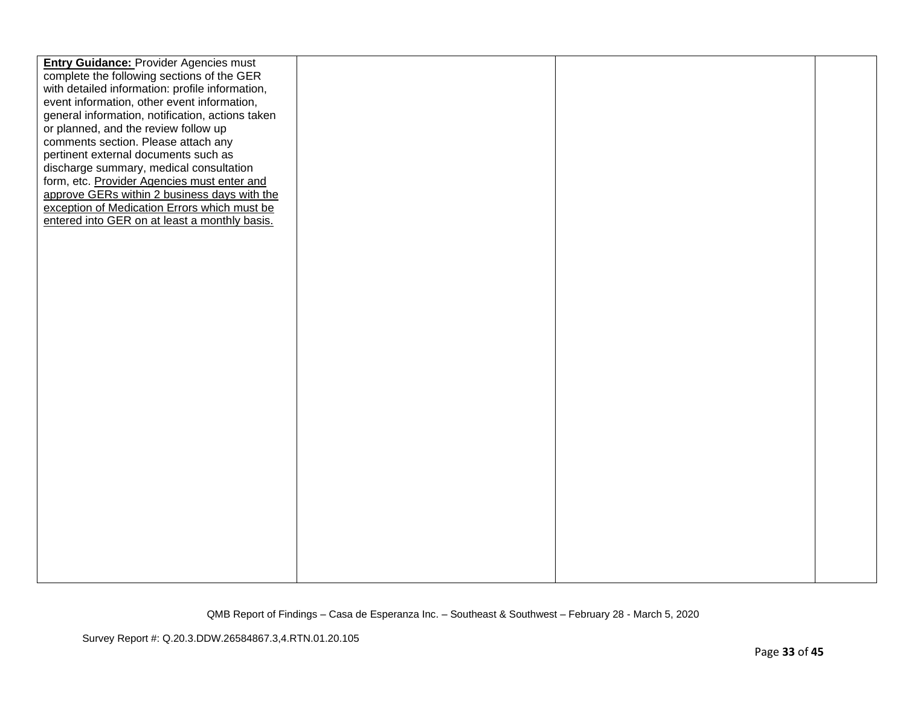| complete the following sections of the GER<br>with detailed information: profile information,<br>event information, other event information,<br>general information, notification, actions taken<br>or planned, and the review follow up<br>comments section. Please attach any<br>pertinent external documents such as<br>discharge summary, medical consultation<br>form, etc. Provider Agencies must enter and<br>approve GERs within 2 business days with the<br>exception of Medication Errors which must be<br>entered into GER on at least a monthly basis. | <b>Entry Guidance: Provider Agencies must</b> |  |  |
|--------------------------------------------------------------------------------------------------------------------------------------------------------------------------------------------------------------------------------------------------------------------------------------------------------------------------------------------------------------------------------------------------------------------------------------------------------------------------------------------------------------------------------------------------------------------|-----------------------------------------------|--|--|
|                                                                                                                                                                                                                                                                                                                                                                                                                                                                                                                                                                    |                                               |  |  |
|                                                                                                                                                                                                                                                                                                                                                                                                                                                                                                                                                                    |                                               |  |  |
|                                                                                                                                                                                                                                                                                                                                                                                                                                                                                                                                                                    |                                               |  |  |
|                                                                                                                                                                                                                                                                                                                                                                                                                                                                                                                                                                    |                                               |  |  |
|                                                                                                                                                                                                                                                                                                                                                                                                                                                                                                                                                                    |                                               |  |  |
|                                                                                                                                                                                                                                                                                                                                                                                                                                                                                                                                                                    |                                               |  |  |
|                                                                                                                                                                                                                                                                                                                                                                                                                                                                                                                                                                    |                                               |  |  |
|                                                                                                                                                                                                                                                                                                                                                                                                                                                                                                                                                                    |                                               |  |  |
|                                                                                                                                                                                                                                                                                                                                                                                                                                                                                                                                                                    |                                               |  |  |
|                                                                                                                                                                                                                                                                                                                                                                                                                                                                                                                                                                    |                                               |  |  |
|                                                                                                                                                                                                                                                                                                                                                                                                                                                                                                                                                                    |                                               |  |  |
|                                                                                                                                                                                                                                                                                                                                                                                                                                                                                                                                                                    |                                               |  |  |
|                                                                                                                                                                                                                                                                                                                                                                                                                                                                                                                                                                    |                                               |  |  |
|                                                                                                                                                                                                                                                                                                                                                                                                                                                                                                                                                                    |                                               |  |  |
|                                                                                                                                                                                                                                                                                                                                                                                                                                                                                                                                                                    |                                               |  |  |
|                                                                                                                                                                                                                                                                                                                                                                                                                                                                                                                                                                    |                                               |  |  |
|                                                                                                                                                                                                                                                                                                                                                                                                                                                                                                                                                                    |                                               |  |  |
|                                                                                                                                                                                                                                                                                                                                                                                                                                                                                                                                                                    |                                               |  |  |
|                                                                                                                                                                                                                                                                                                                                                                                                                                                                                                                                                                    |                                               |  |  |
|                                                                                                                                                                                                                                                                                                                                                                                                                                                                                                                                                                    |                                               |  |  |
|                                                                                                                                                                                                                                                                                                                                                                                                                                                                                                                                                                    |                                               |  |  |
|                                                                                                                                                                                                                                                                                                                                                                                                                                                                                                                                                                    |                                               |  |  |
|                                                                                                                                                                                                                                                                                                                                                                                                                                                                                                                                                                    |                                               |  |  |
|                                                                                                                                                                                                                                                                                                                                                                                                                                                                                                                                                                    |                                               |  |  |
|                                                                                                                                                                                                                                                                                                                                                                                                                                                                                                                                                                    |                                               |  |  |
|                                                                                                                                                                                                                                                                                                                                                                                                                                                                                                                                                                    |                                               |  |  |
|                                                                                                                                                                                                                                                                                                                                                                                                                                                                                                                                                                    |                                               |  |  |
|                                                                                                                                                                                                                                                                                                                                                                                                                                                                                                                                                                    |                                               |  |  |
|                                                                                                                                                                                                                                                                                                                                                                                                                                                                                                                                                                    |                                               |  |  |
|                                                                                                                                                                                                                                                                                                                                                                                                                                                                                                                                                                    |                                               |  |  |
|                                                                                                                                                                                                                                                                                                                                                                                                                                                                                                                                                                    |                                               |  |  |
|                                                                                                                                                                                                                                                                                                                                                                                                                                                                                                                                                                    |                                               |  |  |
|                                                                                                                                                                                                                                                                                                                                                                                                                                                                                                                                                                    |                                               |  |  |
|                                                                                                                                                                                                                                                                                                                                                                                                                                                                                                                                                                    |                                               |  |  |
|                                                                                                                                                                                                                                                                                                                                                                                                                                                                                                                                                                    |                                               |  |  |
|                                                                                                                                                                                                                                                                                                                                                                                                                                                                                                                                                                    |                                               |  |  |
|                                                                                                                                                                                                                                                                                                                                                                                                                                                                                                                                                                    |                                               |  |  |
|                                                                                                                                                                                                                                                                                                                                                                                                                                                                                                                                                                    |                                               |  |  |
|                                                                                                                                                                                                                                                                                                                                                                                                                                                                                                                                                                    |                                               |  |  |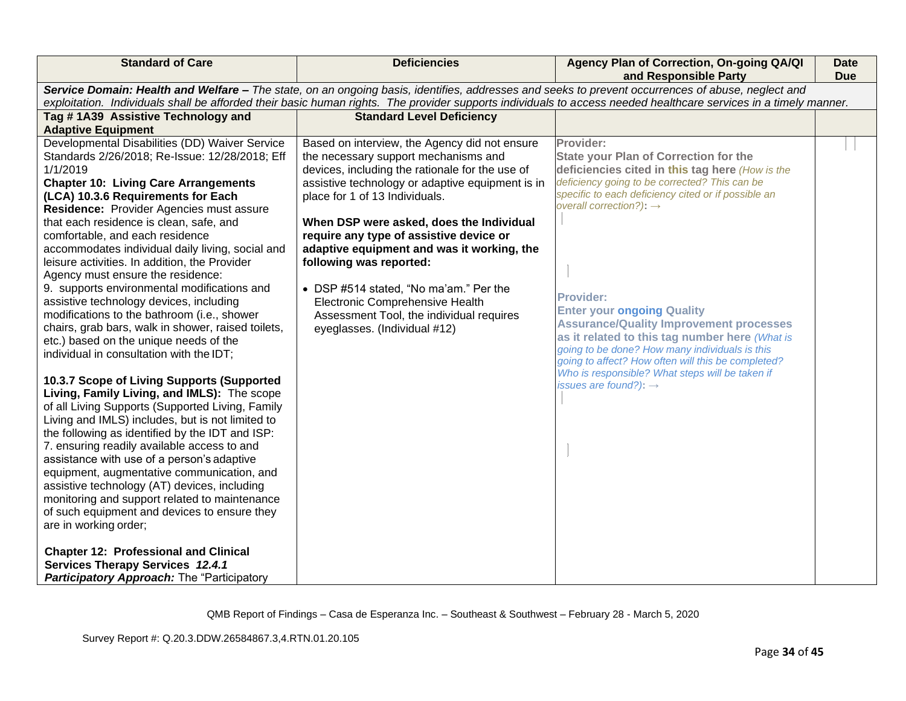| <b>Standard of Care</b>                                                                                                                                                                                                                                                                                                                                                                                                                                                                                                                                                                                                                                                                                                                                                                                                                                                                                                                                                                                                                                                                                                                                                                                                                                                                                                                 | <b>Deficiencies</b>                                                                                                                                                                                                                                                                                                                                                                                                                                                                                                                                     | Agency Plan of Correction, On-going QA/QI<br>and Responsible Party                                                                                                                                                                                                                                                                                                                                                                                                                                                                                                                                                       | Date<br><b>Due</b> |
|-----------------------------------------------------------------------------------------------------------------------------------------------------------------------------------------------------------------------------------------------------------------------------------------------------------------------------------------------------------------------------------------------------------------------------------------------------------------------------------------------------------------------------------------------------------------------------------------------------------------------------------------------------------------------------------------------------------------------------------------------------------------------------------------------------------------------------------------------------------------------------------------------------------------------------------------------------------------------------------------------------------------------------------------------------------------------------------------------------------------------------------------------------------------------------------------------------------------------------------------------------------------------------------------------------------------------------------------|---------------------------------------------------------------------------------------------------------------------------------------------------------------------------------------------------------------------------------------------------------------------------------------------------------------------------------------------------------------------------------------------------------------------------------------------------------------------------------------------------------------------------------------------------------|--------------------------------------------------------------------------------------------------------------------------------------------------------------------------------------------------------------------------------------------------------------------------------------------------------------------------------------------------------------------------------------------------------------------------------------------------------------------------------------------------------------------------------------------------------------------------------------------------------------------------|--------------------|
|                                                                                                                                                                                                                                                                                                                                                                                                                                                                                                                                                                                                                                                                                                                                                                                                                                                                                                                                                                                                                                                                                                                                                                                                                                                                                                                                         | Service Domain: Health and Welfare - The state, on an ongoing basis, identifies, addresses and seeks to prevent occurrences of abuse, neglect and                                                                                                                                                                                                                                                                                                                                                                                                       | exploitation. Individuals shall be afforded their basic human rights. The provider supports individuals to access needed healthcare services in a timely manner.                                                                                                                                                                                                                                                                                                                                                                                                                                                         |                    |
| Tag #1A39 Assistive Technology and<br><b>Adaptive Equipment</b>                                                                                                                                                                                                                                                                                                                                                                                                                                                                                                                                                                                                                                                                                                                                                                                                                                                                                                                                                                                                                                                                                                                                                                                                                                                                         | <b>Standard Level Deficiency</b>                                                                                                                                                                                                                                                                                                                                                                                                                                                                                                                        |                                                                                                                                                                                                                                                                                                                                                                                                                                                                                                                                                                                                                          |                    |
| Developmental Disabilities (DD) Waiver Service<br>Standards 2/26/2018; Re-Issue: 12/28/2018; Eff<br>1/1/2019<br><b>Chapter 10: Living Care Arrangements</b><br>(LCA) 10.3.6 Requirements for Each<br>Residence: Provider Agencies must assure<br>that each residence is clean, safe, and<br>comfortable, and each residence<br>accommodates individual daily living, social and<br>leisure activities. In addition, the Provider<br>Agency must ensure the residence:<br>9. supports environmental modifications and<br>assistive technology devices, including<br>modifications to the bathroom (i.e., shower<br>chairs, grab bars, walk in shower, raised toilets,<br>etc.) based on the unique needs of the<br>individual in consultation with the IDT;<br>10.3.7 Scope of Living Supports (Supported<br>Living, Family Living, and IMLS): The scope<br>of all Living Supports (Supported Living, Family<br>Living and IMLS) includes, but is not limited to<br>the following as identified by the IDT and ISP:<br>7. ensuring readily available access to and<br>assistance with use of a person's adaptive<br>equipment, augmentative communication, and<br>assistive technology (AT) devices, including<br>monitoring and support related to maintenance<br>of such equipment and devices to ensure they<br>are in working order; | Based on interview, the Agency did not ensure<br>the necessary support mechanisms and<br>devices, including the rationale for the use of<br>assistive technology or adaptive equipment is in<br>place for 1 of 13 Individuals.<br>When DSP were asked, does the Individual<br>require any type of assistive device or<br>adaptive equipment and was it working, the<br>following was reported:<br>• DSP #514 stated, "No ma'am." Per the<br>Electronic Comprehensive Health<br>Assessment Tool, the individual requires<br>eyeglasses. (Individual #12) | Provider:<br><b>State your Plan of Correction for the</b><br>deficiencies cited in this tag here (How is the<br>deficiency going to be corrected? This can be<br>specific to each deficiency cited or if possible an<br>overall correction?): $\rightarrow$<br><b>Provider:</b><br><b>Enter your ongoing Quality</b><br><b>Assurance/Quality Improvement processes</b><br>as it related to this tag number here (What is<br>going to be done? How many individuals is this<br>going to affect? How often will this be completed?<br>Who is responsible? What steps will be taken if<br>issues are found?): $\rightarrow$ |                    |
| <b>Chapter 12: Professional and Clinical</b><br>Services Therapy Services 12.4.1<br>Participatory Approach: The "Participatory                                                                                                                                                                                                                                                                                                                                                                                                                                                                                                                                                                                                                                                                                                                                                                                                                                                                                                                                                                                                                                                                                                                                                                                                          |                                                                                                                                                                                                                                                                                                                                                                                                                                                                                                                                                         |                                                                                                                                                                                                                                                                                                                                                                                                                                                                                                                                                                                                                          |                    |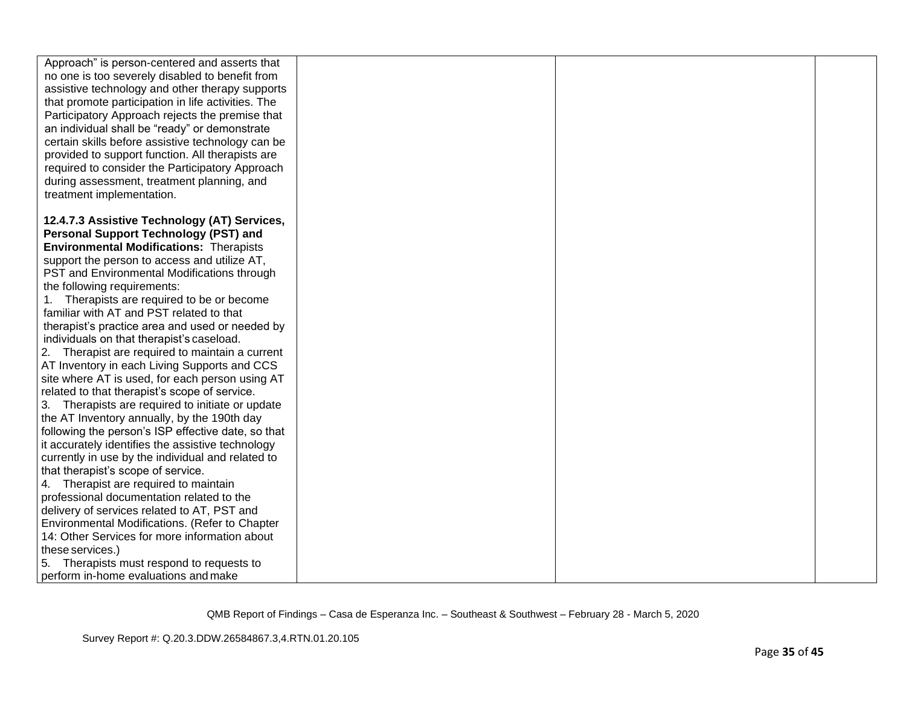| Approach" is person-centered and asserts that<br>no one is too severely disabled to benefit from<br>assistive technology and other therapy supports<br>that promote participation in life activities. The<br>Participatory Approach rejects the premise that<br>an individual shall be "ready" or demonstrate<br>certain skills before assistive technology can be<br>provided to support function. All therapists are<br>required to consider the Participatory Approach<br>during assessment, treatment planning, and<br>treatment implementation.<br>12.4.7.3 Assistive Technology (AT) Services,<br><b>Personal Support Technology (PST) and</b><br><b>Environmental Modifications: Therapists</b><br>support the person to access and utilize AT,<br>PST and Environmental Modifications through<br>the following requirements:<br>1. Therapists are required to be or become<br>familiar with AT and PST related to that<br>therapist's practice area and used or needed by<br>individuals on that therapist's caseload.<br>2. Therapist are required to maintain a current<br>AT Inventory in each Living Supports and CCS<br>site where AT is used, for each person using AT<br>related to that therapist's scope of service.<br>3. Therapists are required to initiate or update<br>the AT Inventory annually, by the 190th day<br>following the person's ISP effective date, so that<br>it accurately identifies the assistive technology<br>currently in use by the individual and related to<br>that therapist's scope of service. |                                       |  |  |
|------------------------------------------------------------------------------------------------------------------------------------------------------------------------------------------------------------------------------------------------------------------------------------------------------------------------------------------------------------------------------------------------------------------------------------------------------------------------------------------------------------------------------------------------------------------------------------------------------------------------------------------------------------------------------------------------------------------------------------------------------------------------------------------------------------------------------------------------------------------------------------------------------------------------------------------------------------------------------------------------------------------------------------------------------------------------------------------------------------------------------------------------------------------------------------------------------------------------------------------------------------------------------------------------------------------------------------------------------------------------------------------------------------------------------------------------------------------------------------------------------------------------------------------------|---------------------------------------|--|--|
|                                                                                                                                                                                                                                                                                                                                                                                                                                                                                                                                                                                                                                                                                                                                                                                                                                                                                                                                                                                                                                                                                                                                                                                                                                                                                                                                                                                                                                                                                                                                                |                                       |  |  |
|                                                                                                                                                                                                                                                                                                                                                                                                                                                                                                                                                                                                                                                                                                                                                                                                                                                                                                                                                                                                                                                                                                                                                                                                                                                                                                                                                                                                                                                                                                                                                |                                       |  |  |
|                                                                                                                                                                                                                                                                                                                                                                                                                                                                                                                                                                                                                                                                                                                                                                                                                                                                                                                                                                                                                                                                                                                                                                                                                                                                                                                                                                                                                                                                                                                                                |                                       |  |  |
|                                                                                                                                                                                                                                                                                                                                                                                                                                                                                                                                                                                                                                                                                                                                                                                                                                                                                                                                                                                                                                                                                                                                                                                                                                                                                                                                                                                                                                                                                                                                                |                                       |  |  |
|                                                                                                                                                                                                                                                                                                                                                                                                                                                                                                                                                                                                                                                                                                                                                                                                                                                                                                                                                                                                                                                                                                                                                                                                                                                                                                                                                                                                                                                                                                                                                |                                       |  |  |
|                                                                                                                                                                                                                                                                                                                                                                                                                                                                                                                                                                                                                                                                                                                                                                                                                                                                                                                                                                                                                                                                                                                                                                                                                                                                                                                                                                                                                                                                                                                                                |                                       |  |  |
|                                                                                                                                                                                                                                                                                                                                                                                                                                                                                                                                                                                                                                                                                                                                                                                                                                                                                                                                                                                                                                                                                                                                                                                                                                                                                                                                                                                                                                                                                                                                                |                                       |  |  |
|                                                                                                                                                                                                                                                                                                                                                                                                                                                                                                                                                                                                                                                                                                                                                                                                                                                                                                                                                                                                                                                                                                                                                                                                                                                                                                                                                                                                                                                                                                                                                |                                       |  |  |
|                                                                                                                                                                                                                                                                                                                                                                                                                                                                                                                                                                                                                                                                                                                                                                                                                                                                                                                                                                                                                                                                                                                                                                                                                                                                                                                                                                                                                                                                                                                                                |                                       |  |  |
|                                                                                                                                                                                                                                                                                                                                                                                                                                                                                                                                                                                                                                                                                                                                                                                                                                                                                                                                                                                                                                                                                                                                                                                                                                                                                                                                                                                                                                                                                                                                                |                                       |  |  |
|                                                                                                                                                                                                                                                                                                                                                                                                                                                                                                                                                                                                                                                                                                                                                                                                                                                                                                                                                                                                                                                                                                                                                                                                                                                                                                                                                                                                                                                                                                                                                |                                       |  |  |
|                                                                                                                                                                                                                                                                                                                                                                                                                                                                                                                                                                                                                                                                                                                                                                                                                                                                                                                                                                                                                                                                                                                                                                                                                                                                                                                                                                                                                                                                                                                                                |                                       |  |  |
|                                                                                                                                                                                                                                                                                                                                                                                                                                                                                                                                                                                                                                                                                                                                                                                                                                                                                                                                                                                                                                                                                                                                                                                                                                                                                                                                                                                                                                                                                                                                                |                                       |  |  |
|                                                                                                                                                                                                                                                                                                                                                                                                                                                                                                                                                                                                                                                                                                                                                                                                                                                                                                                                                                                                                                                                                                                                                                                                                                                                                                                                                                                                                                                                                                                                                |                                       |  |  |
|                                                                                                                                                                                                                                                                                                                                                                                                                                                                                                                                                                                                                                                                                                                                                                                                                                                                                                                                                                                                                                                                                                                                                                                                                                                                                                                                                                                                                                                                                                                                                |                                       |  |  |
|                                                                                                                                                                                                                                                                                                                                                                                                                                                                                                                                                                                                                                                                                                                                                                                                                                                                                                                                                                                                                                                                                                                                                                                                                                                                                                                                                                                                                                                                                                                                                |                                       |  |  |
|                                                                                                                                                                                                                                                                                                                                                                                                                                                                                                                                                                                                                                                                                                                                                                                                                                                                                                                                                                                                                                                                                                                                                                                                                                                                                                                                                                                                                                                                                                                                                |                                       |  |  |
|                                                                                                                                                                                                                                                                                                                                                                                                                                                                                                                                                                                                                                                                                                                                                                                                                                                                                                                                                                                                                                                                                                                                                                                                                                                                                                                                                                                                                                                                                                                                                |                                       |  |  |
|                                                                                                                                                                                                                                                                                                                                                                                                                                                                                                                                                                                                                                                                                                                                                                                                                                                                                                                                                                                                                                                                                                                                                                                                                                                                                                                                                                                                                                                                                                                                                |                                       |  |  |
|                                                                                                                                                                                                                                                                                                                                                                                                                                                                                                                                                                                                                                                                                                                                                                                                                                                                                                                                                                                                                                                                                                                                                                                                                                                                                                                                                                                                                                                                                                                                                |                                       |  |  |
|                                                                                                                                                                                                                                                                                                                                                                                                                                                                                                                                                                                                                                                                                                                                                                                                                                                                                                                                                                                                                                                                                                                                                                                                                                                                                                                                                                                                                                                                                                                                                |                                       |  |  |
|                                                                                                                                                                                                                                                                                                                                                                                                                                                                                                                                                                                                                                                                                                                                                                                                                                                                                                                                                                                                                                                                                                                                                                                                                                                                                                                                                                                                                                                                                                                                                |                                       |  |  |
|                                                                                                                                                                                                                                                                                                                                                                                                                                                                                                                                                                                                                                                                                                                                                                                                                                                                                                                                                                                                                                                                                                                                                                                                                                                                                                                                                                                                                                                                                                                                                |                                       |  |  |
|                                                                                                                                                                                                                                                                                                                                                                                                                                                                                                                                                                                                                                                                                                                                                                                                                                                                                                                                                                                                                                                                                                                                                                                                                                                                                                                                                                                                                                                                                                                                                |                                       |  |  |
|                                                                                                                                                                                                                                                                                                                                                                                                                                                                                                                                                                                                                                                                                                                                                                                                                                                                                                                                                                                                                                                                                                                                                                                                                                                                                                                                                                                                                                                                                                                                                |                                       |  |  |
|                                                                                                                                                                                                                                                                                                                                                                                                                                                                                                                                                                                                                                                                                                                                                                                                                                                                                                                                                                                                                                                                                                                                                                                                                                                                                                                                                                                                                                                                                                                                                |                                       |  |  |
|                                                                                                                                                                                                                                                                                                                                                                                                                                                                                                                                                                                                                                                                                                                                                                                                                                                                                                                                                                                                                                                                                                                                                                                                                                                                                                                                                                                                                                                                                                                                                |                                       |  |  |
|                                                                                                                                                                                                                                                                                                                                                                                                                                                                                                                                                                                                                                                                                                                                                                                                                                                                                                                                                                                                                                                                                                                                                                                                                                                                                                                                                                                                                                                                                                                                                |                                       |  |  |
|                                                                                                                                                                                                                                                                                                                                                                                                                                                                                                                                                                                                                                                                                                                                                                                                                                                                                                                                                                                                                                                                                                                                                                                                                                                                                                                                                                                                                                                                                                                                                |                                       |  |  |
|                                                                                                                                                                                                                                                                                                                                                                                                                                                                                                                                                                                                                                                                                                                                                                                                                                                                                                                                                                                                                                                                                                                                                                                                                                                                                                                                                                                                                                                                                                                                                |                                       |  |  |
|                                                                                                                                                                                                                                                                                                                                                                                                                                                                                                                                                                                                                                                                                                                                                                                                                                                                                                                                                                                                                                                                                                                                                                                                                                                                                                                                                                                                                                                                                                                                                |                                       |  |  |
|                                                                                                                                                                                                                                                                                                                                                                                                                                                                                                                                                                                                                                                                                                                                                                                                                                                                                                                                                                                                                                                                                                                                                                                                                                                                                                                                                                                                                                                                                                                                                |                                       |  |  |
|                                                                                                                                                                                                                                                                                                                                                                                                                                                                                                                                                                                                                                                                                                                                                                                                                                                                                                                                                                                                                                                                                                                                                                                                                                                                                                                                                                                                                                                                                                                                                | 4. Therapist are required to maintain |  |  |
| professional documentation related to the                                                                                                                                                                                                                                                                                                                                                                                                                                                                                                                                                                                                                                                                                                                                                                                                                                                                                                                                                                                                                                                                                                                                                                                                                                                                                                                                                                                                                                                                                                      |                                       |  |  |
| delivery of services related to AT, PST and                                                                                                                                                                                                                                                                                                                                                                                                                                                                                                                                                                                                                                                                                                                                                                                                                                                                                                                                                                                                                                                                                                                                                                                                                                                                                                                                                                                                                                                                                                    |                                       |  |  |
| Environmental Modifications. (Refer to Chapter                                                                                                                                                                                                                                                                                                                                                                                                                                                                                                                                                                                                                                                                                                                                                                                                                                                                                                                                                                                                                                                                                                                                                                                                                                                                                                                                                                                                                                                                                                 |                                       |  |  |
| 14: Other Services for more information about                                                                                                                                                                                                                                                                                                                                                                                                                                                                                                                                                                                                                                                                                                                                                                                                                                                                                                                                                                                                                                                                                                                                                                                                                                                                                                                                                                                                                                                                                                  |                                       |  |  |
| these services.)                                                                                                                                                                                                                                                                                                                                                                                                                                                                                                                                                                                                                                                                                                                                                                                                                                                                                                                                                                                                                                                                                                                                                                                                                                                                                                                                                                                                                                                                                                                               |                                       |  |  |
| Therapists must respond to requests to<br>5.                                                                                                                                                                                                                                                                                                                                                                                                                                                                                                                                                                                                                                                                                                                                                                                                                                                                                                                                                                                                                                                                                                                                                                                                                                                                                                                                                                                                                                                                                                   |                                       |  |  |
| perform in-home evaluations and make                                                                                                                                                                                                                                                                                                                                                                                                                                                                                                                                                                                                                                                                                                                                                                                                                                                                                                                                                                                                                                                                                                                                                                                                                                                                                                                                                                                                                                                                                                           |                                       |  |  |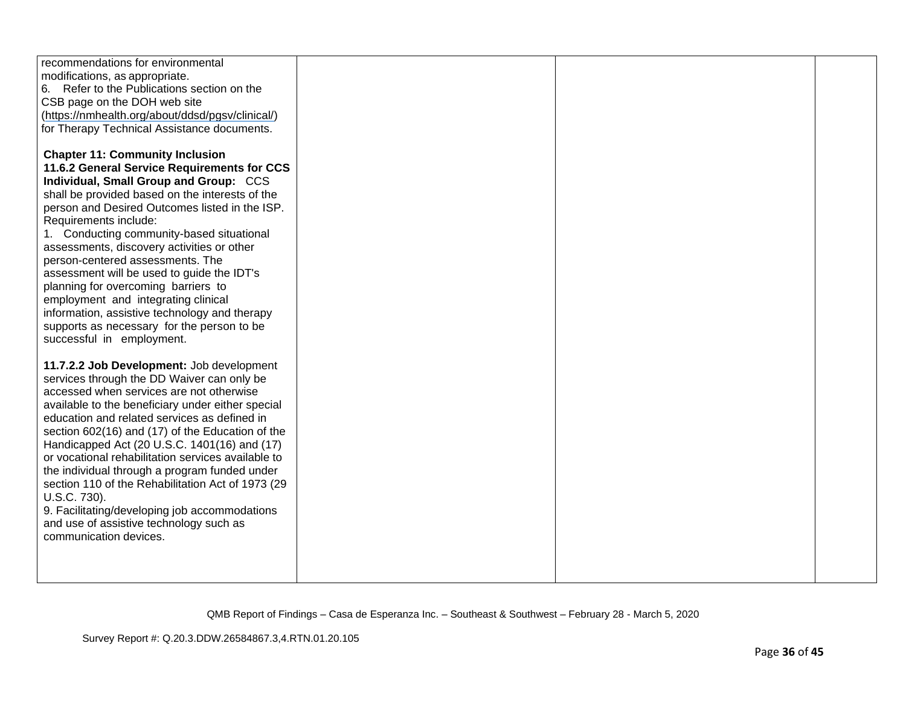| recommendations for environmental                  |  |  |
|----------------------------------------------------|--|--|
| modifications, as appropriate.                     |  |  |
| 6. Refer to the Publications section on the        |  |  |
| CSB page on the DOH web site                       |  |  |
| (https://nmhealth.org/about/ddsd/pgsv/clinical/)   |  |  |
| for Therapy Technical Assistance documents.        |  |  |
|                                                    |  |  |
| <b>Chapter 11: Community Inclusion</b>             |  |  |
| 11.6.2 General Service Requirements for CCS        |  |  |
| Individual, Small Group and Group: CCS             |  |  |
| shall be provided based on the interests of the    |  |  |
| person and Desired Outcomes listed in the ISP.     |  |  |
| Requirements include:                              |  |  |
| 1. Conducting community-based situational          |  |  |
| assessments, discovery activities or other         |  |  |
| person-centered assessments. The                   |  |  |
| assessment will be used to guide the IDT's         |  |  |
| planning for overcoming barriers to                |  |  |
| employment and integrating clinical                |  |  |
| information, assistive technology and therapy      |  |  |
| supports as necessary for the person to be         |  |  |
| successful in employment.                          |  |  |
|                                                    |  |  |
| 11.7.2.2 Job Development: Job development          |  |  |
| services through the DD Waiver can only be         |  |  |
| accessed when services are not otherwise           |  |  |
| available to the beneficiary under either special  |  |  |
| education and related services as defined in       |  |  |
| section 602(16) and (17) of the Education of the   |  |  |
| Handicapped Act (20 U.S.C. 1401(16) and (17)       |  |  |
| or vocational rehabilitation services available to |  |  |
| the individual through a program funded under      |  |  |
| section 110 of the Rehabilitation Act of 1973 (29  |  |  |
| U.S.C. 730).                                       |  |  |
| 9. Facilitating/developing job accommodations      |  |  |
| and use of assistive technology such as            |  |  |
| communication devices.                             |  |  |
|                                                    |  |  |
|                                                    |  |  |
|                                                    |  |  |
|                                                    |  |  |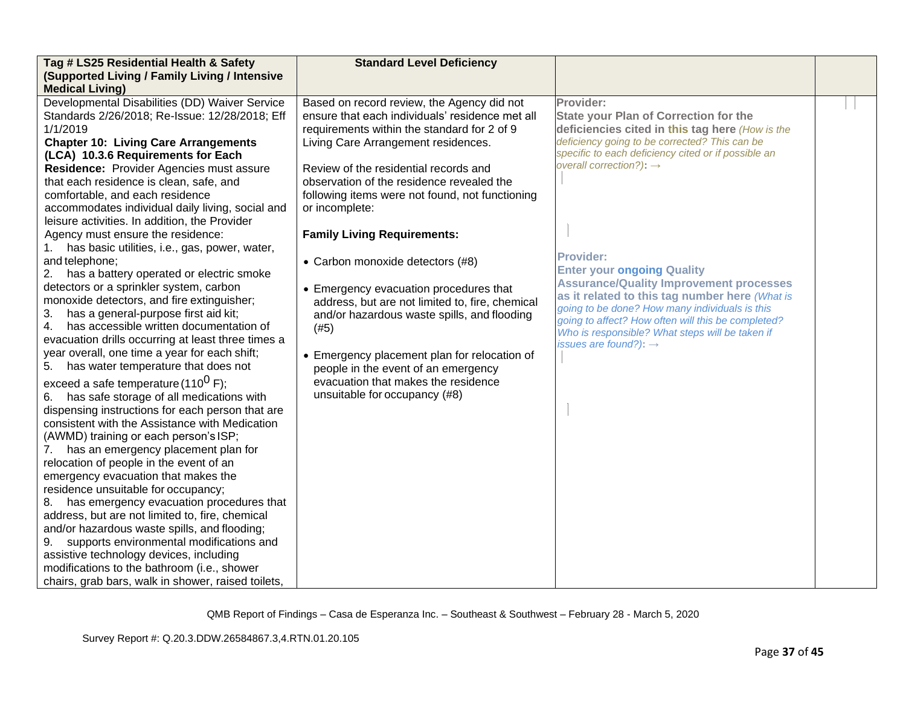| Tag # LS25 Residential Health & Safety                                                                                                                                                                                                                                                                                                                                                                                                                                                                                                                                                                                                                                                                                                                                                                                                                                                                                                                                                                                                                                                                                                                                                                                                                                                                                                                                                                                                                                                                                                                                                                                                                                                                                  | <b>Standard Level Deficiency</b>                                                                                                                                                                                                                                                                                                                                                                                                                                                                                                                                                                                                                                                                                                            |                                                                                                                                                                                                                                                                                                                                                                                                                                                                                                                                                                                                                          |  |
|-------------------------------------------------------------------------------------------------------------------------------------------------------------------------------------------------------------------------------------------------------------------------------------------------------------------------------------------------------------------------------------------------------------------------------------------------------------------------------------------------------------------------------------------------------------------------------------------------------------------------------------------------------------------------------------------------------------------------------------------------------------------------------------------------------------------------------------------------------------------------------------------------------------------------------------------------------------------------------------------------------------------------------------------------------------------------------------------------------------------------------------------------------------------------------------------------------------------------------------------------------------------------------------------------------------------------------------------------------------------------------------------------------------------------------------------------------------------------------------------------------------------------------------------------------------------------------------------------------------------------------------------------------------------------------------------------------------------------|---------------------------------------------------------------------------------------------------------------------------------------------------------------------------------------------------------------------------------------------------------------------------------------------------------------------------------------------------------------------------------------------------------------------------------------------------------------------------------------------------------------------------------------------------------------------------------------------------------------------------------------------------------------------------------------------------------------------------------------------|--------------------------------------------------------------------------------------------------------------------------------------------------------------------------------------------------------------------------------------------------------------------------------------------------------------------------------------------------------------------------------------------------------------------------------------------------------------------------------------------------------------------------------------------------------------------------------------------------------------------------|--|
| (Supported Living / Family Living / Intensive<br><b>Medical Living)</b>                                                                                                                                                                                                                                                                                                                                                                                                                                                                                                                                                                                                                                                                                                                                                                                                                                                                                                                                                                                                                                                                                                                                                                                                                                                                                                                                                                                                                                                                                                                                                                                                                                                 |                                                                                                                                                                                                                                                                                                                                                                                                                                                                                                                                                                                                                                                                                                                                             |                                                                                                                                                                                                                                                                                                                                                                                                                                                                                                                                                                                                                          |  |
| Developmental Disabilities (DD) Waiver Service<br>Standards 2/26/2018; Re-Issue: 12/28/2018; Eff<br>1/1/2019<br><b>Chapter 10: Living Care Arrangements</b><br>(LCA) 10.3.6 Requirements for Each<br>Residence: Provider Agencies must assure<br>that each residence is clean, safe, and<br>comfortable, and each residence<br>accommodates individual daily living, social and<br>leisure activities. In addition, the Provider<br>Agency must ensure the residence:<br>has basic utilities, i.e., gas, power, water,<br>and telephone;<br>2.<br>has a battery operated or electric smoke<br>detectors or a sprinkler system, carbon<br>monoxide detectors, and fire extinguisher;<br>has a general-purpose first aid kit;<br>3.<br>has accessible written documentation of<br>4.<br>evacuation drills occurring at least three times a<br>year overall, one time a year for each shift;<br>has water temperature that does not<br>5.<br>exceed a safe temperature (110 <sup>0</sup> F);<br>has safe storage of all medications with<br>6.<br>dispensing instructions for each person that are<br>consistent with the Assistance with Medication<br>(AWMD) training or each person's ISP;<br>has an emergency placement plan for<br>7.<br>relocation of people in the event of an<br>emergency evacuation that makes the<br>residence unsuitable for occupancy;<br>has emergency evacuation procedures that<br>8.<br>address, but are not limited to, fire, chemical<br>and/or hazardous waste spills, and flooding;<br>supports environmental modifications and<br>9.<br>assistive technology devices, including<br>modifications to the bathroom (i.e., shower<br>chairs, grab bars, walk in shower, raised toilets, | Based on record review, the Agency did not<br>ensure that each individuals' residence met all<br>requirements within the standard for 2 of 9<br>Living Care Arrangement residences.<br>Review of the residential records and<br>observation of the residence revealed the<br>following items were not found, not functioning<br>or incomplete:<br><b>Family Living Requirements:</b><br>• Carbon monoxide detectors (#8)<br>• Emergency evacuation procedures that<br>address, but are not limited to, fire, chemical<br>and/or hazardous waste spills, and flooding<br>(#5)<br>• Emergency placement plan for relocation of<br>people in the event of an emergency<br>evacuation that makes the residence<br>unsuitable for occupancy (#8) | Provider:<br><b>State your Plan of Correction for the</b><br>deficiencies cited in this tag here (How is the<br>deficiency going to be corrected? This can be<br>specific to each deficiency cited or if possible an<br>overall correction?): $\rightarrow$<br><b>Provider:</b><br><b>Enter your ongoing Quality</b><br><b>Assurance/Quality Improvement processes</b><br>as it related to this tag number here (What is<br>going to be done? How many individuals is this<br>going to affect? How often will this be completed?<br>Who is responsible? What steps will be taken if<br>issues are found?): $\rightarrow$ |  |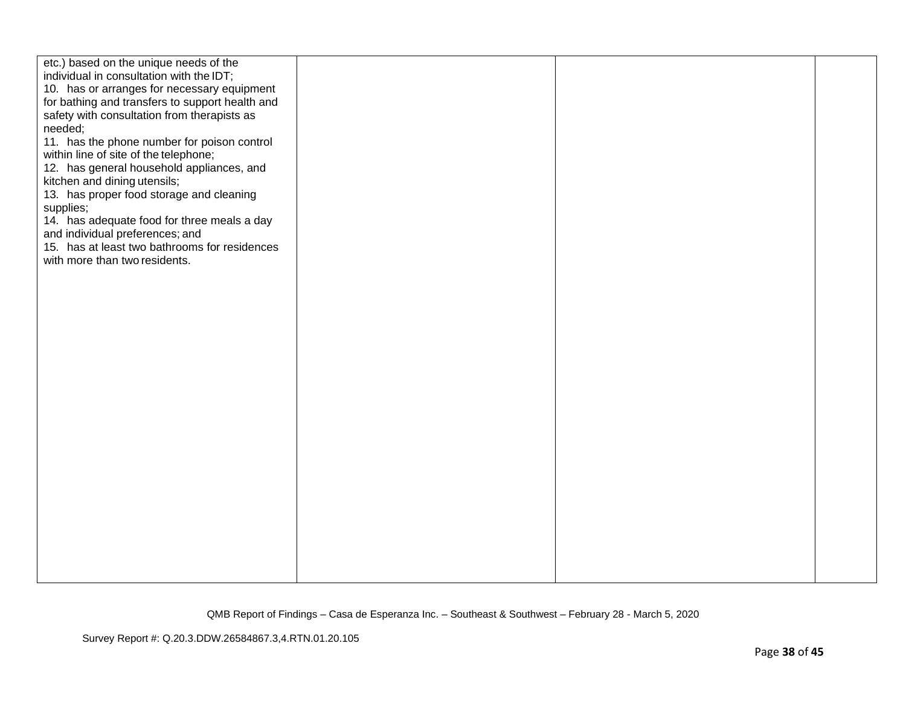| etc.) based on the unique needs of the<br>individual in consultation with the IDT;<br>10. has or arranges for necessary equipment<br>for bathing and transfers to support health and<br>safety with consultation from therapists as<br>needed;<br>11. has the phone number for poison control<br>within line of site of the telephone;<br>12. has general household appliances, and<br>kitchen and dining utensils;<br>13. has proper food storage and cleaning<br>supplies;<br>14. has adequate food for three meals a day<br>and individual preferences; and<br>15. has at least two bathrooms for residences<br>with more than two residents. |  |  |
|--------------------------------------------------------------------------------------------------------------------------------------------------------------------------------------------------------------------------------------------------------------------------------------------------------------------------------------------------------------------------------------------------------------------------------------------------------------------------------------------------------------------------------------------------------------------------------------------------------------------------------------------------|--|--|
|                                                                                                                                                                                                                                                                                                                                                                                                                                                                                                                                                                                                                                                  |  |  |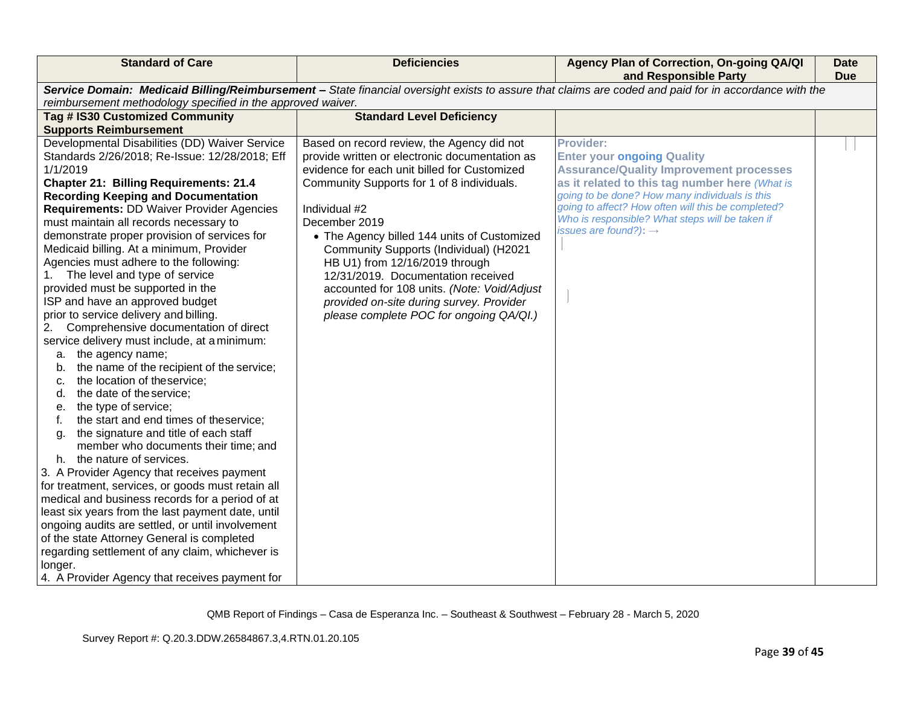| <b>Standard of Care</b>                                                                                                                                                                                                                                                                                                                                                                                                                                                                                                                                                                                                                                                                                                                                                                                                                                                                                                                                                                                                                                                                                                                                                                                                                                                                                                                                                                                                                                        | <b>Deficiencies</b>                                                                                                                                                                                                                                                                                                                                                                                                                                                                                                                 | Agency Plan of Correction, On-going QA/QI<br>and Responsible Party                                                                                                                                                                                                                                                                                        | <b>Date</b><br><b>Due</b> |
|----------------------------------------------------------------------------------------------------------------------------------------------------------------------------------------------------------------------------------------------------------------------------------------------------------------------------------------------------------------------------------------------------------------------------------------------------------------------------------------------------------------------------------------------------------------------------------------------------------------------------------------------------------------------------------------------------------------------------------------------------------------------------------------------------------------------------------------------------------------------------------------------------------------------------------------------------------------------------------------------------------------------------------------------------------------------------------------------------------------------------------------------------------------------------------------------------------------------------------------------------------------------------------------------------------------------------------------------------------------------------------------------------------------------------------------------------------------|-------------------------------------------------------------------------------------------------------------------------------------------------------------------------------------------------------------------------------------------------------------------------------------------------------------------------------------------------------------------------------------------------------------------------------------------------------------------------------------------------------------------------------------|-----------------------------------------------------------------------------------------------------------------------------------------------------------------------------------------------------------------------------------------------------------------------------------------------------------------------------------------------------------|---------------------------|
| reimbursement methodology specified in the approved waiver.                                                                                                                                                                                                                                                                                                                                                                                                                                                                                                                                                                                                                                                                                                                                                                                                                                                                                                                                                                                                                                                                                                                                                                                                                                                                                                                                                                                                    |                                                                                                                                                                                                                                                                                                                                                                                                                                                                                                                                     | Service Domain: Medicaid Billing/Reimbursement - State financial oversight exists to assure that claims are coded and paid for in accordance with the                                                                                                                                                                                                     |                           |
| Tag # IS30 Customized Community                                                                                                                                                                                                                                                                                                                                                                                                                                                                                                                                                                                                                                                                                                                                                                                                                                                                                                                                                                                                                                                                                                                                                                                                                                                                                                                                                                                                                                | <b>Standard Level Deficiency</b>                                                                                                                                                                                                                                                                                                                                                                                                                                                                                                    |                                                                                                                                                                                                                                                                                                                                                           |                           |
| <b>Supports Reimbursement</b><br>Developmental Disabilities (DD) Waiver Service<br>Standards 2/26/2018; Re-Issue: 12/28/2018; Eff<br>1/1/2019<br><b>Chapter 21: Billing Requirements: 21.4</b><br><b>Recording Keeping and Documentation</b><br><b>Requirements: DD Waiver Provider Agencies</b><br>must maintain all records necessary to<br>demonstrate proper provision of services for<br>Medicaid billing. At a minimum, Provider<br>Agencies must adhere to the following:<br>The level and type of service<br>provided must be supported in the<br>ISP and have an approved budget<br>prior to service delivery and billing.<br>Comprehensive documentation of direct<br>2.<br>service delivery must include, at a minimum:<br>the agency name;<br>а.<br>the name of the recipient of the service;<br>b.<br>the location of theservice;<br>c.<br>the date of the service;<br>d.<br>the type of service;<br>е.<br>the start and end times of theservice;<br>the signature and title of each staff<br>a.<br>member who documents their time; and<br>h. the nature of services.<br>3. A Provider Agency that receives payment<br>for treatment, services, or goods must retain all<br>medical and business records for a period of at<br>least six years from the last payment date, until<br>ongoing audits are settled, or until involvement<br>of the state Attorney General is completed<br>regarding settlement of any claim, whichever is<br>longer. | Based on record review, the Agency did not<br>provide written or electronic documentation as<br>evidence for each unit billed for Customized<br>Community Supports for 1 of 8 individuals.<br>Individual #2<br>December 2019<br>• The Agency billed 144 units of Customized<br>Community Supports (Individual) (H2021<br>HB U1) from 12/16/2019 through<br>12/31/2019. Documentation received<br>accounted for 108 units. (Note: Void/Adjust<br>provided on-site during survey. Provider<br>please complete POC for ongoing QA/QI.) | <b>Provider:</b><br><b>Enter your ongoing Quality</b><br><b>Assurance/Quality Improvement processes</b><br>as it related to this tag number here (What is<br>going to be done? How many individuals is this<br>going to affect? How often will this be completed?<br>Who is responsible? What steps will be taken if<br>issues are found?): $\rightarrow$ |                           |
| 4. A Provider Agency that receives payment for                                                                                                                                                                                                                                                                                                                                                                                                                                                                                                                                                                                                                                                                                                                                                                                                                                                                                                                                                                                                                                                                                                                                                                                                                                                                                                                                                                                                                 |                                                                                                                                                                                                                                                                                                                                                                                                                                                                                                                                     |                                                                                                                                                                                                                                                                                                                                                           |                           |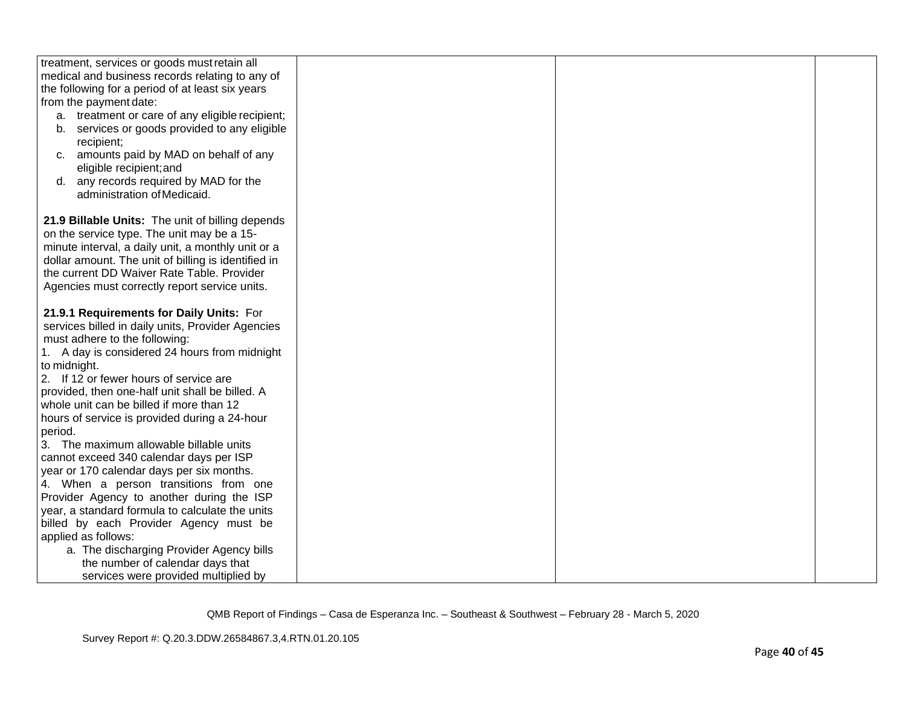| treatment, services or goods must retain all        |  |  |
|-----------------------------------------------------|--|--|
| medical and business records relating to any of     |  |  |
| the following for a period of at least six years    |  |  |
| from the payment date:                              |  |  |
| a. treatment or care of any eligible recipient;     |  |  |
| b. services or goods provided to any eligible       |  |  |
| recipient;                                          |  |  |
| amounts paid by MAD on behalf of any<br>C.          |  |  |
| eligible recipient; and                             |  |  |
| d. any records required by MAD for the              |  |  |
| administration of Medicaid.                         |  |  |
|                                                     |  |  |
| 21.9 Billable Units: The unit of billing depends    |  |  |
| on the service type. The unit may be a 15-          |  |  |
| minute interval, a daily unit, a monthly unit or a  |  |  |
| dollar amount. The unit of billing is identified in |  |  |
| the current DD Waiver Rate Table. Provider          |  |  |
| Agencies must correctly report service units.       |  |  |
|                                                     |  |  |
| 21.9.1 Requirements for Daily Units: For            |  |  |
| services billed in daily units, Provider Agencies   |  |  |
| must adhere to the following:                       |  |  |
| 1. A day is considered 24 hours from midnight       |  |  |
| to midnight.                                        |  |  |
| 2. If 12 or fewer hours of service are              |  |  |
| provided, then one-half unit shall be billed. A     |  |  |
| whole unit can be billed if more than 12            |  |  |
| hours of service is provided during a 24-hour       |  |  |
| period.                                             |  |  |
| 3. The maximum allowable billable units             |  |  |
| cannot exceed 340 calendar days per ISP             |  |  |
| year or 170 calendar days per six months.           |  |  |
| 4. When a person transitions from one               |  |  |
| Provider Agency to another during the ISP           |  |  |
| year, a standard formula to calculate the units     |  |  |
| billed by each Provider Agency must be              |  |  |
| applied as follows:                                 |  |  |
| a. The discharging Provider Agency bills            |  |  |
| the number of calendar days that                    |  |  |
| services were provided multiplied by                |  |  |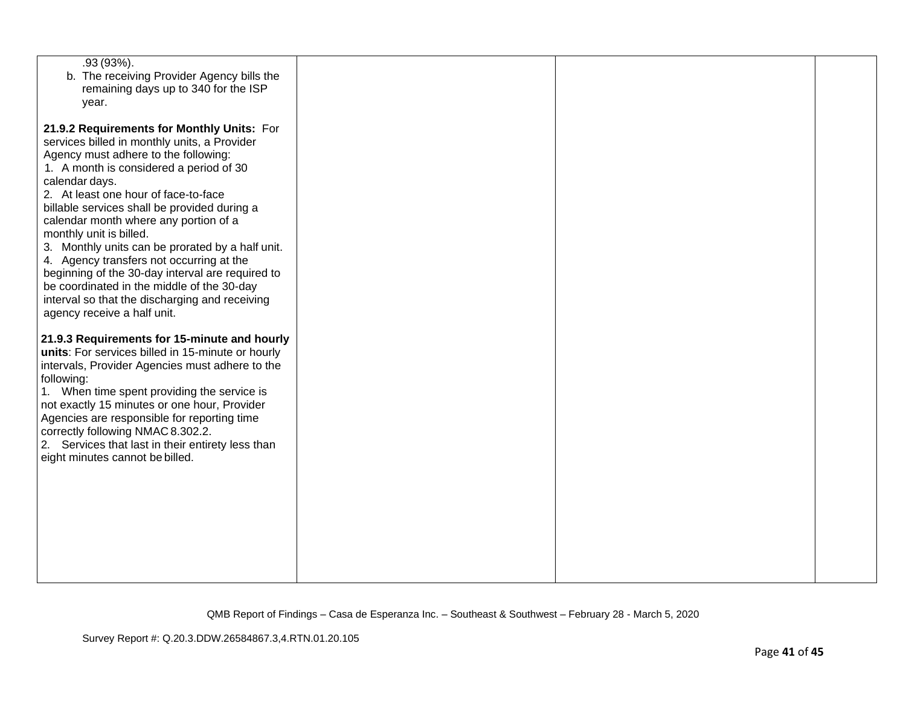| $.93(93\%)$ .<br>b. The receiving Provider Agency bills the<br>remaining days up to 340 for the ISP<br>year.                                                                                                                                                                                                                                                                                                                                                                                                                                                                                                    |  |  |
|-----------------------------------------------------------------------------------------------------------------------------------------------------------------------------------------------------------------------------------------------------------------------------------------------------------------------------------------------------------------------------------------------------------------------------------------------------------------------------------------------------------------------------------------------------------------------------------------------------------------|--|--|
| 21.9.2 Requirements for Monthly Units: For<br>services billed in monthly units, a Provider<br>Agency must adhere to the following:<br>1. A month is considered a period of 30<br>calendar days.<br>2. At least one hour of face-to-face<br>billable services shall be provided during a<br>calendar month where any portion of a<br>monthly unit is billed.<br>3. Monthly units can be prorated by a half unit.<br>4. Agency transfers not occurring at the<br>beginning of the 30-day interval are required to<br>be coordinated in the middle of the 30-day<br>interval so that the discharging and receiving |  |  |
| agency receive a half unit.<br>21.9.3 Requirements for 15-minute and hourly<br>units: For services billed in 15-minute or hourly<br>intervals, Provider Agencies must adhere to the<br>following:<br>1. When time spent providing the service is<br>not exactly 15 minutes or one hour, Provider<br>Agencies are responsible for reporting time<br>correctly following NMAC 8.302.2.<br>2. Services that last in their entirety less than<br>eight minutes cannot be billed.                                                                                                                                    |  |  |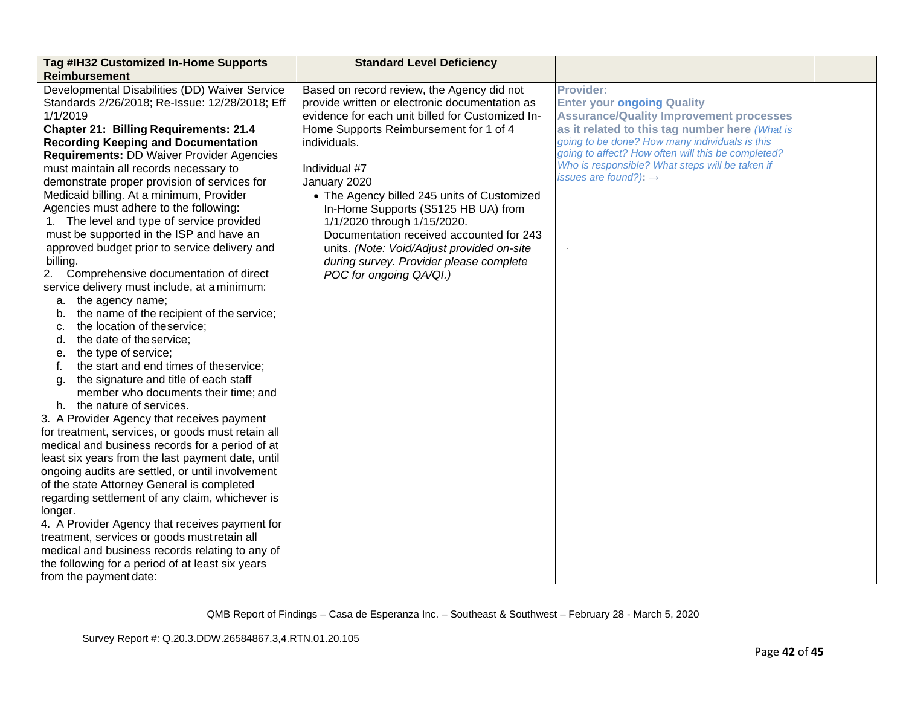| Tag #IH32 Customized In-Home Supports                                                                                                                                                                                                                                                                                                                                                                                                                                                                                                                                                                                                                                                                                                                                                                                                                                                                                                                                                                                                                                                                                                                                                                                                                                                                                                                                                                                                                                                                            | <b>Standard Level Deficiency</b>                                                                                                                                                                                                                                                                                                                                                                                                                                                                                                 |                                                                                                                                                                                                                                                                                                                                                           |  |
|------------------------------------------------------------------------------------------------------------------------------------------------------------------------------------------------------------------------------------------------------------------------------------------------------------------------------------------------------------------------------------------------------------------------------------------------------------------------------------------------------------------------------------------------------------------------------------------------------------------------------------------------------------------------------------------------------------------------------------------------------------------------------------------------------------------------------------------------------------------------------------------------------------------------------------------------------------------------------------------------------------------------------------------------------------------------------------------------------------------------------------------------------------------------------------------------------------------------------------------------------------------------------------------------------------------------------------------------------------------------------------------------------------------------------------------------------------------------------------------------------------------|----------------------------------------------------------------------------------------------------------------------------------------------------------------------------------------------------------------------------------------------------------------------------------------------------------------------------------------------------------------------------------------------------------------------------------------------------------------------------------------------------------------------------------|-----------------------------------------------------------------------------------------------------------------------------------------------------------------------------------------------------------------------------------------------------------------------------------------------------------------------------------------------------------|--|
| <b>Reimbursement</b><br>Developmental Disabilities (DD) Waiver Service<br>Standards 2/26/2018; Re-Issue: 12/28/2018; Eff<br>1/1/2019<br><b>Chapter 21: Billing Requirements: 21.4</b><br><b>Recording Keeping and Documentation</b><br><b>Requirements: DD Waiver Provider Agencies</b><br>must maintain all records necessary to<br>demonstrate proper provision of services for<br>Medicaid billing. At a minimum, Provider<br>Agencies must adhere to the following:<br>1. The level and type of service provided<br>must be supported in the ISP and have an<br>approved budget prior to service delivery and<br>billing.<br>2.<br>Comprehensive documentation of direct<br>service delivery must include, at a minimum:<br>the agency name;<br>а.<br>the name of the recipient of the service;<br>b.<br>the location of theservice;<br>c.<br>the date of the service;<br>d.<br>the type of service;<br>е.<br>the start and end times of theservice;<br>f.<br>the signature and title of each staff<br>g.<br>member who documents their time; and<br>h. the nature of services.<br>3. A Provider Agency that receives payment<br>for treatment, services, or goods must retain all<br>medical and business records for a period of at<br>least six years from the last payment date, until<br>ongoing audits are settled, or until involvement<br>of the state Attorney General is completed<br>regarding settlement of any claim, whichever is<br>longer.<br>4. A Provider Agency that receives payment for | Based on record review, the Agency did not<br>provide written or electronic documentation as<br>evidence for each unit billed for Customized In-<br>Home Supports Reimbursement for 1 of 4<br>individuals.<br>Individual #7<br>January 2020<br>• The Agency billed 245 units of Customized<br>In-Home Supports (S5125 HB UA) from<br>1/1/2020 through 1/15/2020.<br>Documentation received accounted for 243<br>units. (Note: Void/Adjust provided on-site<br>during survey. Provider please complete<br>POC for ongoing QA/QI.) | <b>Provider:</b><br><b>Enter your ongoing Quality</b><br><b>Assurance/Quality Improvement processes</b><br>as it related to this tag number here (What is<br>going to be done? How many individuals is this<br>going to affect? How often will this be completed?<br>Who is responsible? What steps will be taken if<br>issues are found?): $\rightarrow$ |  |
| treatment, services or goods must retain all<br>medical and business records relating to any of<br>the following for a period of at least six years<br>from the payment date:                                                                                                                                                                                                                                                                                                                                                                                                                                                                                                                                                                                                                                                                                                                                                                                                                                                                                                                                                                                                                                                                                                                                                                                                                                                                                                                                    |                                                                                                                                                                                                                                                                                                                                                                                                                                                                                                                                  |                                                                                                                                                                                                                                                                                                                                                           |  |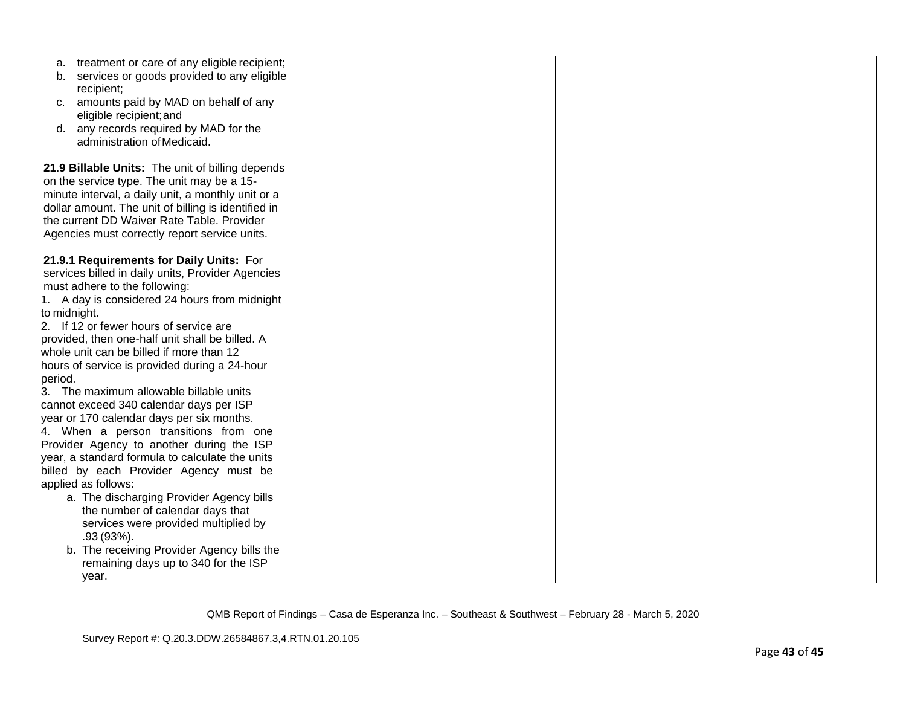| treatment or care of any eligible recipient;<br>а.                                               |  |  |
|--------------------------------------------------------------------------------------------------|--|--|
| services or goods provided to any eligible<br>b.<br>recipient;                                   |  |  |
| amounts paid by MAD on behalf of any<br>C.                                                       |  |  |
| eligible recipient; and                                                                          |  |  |
| any records required by MAD for the<br>d.                                                        |  |  |
| administration of Medicaid.                                                                      |  |  |
|                                                                                                  |  |  |
| 21.9 Billable Units: The unit of billing depends                                                 |  |  |
| on the service type. The unit may be a 15-<br>minute interval, a daily unit, a monthly unit or a |  |  |
| dollar amount. The unit of billing is identified in                                              |  |  |
| the current DD Waiver Rate Table. Provider                                                       |  |  |
| Agencies must correctly report service units.                                                    |  |  |
|                                                                                                  |  |  |
| 21.9.1 Requirements for Daily Units: For                                                         |  |  |
| services billed in daily units, Provider Agencies                                                |  |  |
| must adhere to the following:                                                                    |  |  |
| 1. A day is considered 24 hours from midnight<br>to midnight.                                    |  |  |
| 2. If 12 or fewer hours of service are                                                           |  |  |
| provided, then one-half unit shall be billed. A                                                  |  |  |
| whole unit can be billed if more than 12                                                         |  |  |
| hours of service is provided during a 24-hour                                                    |  |  |
| period.                                                                                          |  |  |
| 3. The maximum allowable billable units                                                          |  |  |
| cannot exceed 340 calendar days per ISP                                                          |  |  |
| year or 170 calendar days per six months.                                                        |  |  |
| 4. When a person transitions from one<br>Provider Agency to another during the ISP               |  |  |
| year, a standard formula to calculate the units                                                  |  |  |
| billed by each Provider Agency must be                                                           |  |  |
| applied as follows:                                                                              |  |  |
| a. The discharging Provider Agency bills                                                         |  |  |
| the number of calendar days that                                                                 |  |  |
| services were provided multiplied by                                                             |  |  |
| $.93(93%)$ .                                                                                     |  |  |
| b. The receiving Provider Agency bills the                                                       |  |  |
| remaining days up to 340 for the ISP                                                             |  |  |
| year.                                                                                            |  |  |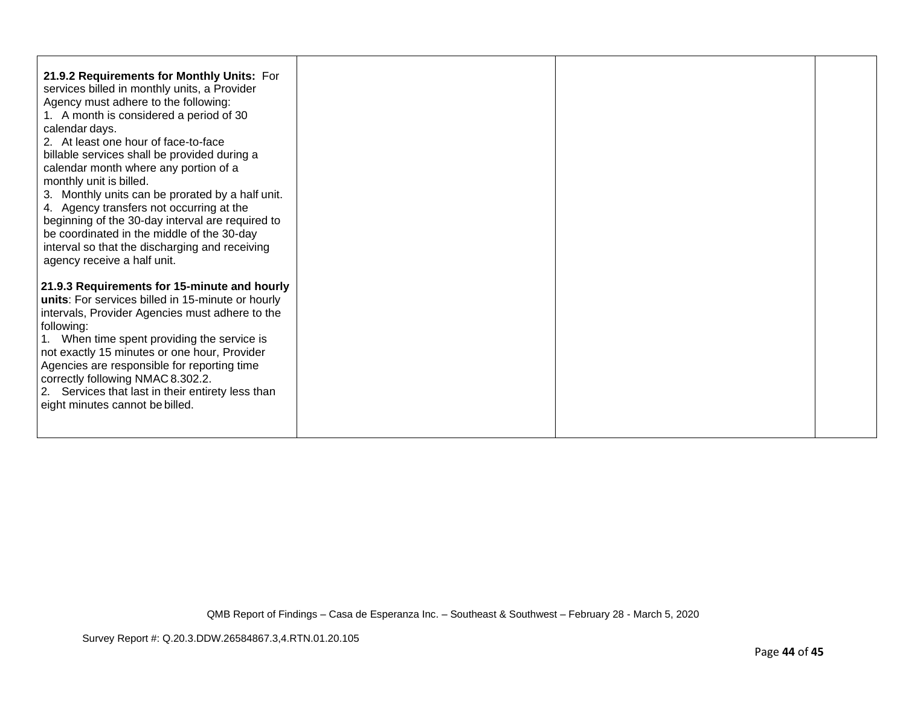| 21.9.2 Requirements for Monthly Units: For<br>services billed in monthly units, a Provider<br>Agency must adhere to the following:<br>1. A month is considered a period of 30<br>calendar days.<br>2. At least one hour of face-to-face<br>billable services shall be provided during a<br>calendar month where any portion of a<br>monthly unit is billed.<br>3. Monthly units can be prorated by a half unit.<br>4. Agency transfers not occurring at the<br>beginning of the 30-day interval are required to<br>be coordinated in the middle of the 30-day<br>interval so that the discharging and receiving<br>agency receive a half unit. |  |  |
|------------------------------------------------------------------------------------------------------------------------------------------------------------------------------------------------------------------------------------------------------------------------------------------------------------------------------------------------------------------------------------------------------------------------------------------------------------------------------------------------------------------------------------------------------------------------------------------------------------------------------------------------|--|--|
| 21.9.3 Requirements for 15-minute and hourly<br>units: For services billed in 15-minute or hourly<br>intervals, Provider Agencies must adhere to the<br>following:<br>1. When time spent providing the service is<br>not exactly 15 minutes or one hour, Provider<br>Agencies are responsible for reporting time<br>correctly following NMAC 8.302.2.<br>2. Services that last in their entirety less than<br>eight minutes cannot be billed.                                                                                                                                                                                                  |  |  |